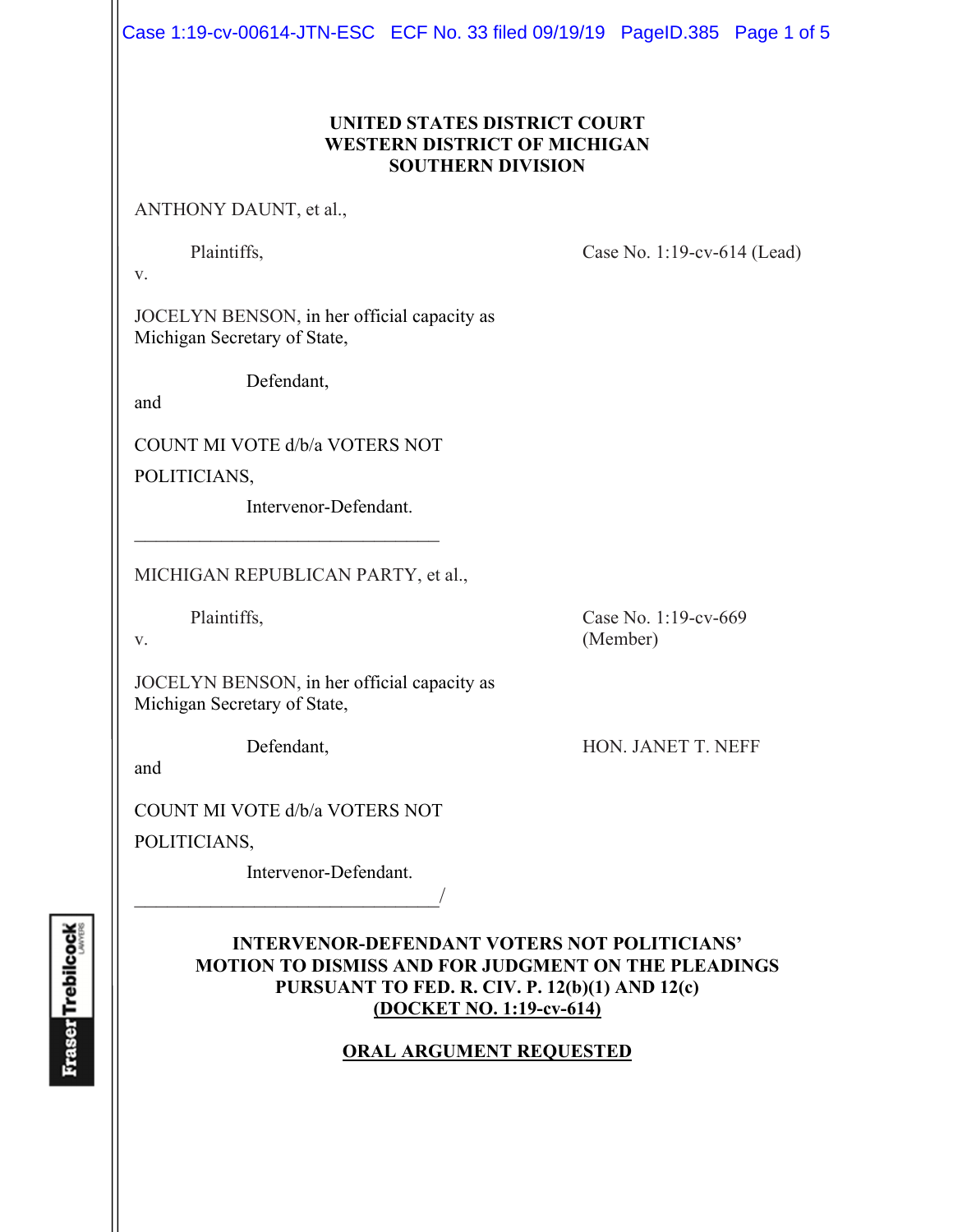Case 1:19-cv-00614-JTN-ESC ECF No. 33 filed 09/19/19 PageID.385 Page 1 of 5

## **UNITED STATES DISTRICT COURT WESTERN DISTRICT OF MICHIGAN SOUTHERN DIVISION**

ANTHONY DAUNT, et al.,

Plaintiffs, Case No. 1:19-cv-614 (Lead)

v.

JOCELYN BENSON, in her official capacity as Michigan Secretary of State,

Defendant,

and

COUNT MI VOTE d/b/a VOTERS NOT POLITICIANS,

Intervenor-Defendant.

MICHIGAN REPUBLICAN PARTY, et al.,

Plaintiffs, Case No. 1:19-cv-669

v. (Member)

JOCELYN BENSON, in her official capacity as Michigan Secretary of State,

Defendant, HON. JANET T. NEFF

and

COUNT MI VOTE d/b/a VOTERS NOT

 $\overline{\phantom{a}}$ 

POLITICIANS,

Intervenor-Defendant.

# **INTERVENOR-DEFENDANT VOTERS NOT POLITICIANS' MOTION TO DISMISS AND FOR JUDGMENT ON THE PLEADINGS PURSUANT TO FED. R. CIV. P. 12(b)(1) AND 12(c) (DOCKET NO. 1:19-cv-614)**

# **ORAL ARGUMENT REQUESTED**

**Fraser** Trebilcock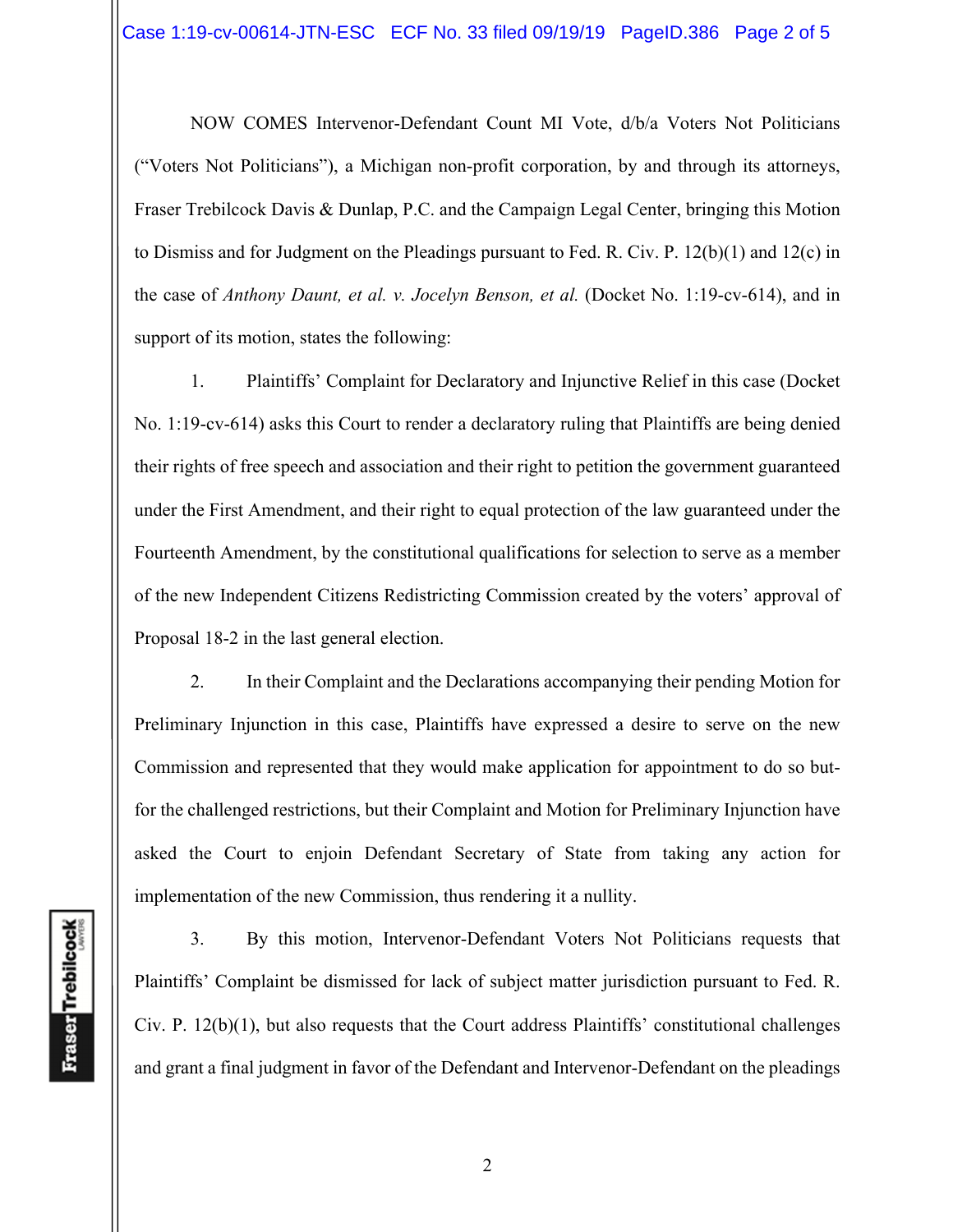NOW COMES Intervenor-Defendant Count MI Vote, d/b/a Voters Not Politicians ("Voters Not Politicians"), a Michigan non-profit corporation, by and through its attorneys, Fraser Trebilcock Davis & Dunlap, P.C. and the Campaign Legal Center, bringing this Motion to Dismiss and for Judgment on the Pleadings pursuant to Fed. R. Civ. P. 12(b)(1) and 12(c) in the case of *Anthony Daunt, et al. v. Jocelyn Benson, et al.* (Docket No. 1:19-cv-614), and in support of its motion, states the following:

1. Plaintiffs' Complaint for Declaratory and Injunctive Relief in this case (Docket No. 1:19-cv-614) asks this Court to render a declaratory ruling that Plaintiffs are being denied their rights of free speech and association and their right to petition the government guaranteed under the First Amendment, and their right to equal protection of the law guaranteed under the Fourteenth Amendment, by the constitutional qualifications for selection to serve as a member of the new Independent Citizens Redistricting Commission created by the voters' approval of Proposal 18-2 in the last general election.

2. In their Complaint and the Declarations accompanying their pending Motion for Preliminary Injunction in this case, Plaintiffs have expressed a desire to serve on the new Commission and represented that they would make application for appointment to do so butfor the challenged restrictions, but their Complaint and Motion for Preliminary Injunction have asked the Court to enjoin Defendant Secretary of State from taking any action for implementation of the new Commission, thus rendering it a nullity.

3. By this motion, Intervenor-Defendant Voters Not Politicians requests that Plaintiffs' Complaint be dismissed for lack of subject matter jurisdiction pursuant to Fed. R. Civ. P. 12(b)(1), but also requests that the Court address Plaintiffs' constitutional challenges and grant a final judgment in favor of the Defendant and Intervenor-Defendant on the pleadings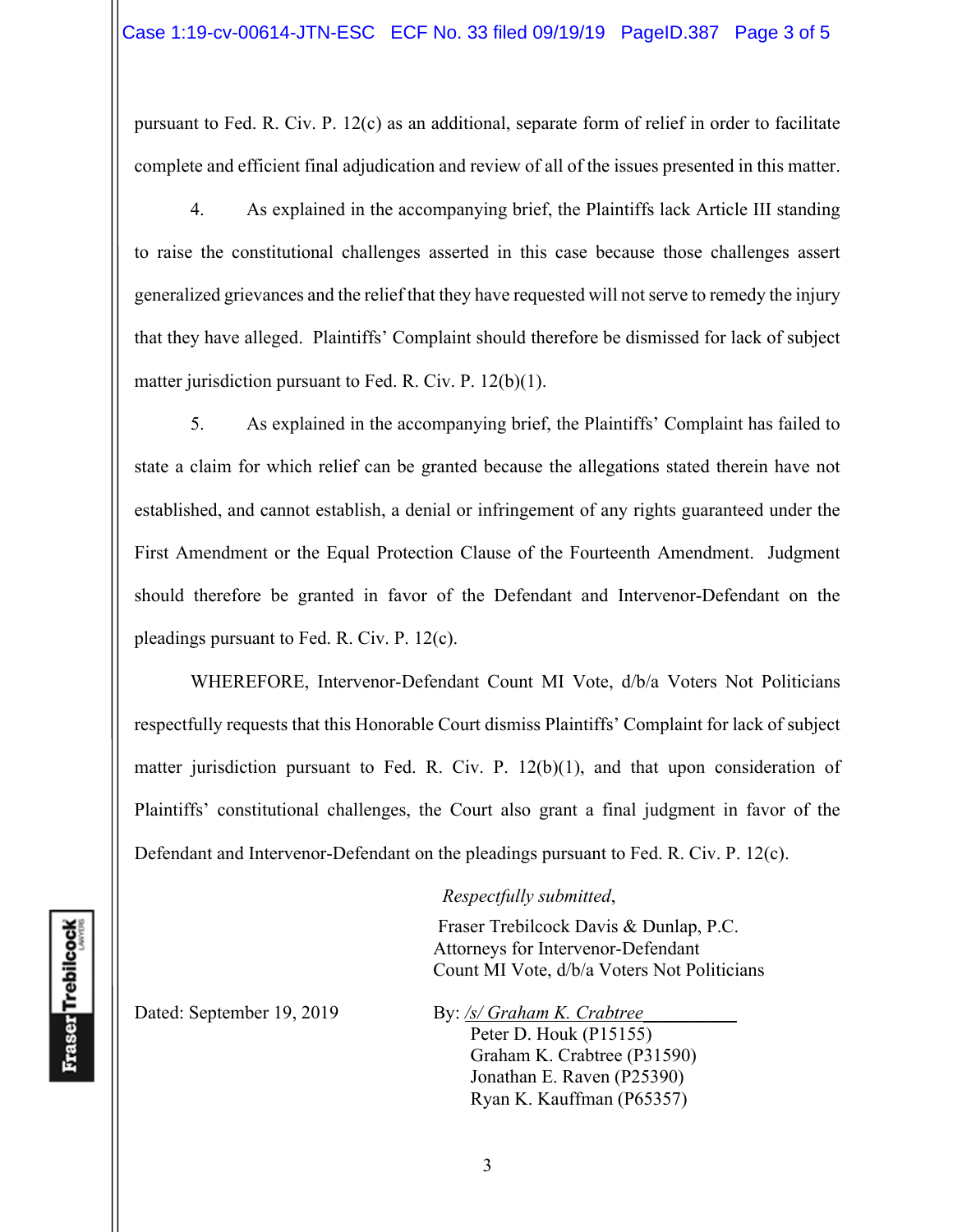pursuant to Fed. R. Civ. P. 12(c) as an additional, separate form of relief in order to facilitate complete and efficient final adjudication and review of all of the issues presented in this matter.

4. As explained in the accompanying brief, the Plaintiffs lack Article III standing to raise the constitutional challenges asserted in this case because those challenges assert generalized grievances and the relief that they have requested will not serve to remedy the injury that they have alleged. Plaintiffs' Complaint should therefore be dismissed for lack of subject matter jurisdiction pursuant to Fed. R. Civ. P. 12(b)(1).

5. As explained in the accompanying brief, the Plaintiffs' Complaint has failed to state a claim for which relief can be granted because the allegations stated therein have not established, and cannot establish, a denial or infringement of any rights guaranteed under the First Amendment or the Equal Protection Clause of the Fourteenth Amendment. Judgment should therefore be granted in favor of the Defendant and Intervenor-Defendant on the pleadings pursuant to Fed. R. Civ. P. 12(c).

 WHEREFORE, Intervenor-Defendant Count MI Vote, d/b/a Voters Not Politicians respectfully requests that this Honorable Court dismiss Plaintiffs' Complaint for lack of subject matter jurisdiction pursuant to Fed. R. Civ. P. 12(b)(1), and that upon consideration of Plaintiffs' constitutional challenges, the Court also grant a final judgment in favor of the Defendant and Intervenor-Defendant on the pleadings pursuant to Fed. R. Civ. P. 12(c).

#### *Respectfully submitted*,

 Fraser Trebilcock Davis & Dunlap, P.C. Attorneys for Intervenor-Defendant Count MI Vote, d/b/a Voters Not Politicians

Dated: September 19, 2019 By: /s/ Graham K. Crabtree

**Fraser** Trebilcock

Peter D. Houk (P15155) Graham K. Crabtree (P31590) Jonathan E. Raven (P25390)

Ryan K. Kauffman (P65357)

3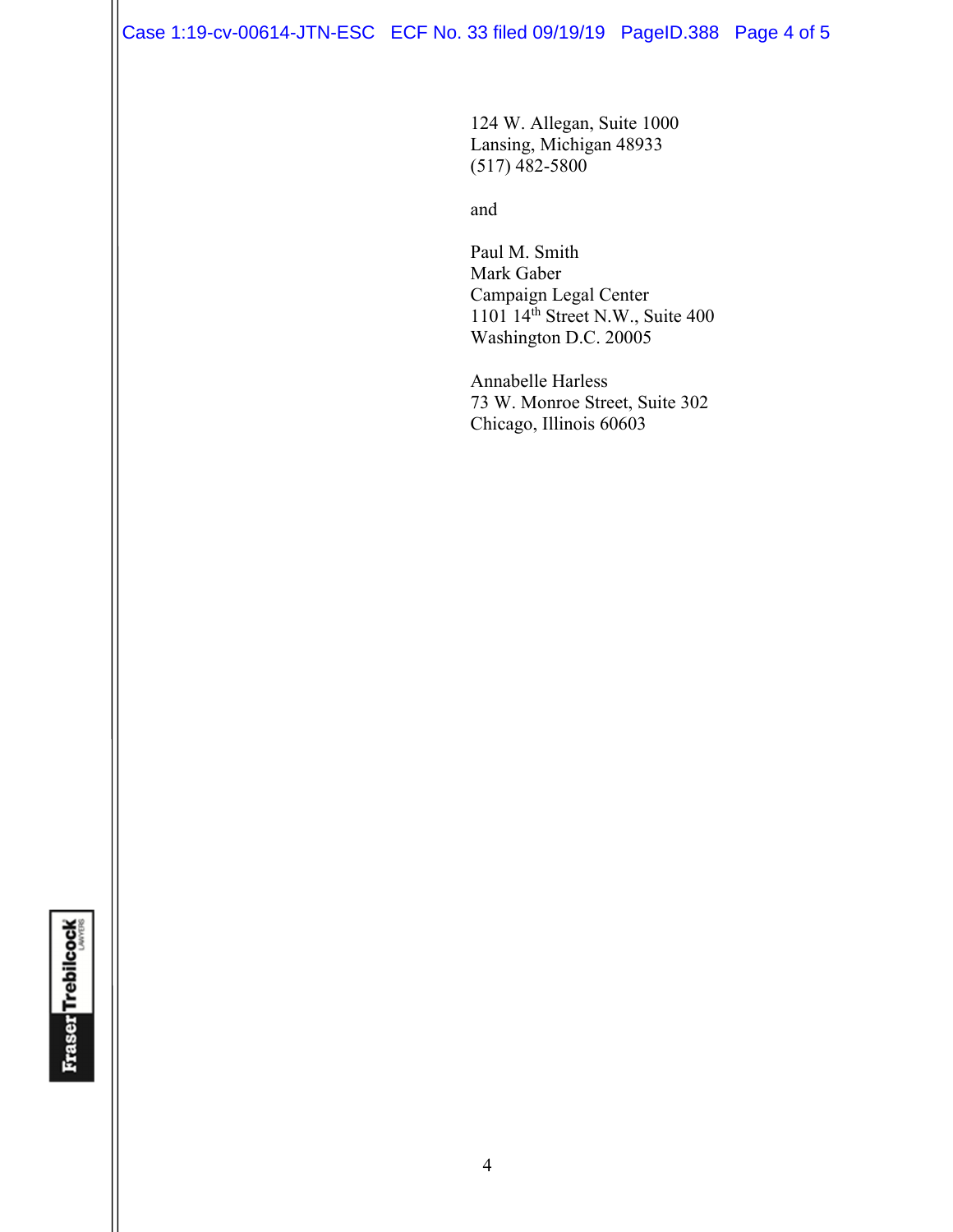Case 1:19-cv-00614-JTN-ESC ECF No. 33 filed 09/19/19 PageID.388 Page 4 of 5

124 W. Allegan, Suite 1000 Lansing, Michigan 48933 (517) 482-5800

and and state of the state of the state of the state of the state of the state of the state of the state of the state of the state of the state of the state of the state of the state of the state of the state of the state

 Paul M. Smith Mark Gaber Campaign Legal Center 1101 14<sup>th</sup> Street N.W., Suite 400 Washington D.C. 20005

Annabelle Harless 73 W. Monroe Street, Suite 302 Chicago, Illinois 60603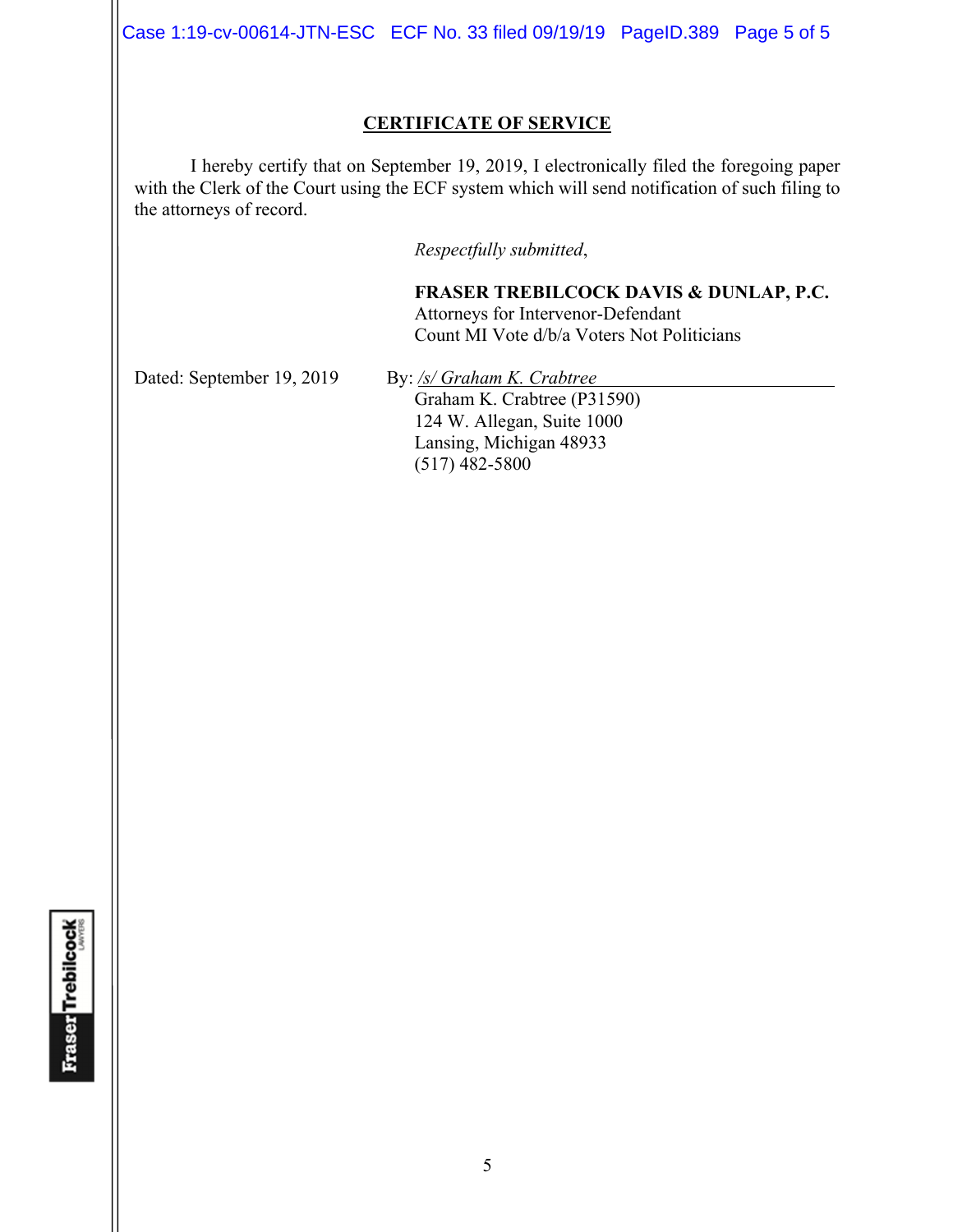Case 1:19-cv-00614-JTN-ESC ECF No. 33 filed 09/19/19 PageID.389 Page 5 of 5

### **CERTIFICATE OF SERVICE**

I hereby certify that on September 19, 2019, I electronically filed the foregoing paper with the Clerk of the Court using the ECF system which will send notification of such filing to the attorneys of record.

*Respectfully submitted*,

**FRASER TREBILCOCK DAVIS & DUNLAP, P.C.** Attorneys for Intervenor-Defendant Count MI Vote d/b/a Voters Not Politicians

Dated: September 19, 2019 By: /s/ Graham K. Crabtree Graham K. Crabtree (P31590) 124 W. Allegan, Suite 1000 Lansing, Michigan 48933 (517) 482-5800

**Fraser** Trebilcock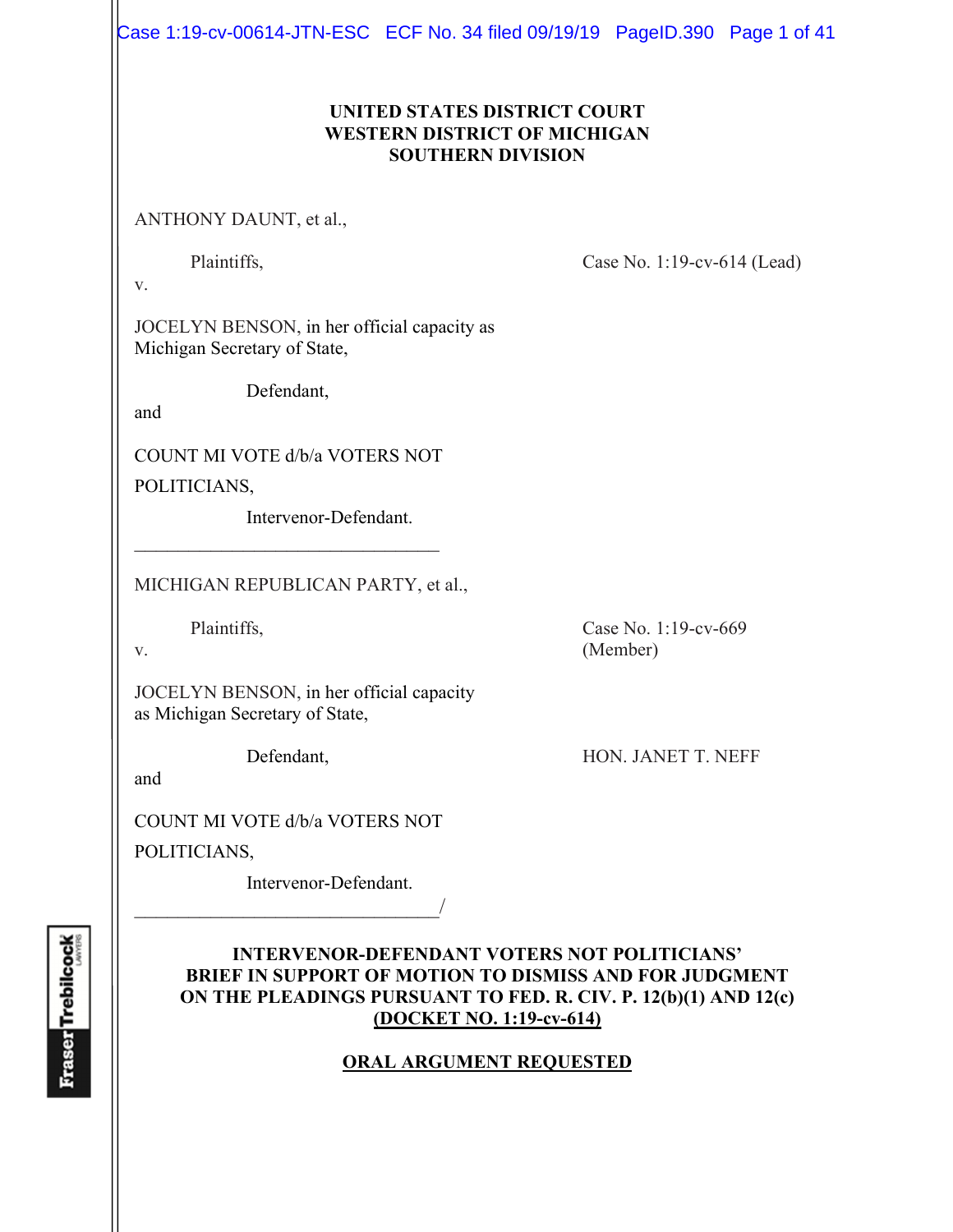Case 1:19-cv-00614-JTN-ESC ECF No. 34 filed 09/19/19 PageID.390 Page 1 of 41

# **UNITED STATES DISTRICT COURT WESTERN DISTRICT OF MICHIGAN SOUTHERN DIVISION**

ANTHONY DAUNT, et al.,

Plaintiffs, Case No. 1:19-cv-614 (Lead)

v.

JOCELYN BENSON, in her official capacity as Michigan Secretary of State,

Defendant,

and

COUNT MI VOTE d/b/a VOTERS NOT

 $\mathcal{L}_\text{max}$  , where  $\mathcal{L}_\text{max}$  , we have the set of  $\mathcal{L}_\text{max}$ 

POLITICIANS,

Intervenor-Defendant.

MICHIGAN REPUBLICAN PARTY, et al.,

JOCELYN BENSON, in her official capacity as Michigan Secretary of State,

and

COUNT MI VOTE d/b/a VOTERS NOT

 $\overline{\phantom{a}}$ 

POLITICIANS,

Intervenor-Defendant.

# **INTERVENOR-DEFENDANT VOTERS NOT POLITICIANS' BRIEF IN SUPPORT OF MOTION TO DISMISS AND FOR JUDGMENT ON THE PLEADINGS PURSUANT TO FED. R. CIV. P. 12(b)(1) AND 12(c) (DOCKET NO. 1:19-cv-614)**

# **ORAL ARGUMENT REQUESTED**

**Fraser Trebilcock** 

Plaintiffs, Case No. 1:19-cv-669 v. (Member)

Defendant, HON. JANET T. NEFF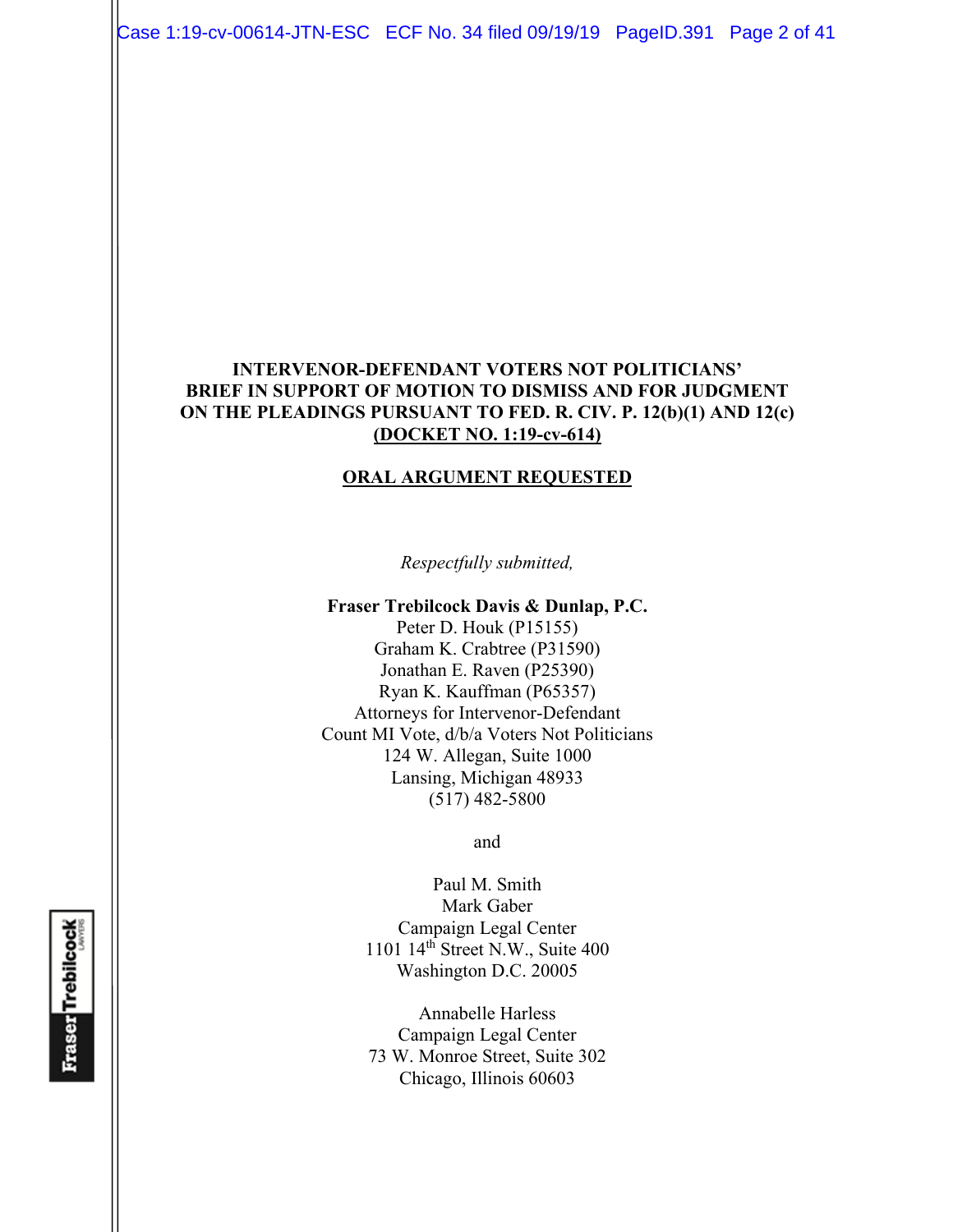Case 1:19-cv-00614-JTN-ESC ECF No. 34 filed 09/19/19 PageID.391 Page 2 of 41

### **INTERVENOR-DEFENDANT VOTERS NOT POLITICIANS' BRIEF IN SUPPORT OF MOTION TO DISMISS AND FOR JUDGMENT ON THE PLEADINGS PURSUANT TO FED. R. CIV. P. 12(b)(1) AND 12(c) (DOCKET NO. 1:19-cv-614)**

#### **ORAL ARGUMENT REQUESTED**

*Respectfully submitted,* 

#### **Fraser Trebilcock Davis & Dunlap, P.C.**

Peter D. Houk (P15155) Graham K. Crabtree (P31590) Jonathan E. Raven (P25390) Ryan K. Kauffman (P65357) Attorneys for Intervenor-Defendant Count MI Vote, d/b/a Voters Not Politicians 124 W. Allegan, Suite 1000 Lansing, Michigan 48933 (517) 482-5800

and

Paul M. Smith Mark Gaber Campaign Legal Center 1101 14th Street N.W., Suite 400 Washington D.C. 20005

Annabelle Harless Campaign Legal Center 73 W. Monroe Street, Suite 302 Chicago, Illinois 60603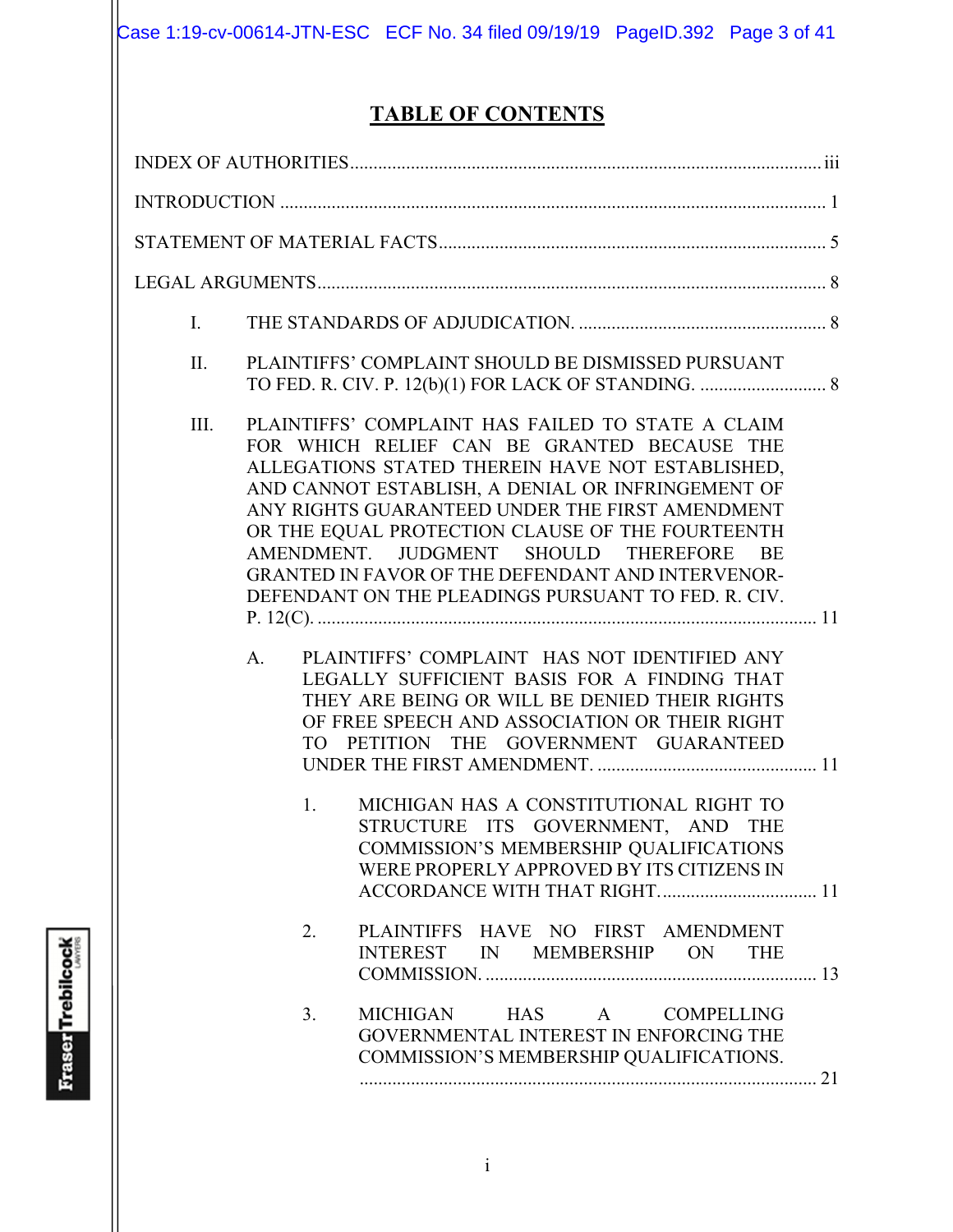# **TABLE OF CONTENTS**

| Ι.   |                |                                                                                                                                                                                                                                                                                                                                                                                                                                                                                                                                                                                                                                                                                                                                                                                                                                                                                                                                                                                    |  |
|------|----------------|------------------------------------------------------------------------------------------------------------------------------------------------------------------------------------------------------------------------------------------------------------------------------------------------------------------------------------------------------------------------------------------------------------------------------------------------------------------------------------------------------------------------------------------------------------------------------------------------------------------------------------------------------------------------------------------------------------------------------------------------------------------------------------------------------------------------------------------------------------------------------------------------------------------------------------------------------------------------------------|--|
| II.  |                | PLAINTIFFS' COMPLAINT SHOULD BE DISMISSED PURSUANT                                                                                                                                                                                                                                                                                                                                                                                                                                                                                                                                                                                                                                                                                                                                                                                                                                                                                                                                 |  |
| III. | A.<br>1.<br>2. | PLAINTIFFS' COMPLAINT HAS FAILED TO STATE A CLAIM<br>FOR WHICH RELIEF CAN BE GRANTED BECAUSE THE<br>ALLEGATIONS STATED THEREIN HAVE NOT ESTABLISHED,<br>AND CANNOT ESTABLISH, A DENIAL OR INFRINGEMENT OF<br>ANY RIGHTS GUARANTEED UNDER THE FIRST AMENDMENT<br>OR THE EQUAL PROTECTION CLAUSE OF THE FOURTEENTH<br>AMENDMENT. JUDGMENT SHOULD THEREFORE<br>BE<br><b>GRANTED IN FAVOR OF THE DEFENDANT AND INTERVENOR-</b><br>DEFENDANT ON THE PLEADINGS PURSUANT TO FED. R. CIV.<br>PLAINTIFFS' COMPLAINT HAS NOT IDENTIFIED ANY<br>LEGALLY SUFFICIENT BASIS FOR A FINDING THAT<br>THEY ARE BEING OR WILL BE DENIED THEIR RIGHTS<br>OF FREE SPEECH AND ASSOCIATION OR THEIR RIGHT<br>TO PETITION THE GOVERNMENT GUARANTEED<br>MICHIGAN HAS A CONSTITUTIONAL RIGHT TO<br>STRUCTURE ITS GOVERNMENT, AND THE<br>COMMISSION'S MEMBERSHIP QUALIFICATIONS<br>WERE PROPERLY APPROVED BY ITS CITIZENS IN<br>PLAINTIFFS HAVE NO FIRST AMENDMENT<br>INTEREST IN MEMBERSHIP ON<br><b>THE</b> |  |
|      | 3.             | MICHIGAN<br><b>HAS</b><br>A COMPELLING<br>GOVERNMENTAL INTEREST IN ENFORCING THE<br>COMMISSION'S MEMBERSHIP QUALIFICATIONS.                                                                                                                                                                                                                                                                                                                                                                                                                                                                                                                                                                                                                                                                                                                                                                                                                                                        |  |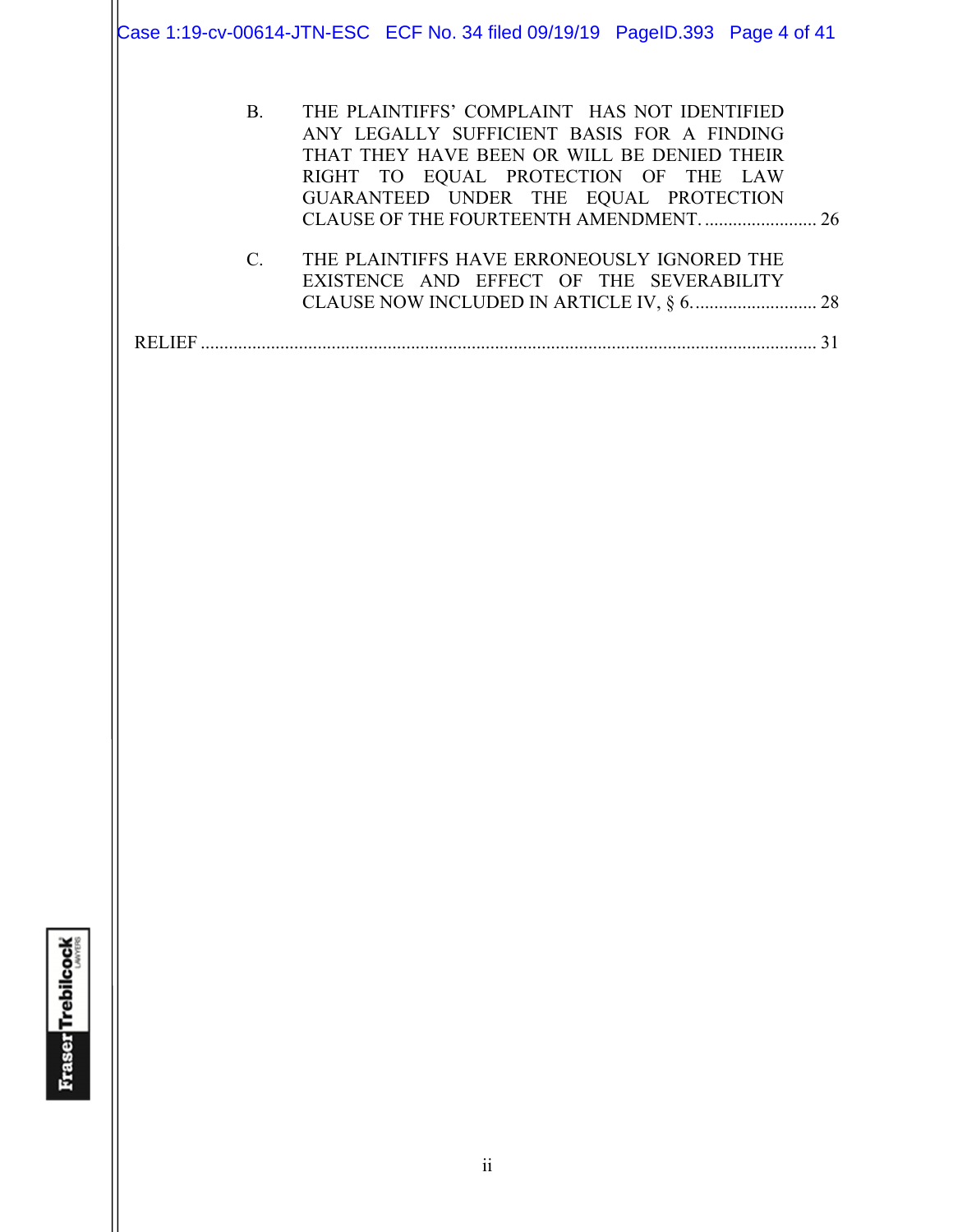Case 1:19-cv-00614-JTN-ESC ECF No. 34 filed 09/19/19 PageID.393 Page 4 of 41

| <b>B.</b>     | THE PLAINTIFFS' COMPLAINT HAS NOT IDENTIFIED<br>ANY LEGALLY SUFFICIENT BASIS FOR A FINDING<br>THAT THEY HAVE BEEN OR WILL BE DENIED THEIR<br>RIGHT TO EQUAL PROTECTION OF THE LAW<br>GUARANTEED UNDER THE EQUAL PROTECTION |  |
|---------------|----------------------------------------------------------------------------------------------------------------------------------------------------------------------------------------------------------------------------|--|
| $C_{\cdot}$   | THE PLAINTIFFS HAVE ERRONEOUSLY IGNORED THE<br>EXISTENCE AND EFFECT OF THE SEVERABILITY                                                                                                                                    |  |
| <b>RELIEF</b> |                                                                                                                                                                                                                            |  |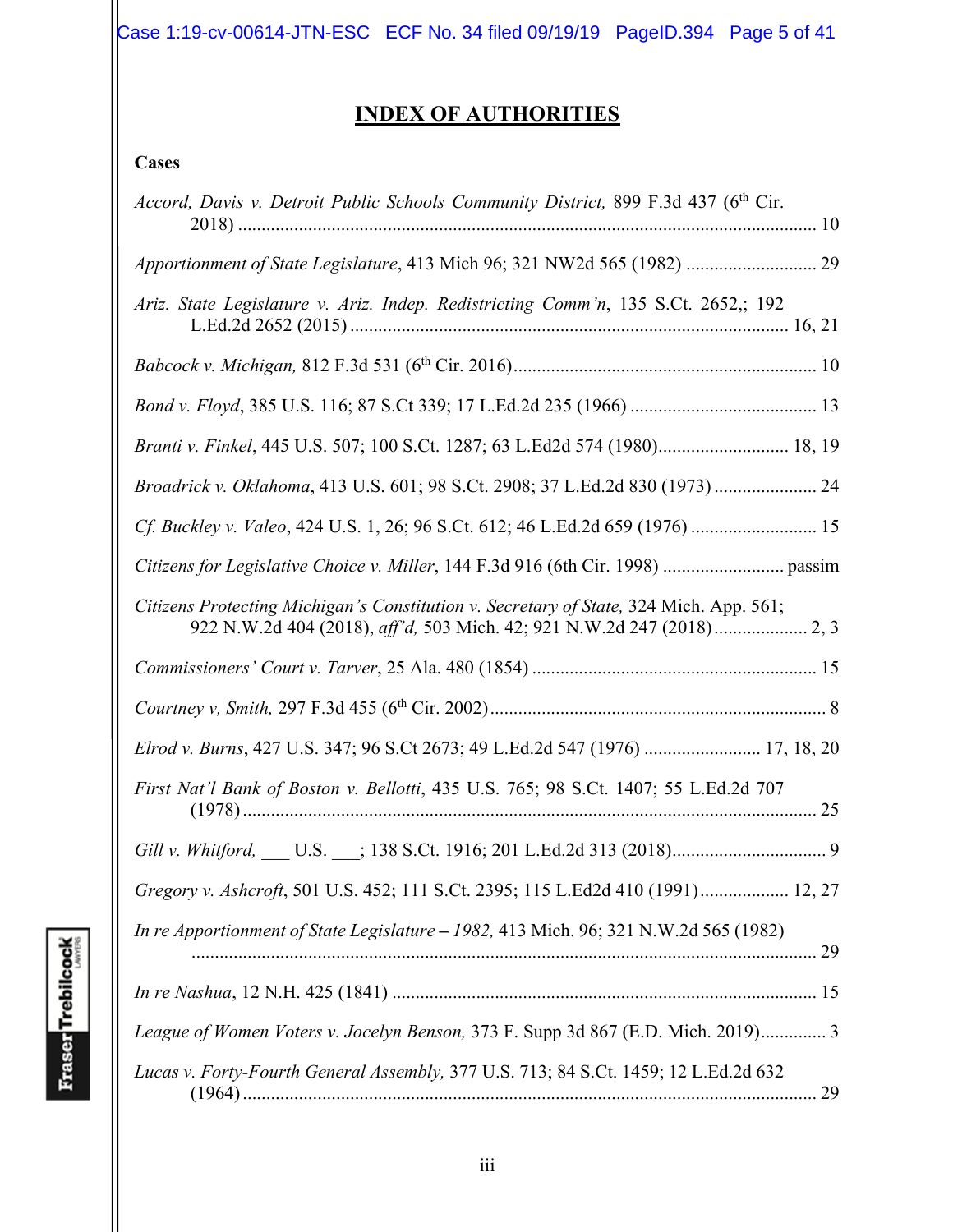Case 1:19-cv-00614-JTN-ESC ECF No. 34 filed 09/19/19 PageID.394 Page 5 of 41

# **INDEX OF AUTHORITIES**

# **Cases**

| Accord, Davis v. Detroit Public Schools Community District, 899 F.3d 437 (6 <sup>th</sup> Cir. |
|------------------------------------------------------------------------------------------------|
| Apportionment of State Legislature, 413 Mich 96; 321 NW2d 565 (1982)  29                       |
| Ariz. State Legislature v. Ariz. Indep. Redistricting Comm'n, 135 S.Ct. 2652,; 192             |
|                                                                                                |
|                                                                                                |
| Branti v. Finkel, 445 U.S. 507; 100 S.Ct. 1287; 63 L.Ed2d 574 (1980) 18, 19                    |
| Broadrick v. Oklahoma, 413 U.S. 601; 98 S.Ct. 2908; 37 L.Ed.2d 830 (1973)  24                  |
| Cf. Buckley v. Valeo, 424 U.S. 1, 26; 96 S.Ct. 612; 46 L.Ed.2d 659 (1976)  15                  |
|                                                                                                |
| Citizens Protecting Michigan's Constitution v. Secretary of State, 324 Mich. App. 561;         |
|                                                                                                |
|                                                                                                |
| Elrod v. Burns, 427 U.S. 347; 96 S.Ct 2673; 49 L.Ed.2d 547 (1976)  17, 18, 20                  |
| First Nat'l Bank of Boston v. Bellotti, 435 U.S. 765; 98 S.Ct. 1407; 55 L.Ed.2d 707            |
|                                                                                                |
| Gregory v. Ashcroft, 501 U.S. 452; 111 S.Ct. 2395; 115 L.Ed2d 410 (1991) 12, 27                |
| In re Apportionment of State Legislature - 1982, 413 Mich. 96; 321 N.W.2d 565 (1982)           |
|                                                                                                |
| League of Women Voters v. Jocelyn Benson, 373 F. Supp 3d 867 (E.D. Mich. 2019) 3               |
| Lucas v. Forty-Fourth General Assembly, 377 U.S. 713; 84 S.Ct. 1459; 12 L.Ed.2d 632            |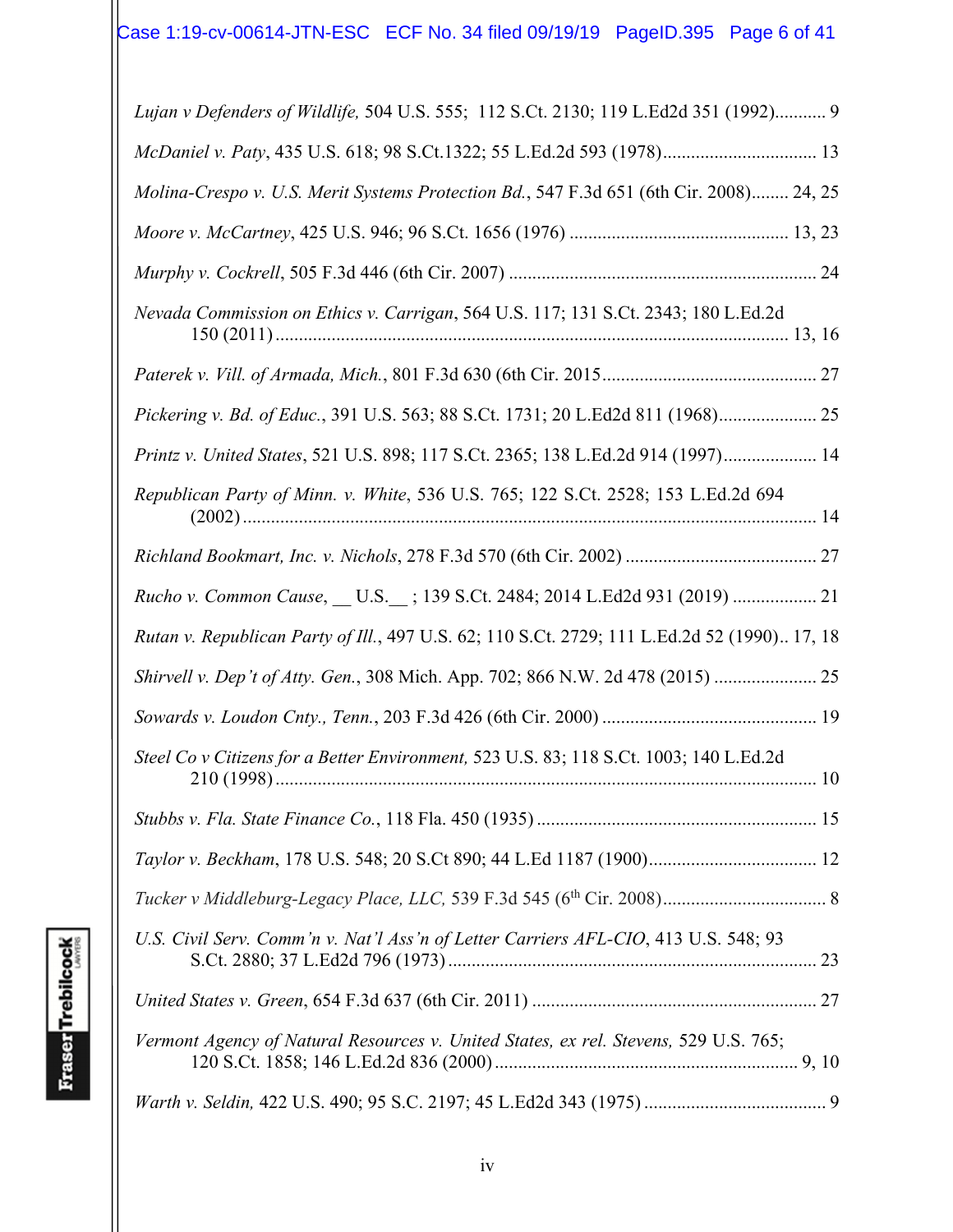| Lujan v Defenders of Wildlife, 504 U.S. 555; 112 S.Ct. 2130; 119 L.Ed2d 351 (1992) 9         |
|----------------------------------------------------------------------------------------------|
| McDaniel v. Paty, 435 U.S. 618; 98 S.Ct.1322; 55 L.Ed.2d 593 (1978) 13                       |
| Molina-Crespo v. U.S. Merit Systems Protection Bd., 547 F.3d 651 (6th Cir. 2008) 24, 25      |
|                                                                                              |
|                                                                                              |
| Nevada Commission on Ethics v. Carrigan, 564 U.S. 117; 131 S.Ct. 2343; 180 L.Ed.2d           |
|                                                                                              |
| Pickering v. Bd. of Educ., 391 U.S. 563; 88 S.Ct. 1731; 20 L.Ed2d 811 (1968) 25              |
| Printz v. United States, 521 U.S. 898; 117 S.Ct. 2365; 138 L.Ed.2d 914 (1997) 14             |
| Republican Party of Minn. v. White, 536 U.S. 765; 122 S.Ct. 2528; 153 L.Ed.2d 694            |
|                                                                                              |
| Rucho v. Common Cause, __ U.S.__; 139 S.Ct. 2484; 2014 L.Ed2d 931 (2019)  21                 |
| Rutan v. Republican Party of Ill., 497 U.S. 62; 110 S.Ct. 2729; 111 L.Ed.2d 52 (1990) 17, 18 |
| Shirvell v. Dep't of Atty. Gen., 308 Mich. App. 702; 866 N.W. 2d 478 (2015)  25              |
|                                                                                              |
| Steel Co v Citizens for a Better Environment, 523 U.S. 83; 118 S.Ct. 1003; 140 L.Ed.2d       |
|                                                                                              |
|                                                                                              |
|                                                                                              |
| U.S. Civil Serv. Comm'n v. Nat'l Ass'n of Letter Carriers AFL-CIO, 413 U.S. 548; 93          |
|                                                                                              |
| Vermont Agency of Natural Resources v. United States, ex rel. Stevens, 529 U.S. 765;         |
|                                                                                              |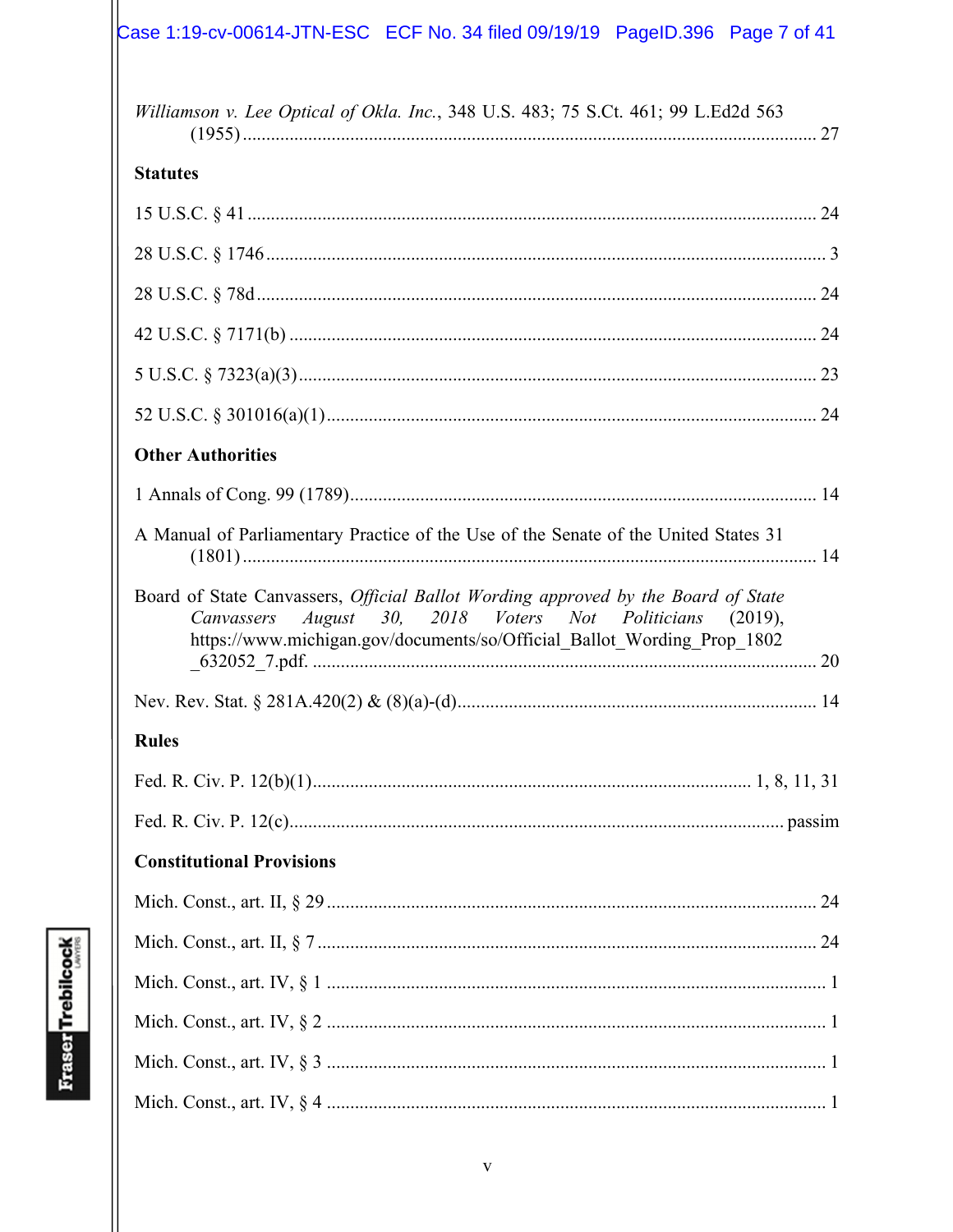# $\vert$ Case 1:19-cv-00614-JTN-ESC ECF No. 34 filed 09/19/19 PageID.396 Page 7 of 41

| Williamson v. Lee Optical of Okla. Inc., 348 U.S. 483; 75 S.Ct. 461; 99 L.Ed2d 563                                                                                                                                        |
|---------------------------------------------------------------------------------------------------------------------------------------------------------------------------------------------------------------------------|
| <b>Statutes</b>                                                                                                                                                                                                           |
|                                                                                                                                                                                                                           |
|                                                                                                                                                                                                                           |
|                                                                                                                                                                                                                           |
|                                                                                                                                                                                                                           |
|                                                                                                                                                                                                                           |
|                                                                                                                                                                                                                           |
| <b>Other Authorities</b>                                                                                                                                                                                                  |
|                                                                                                                                                                                                                           |
| A Manual of Parliamentary Practice of the Use of the Senate of the United States 31                                                                                                                                       |
| Board of State Canvassers, Official Ballot Wording approved by the Board of State<br>Canvassers August 30, 2018 Voters Not Politicians (2019),<br>https://www.michigan.gov/documents/so/Official_Ballot_Wording_Prop_1802 |
|                                                                                                                                                                                                                           |
| <b>Rules</b>                                                                                                                                                                                                              |
|                                                                                                                                                                                                                           |
|                                                                                                                                                                                                                           |
| <b>Constitutional Provisions</b>                                                                                                                                                                                          |
|                                                                                                                                                                                                                           |
|                                                                                                                                                                                                                           |
|                                                                                                                                                                                                                           |
|                                                                                                                                                                                                                           |
|                                                                                                                                                                                                                           |
|                                                                                                                                                                                                                           |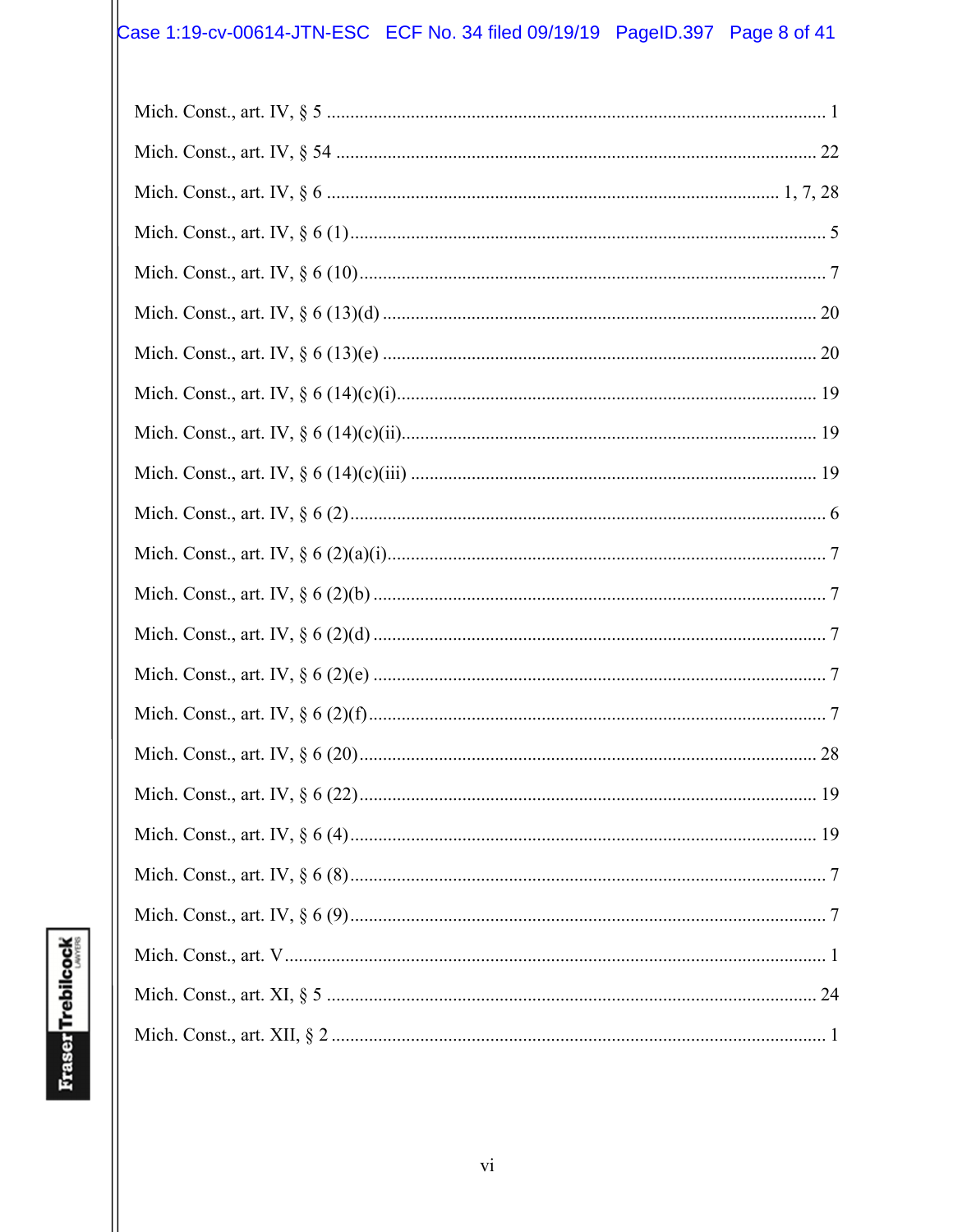# Case 1:19-cv-00614-JTN-ESC ECF No. 34 filed 09/19/19 PageID.397 Page 8 of 41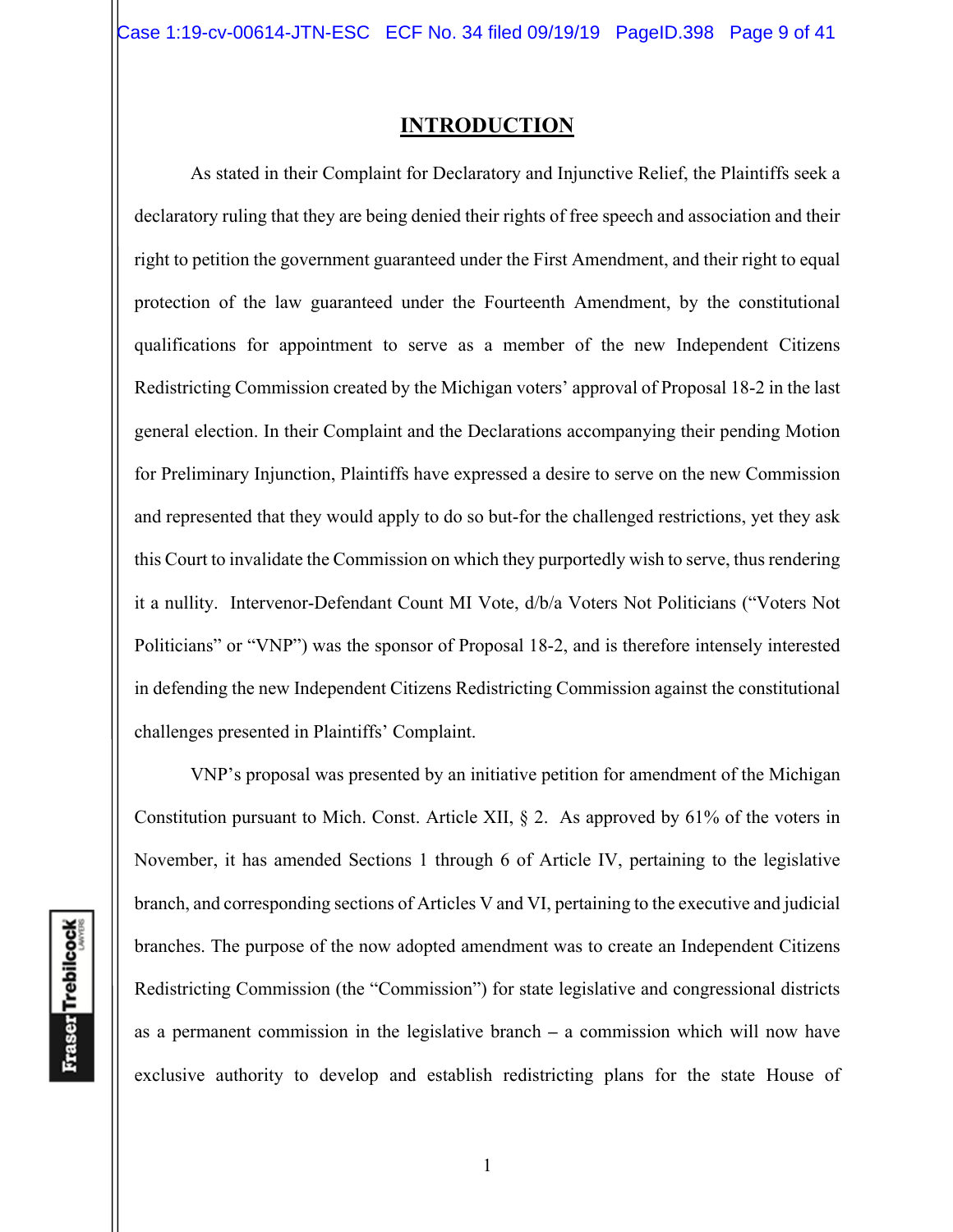### **INTRODUCTION**

As stated in their Complaint for Declaratory and Injunctive Relief, the Plaintiffs seek a declaratory ruling that they are being denied their rights of free speech and association and their right to petition the government guaranteed under the First Amendment, and their right to equal protection of the law guaranteed under the Fourteenth Amendment, by the constitutional qualifications for appointment to serve as a member of the new Independent Citizens Redistricting Commission created by the Michigan voters' approval of Proposal 18-2 in the last general election. In their Complaint and the Declarations accompanying their pending Motion for Preliminary Injunction, Plaintiffs have expressed a desire to serve on the new Commission and represented that they would apply to do so but-for the challenged restrictions, yet they ask this Court to invalidate the Commission on which they purportedly wish to serve, thus rendering it a nullity. Intervenor-Defendant Count MI Vote, d/b/a Voters Not Politicians ("Voters Not Politicians" or "VNP") was the sponsor of Proposal 18-2, and is therefore intensely interested in defending the new Independent Citizens Redistricting Commission against the constitutional challenges presented in Plaintiffs' Complaint.

VNP's proposal was presented by an initiative petition for amendment of the Michigan Constitution pursuant to Mich. Const. Article XII,  $\S$  2. As approved by 61% of the voters in November, it has amended Sections 1 through 6 of Article IV, pertaining to the legislative branch, and corresponding sections of Articles V and VI, pertaining to the executive and judicial branches. The purpose of the now adopted amendment was to create an Independent Citizens Redistricting Commission (the "Commission") for state legislative and congressional districts as a permanent commission in the legislative branch **–** a commission which will now have exclusive authority to develop and establish redistricting plans for the state House of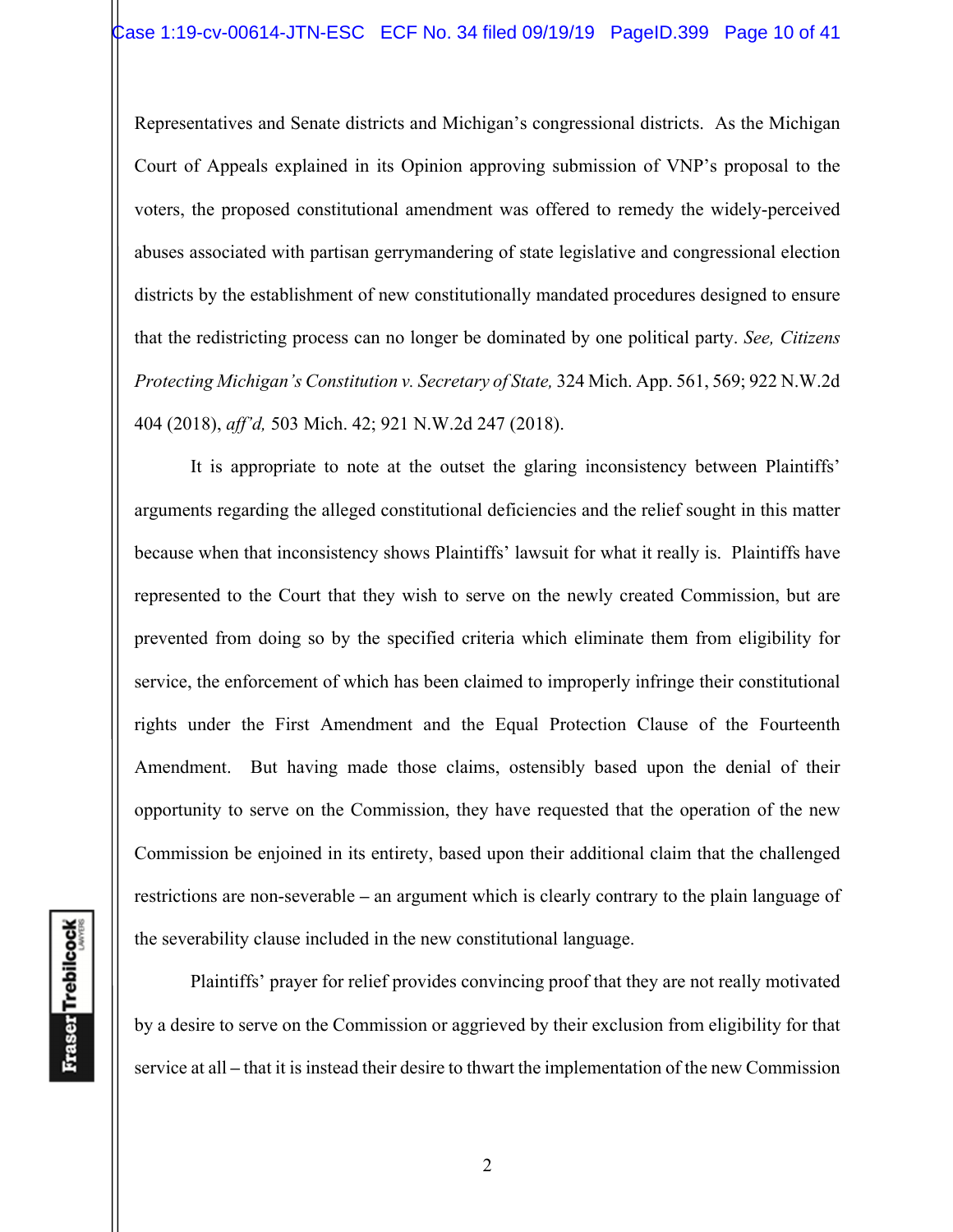Representatives and Senate districts and Michigan's congressional districts. As the Michigan Court of Appeals explained in its Opinion approving submission of VNP's proposal to the voters, the proposed constitutional amendment was offered to remedy the widely-perceived abuses associated with partisan gerrymandering of state legislative and congressional election districts by the establishment of new constitutionally mandated procedures designed to ensure that the redistricting process can no longer be dominated by one political party. *See, Citizens Protecting Michigan's Constitution v. Secretary of State,* 324 Mich. App. 561, 569; 922 N.W.2d 404 (2018), *aff'd,* 503 Mich. 42; 921 N.W.2d 247 (2018).

It is appropriate to note at the outset the glaring inconsistency between Plaintiffs' arguments regarding the alleged constitutional deficiencies and the relief sought in this matter because when that inconsistency shows Plaintiffs' lawsuit for what it really is. Plaintiffs have represented to the Court that they wish to serve on the newly created Commission, but are prevented from doing so by the specified criteria which eliminate them from eligibility for service, the enforcement of which has been claimed to improperly infringe their constitutional rights under the First Amendment and the Equal Protection Clause of the Fourteenth Amendment. But having made those claims, ostensibly based upon the denial of their opportunity to serve on the Commission, they have requested that the operation of the new Commission be enjoined in its entirety, based upon their additional claim that the challenged restrictions are non-severable **–** an argument which is clearly contrary to the plain language of the severability clause included in the new constitutional language.

Plaintiffs' prayer for relief provides convincing proof that they are not really motivated by a desire to serve on the Commission or aggrieved by their exclusion from eligibility for that service at all **–** that it is instead their desire to thwart the implementation of the new Commission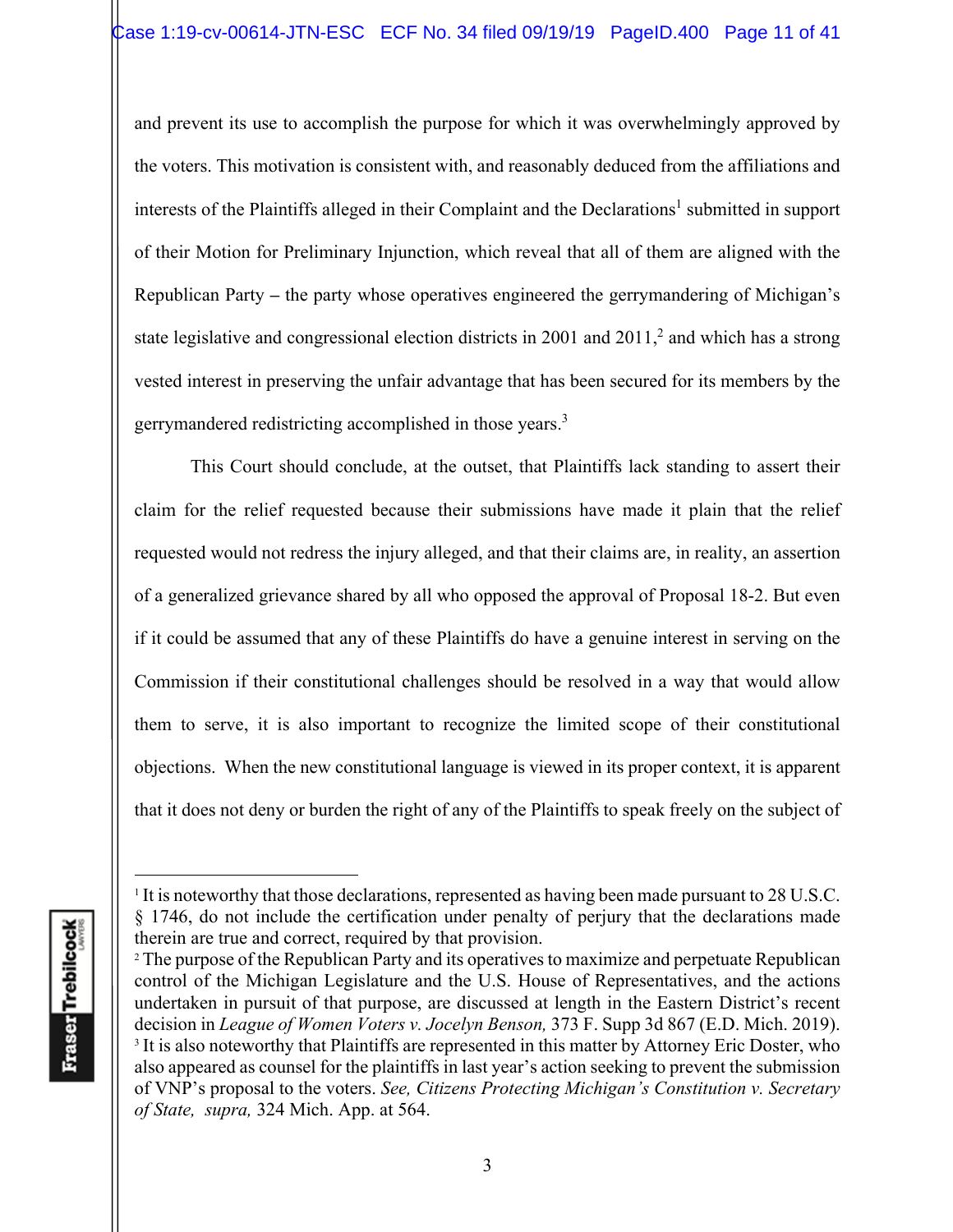and prevent its use to accomplish the purpose for which it was overwhelmingly approved by the voters. This motivation is consistent with, and reasonably deduced from the affiliations and interests of the Plaintiffs alleged in their Complaint and the Declarations<sup>1</sup> submitted in support of their Motion for Preliminary Injunction, which reveal that all of them are aligned with the Republican Party **–** the party whose operatives engineered the gerrymandering of Michigan's state legislative and congressional election districts in 2001 and  $2011$ ,<sup>2</sup> and which has a strong vested interest in preserving the unfair advantage that has been secured for its members by the gerrymandered redistricting accomplished in those years.3

This Court should conclude, at the outset, that Plaintiffs lack standing to assert their claim for the relief requested because their submissions have made it plain that the relief requested would not redress the injury alleged, and that their claims are, in reality, an assertion of a generalized grievance shared by all who opposed the approval of Proposal 18-2. But even if it could be assumed that any of these Plaintiffs do have a genuine interest in serving on the Commission if their constitutional challenges should be resolved in a way that would allow them to serve, it is also important to recognize the limited scope of their constitutional objections. When the new constitutional language is viewed in its proper context, it is apparent that it does not deny or burden the right of any of the Plaintiffs to speak freely on the subject of

<sup>&</sup>lt;sup>1</sup> It is noteworthy that those declarations, represented as having been made pursuant to 28 U.S.C. § 1746, do not include the certification under penalty of perjury that the declarations made therein are true and correct, required by that provision.<br><sup>2</sup> The purpose of the Republican Party and its operatives to maximize and perpetuate Republican

control of the Michigan Legislature and the U.S. House of Representatives, and the actions undertaken in pursuit of that purpose, are discussed at length in the Eastern District's recent decision in *League of Women Voters v. Jocelyn Benson,* 373 F. Supp 3d 867 (E.D. Mich. 2019). <sup>3</sup> It is also noteworthy that Plaintiffs are represented in this matter by Attorney Eric Doster, who also appeared as counsel for the plaintiffs in last year's action seeking to prevent the submission of VNP's proposal to the voters. *See, Citizens Protecting Michigan's Constitution v. Secretary of State, supra,* 324 Mich. App. at 564.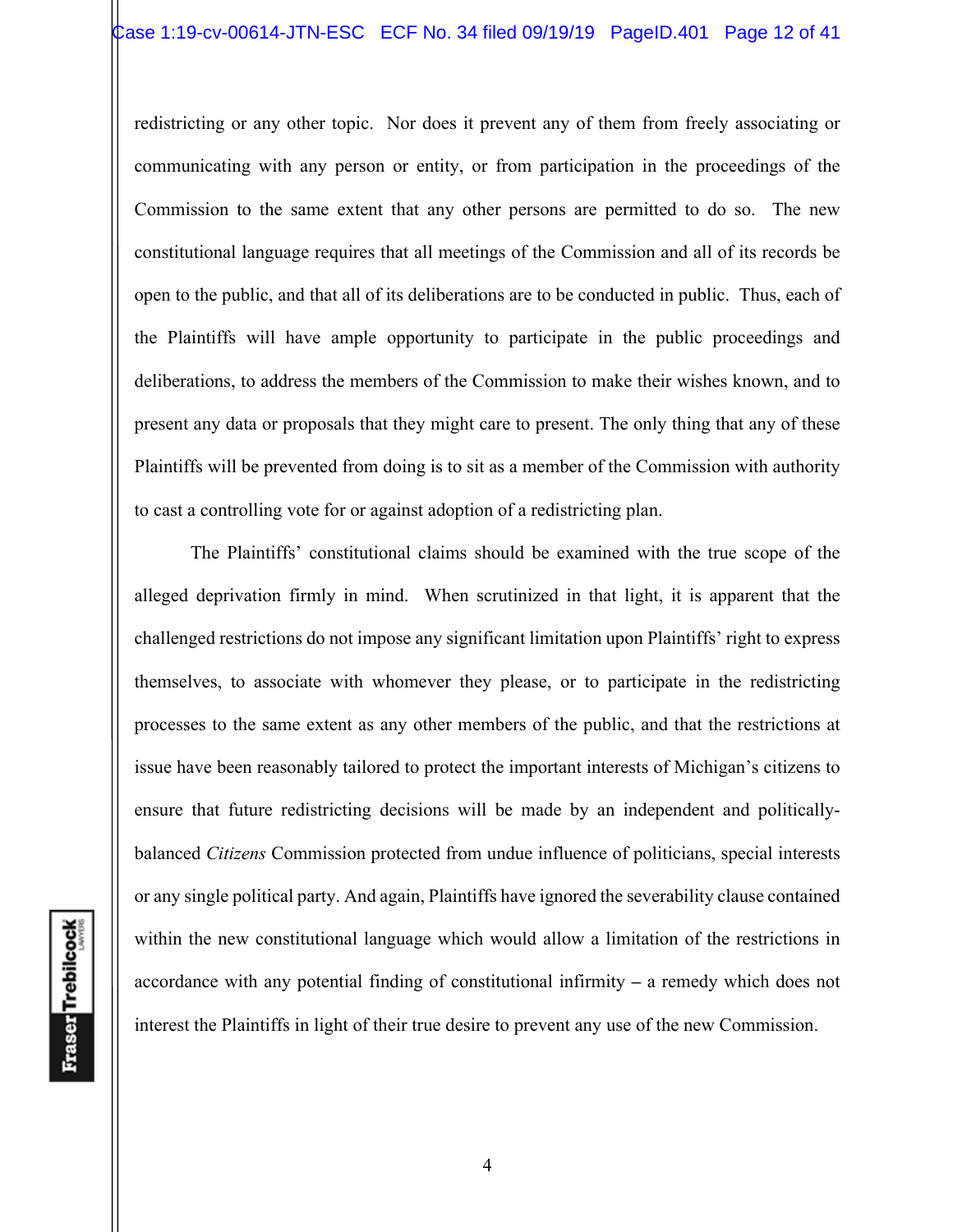redistricting or any other topic. Nor does it prevent any of them from freely associating or communicating with any person or entity, or from participation in the proceedings of the Commission to the same extent that any other persons are permitted to do so. The new constitutional language requires that all meetings of the Commission and all of its records be open to the public, and that all of its deliberations are to be conducted in public. Thus, each of the Plaintiffs will have ample opportunity to participate in the public proceedings and deliberations, to address the members of the Commission to make their wishes known, and to present any data or proposals that they might care to present. The only thing that any of these Plaintiffs will be prevented from doing is to sit as a member of the Commission with authority to cast a controlling vote for or against adoption of a redistricting plan.

The Plaintiffs' constitutional claims should be examined with the true scope of the alleged deprivation firmly in mind. When scrutinized in that light, it is apparent that the challenged restrictions do not impose any significant limitation upon Plaintiffs' right to express themselves, to associate with whomever they please, or to participate in the redistricting processes to the same extent as any other members of the public, and that the restrictions at issue have been reasonably tailored to protect the important interests of Michigan's citizens to ensure that future redistricting decisions will be made by an independent and politicallybalanced *Citizens* Commission protected from undue influence of politicians, special interests or any single political party. And again, Plaintiffs have ignored the severability clause contained within the new constitutional language which would allow a limitation of the restrictions in accordance with any potential finding of constitutional infirmity **–** a remedy which does not interest the Plaintiffs in light of their true desire to prevent any use of the new Commission.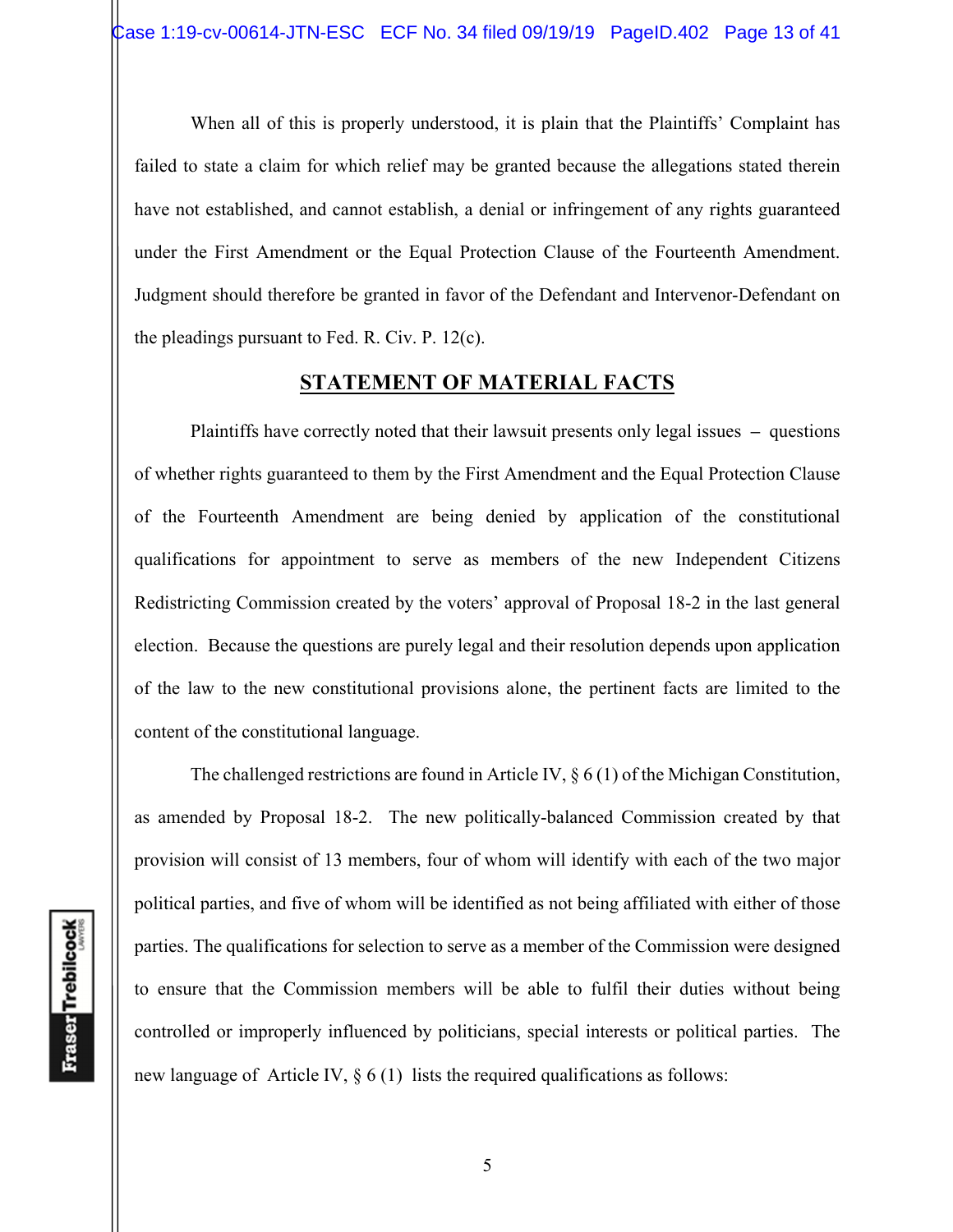When all of this is properly understood, it is plain that the Plaintiffs' Complaint has failed to state a claim for which relief may be granted because the allegations stated therein have not established, and cannot establish, a denial or infringement of any rights guaranteed under the First Amendment or the Equal Protection Clause of the Fourteenth Amendment. Judgment should therefore be granted in favor of the Defendant and Intervenor-Defendant on the pleadings pursuant to Fed. R. Civ. P. 12(c).

## **STATEMENT OF MATERIAL FACTS**

 Plaintiffs have correctly noted that their lawsuit presents only legal issues **–** questions of whether rights guaranteed to them by the First Amendment and the Equal Protection Clause of the Fourteenth Amendment are being denied by application of the constitutional qualifications for appointment to serve as members of the new Independent Citizens Redistricting Commission created by the voters' approval of Proposal 18-2 in the last general election. Because the questions are purely legal and their resolution depends upon application of the law to the new constitutional provisions alone, the pertinent facts are limited to the content of the constitutional language.

 The challenged restrictions are found in Article IV, § 6 (1) of the Michigan Constitution, as amended by Proposal 18-2. The new politically-balanced Commission created by that provision will consist of 13 members, four of whom will identify with each of the two major political parties, and five of whom will be identified as not being affiliated with either of those parties. The qualifications for selection to serve as a member of the Commission were designed to ensure that the Commission members will be able to fulfil their duties without being controlled or improperly influenced by politicians, special interests or political parties. The new language of Article IV,  $\S 6(1)$  lists the required qualifications as follows: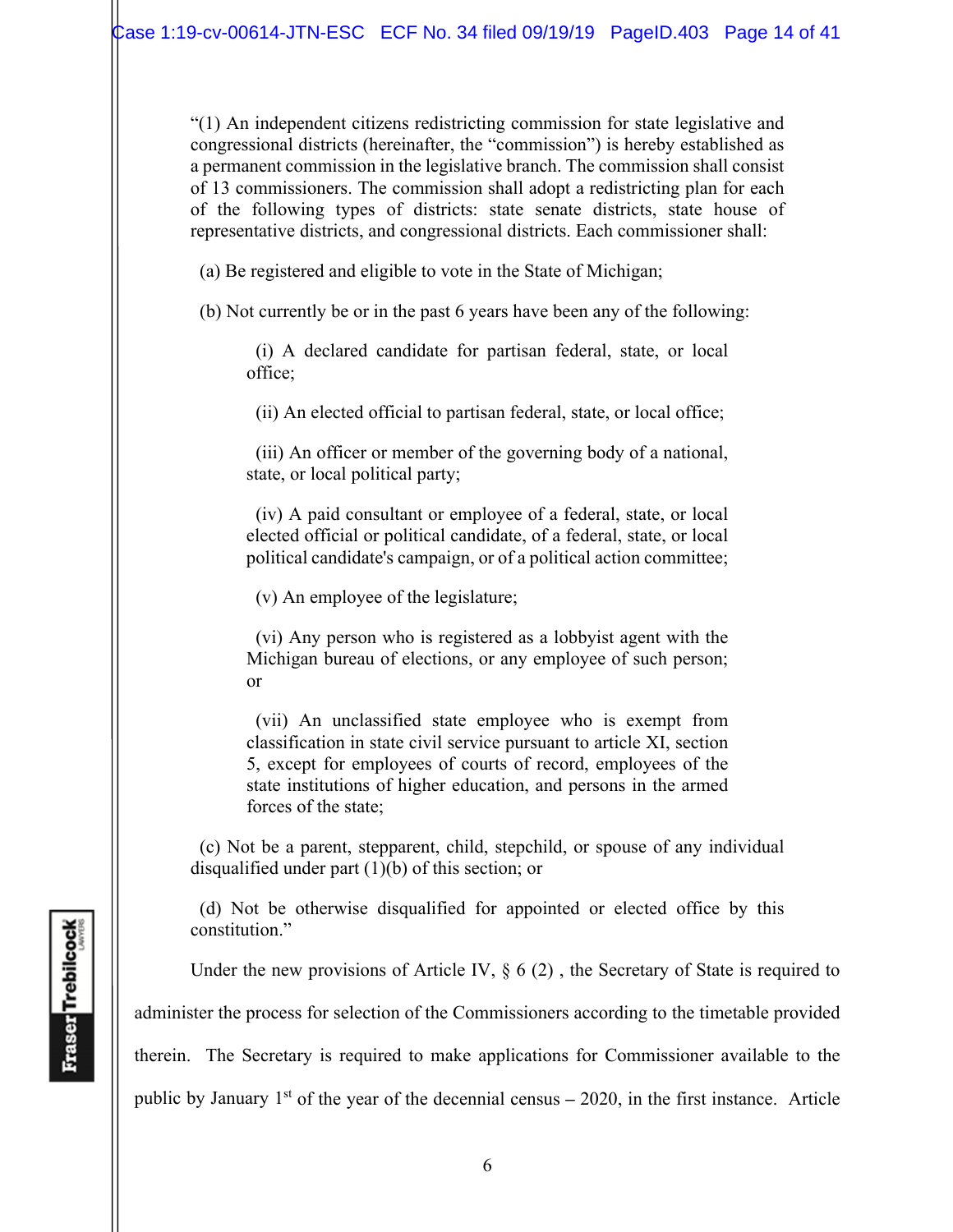"(1) An independent citizens redistricting commission for state legislative and congressional districts (hereinafter, the "commission") is hereby established as a permanent commission in the legislative branch. The commission shall consist of 13 commissioners. The commission shall adopt a redistricting plan for each of the following types of districts: state senate districts, state house of representative districts, and congressional districts. Each commissioner shall:

(a) Be registered and eligible to vote in the State of Michigan;

(b) Not currently be or in the past 6 years have been any of the following:

 (i) A declared candidate for partisan federal, state, or local office;

(ii) An elected official to partisan federal, state, or local office;

 (iii) An officer or member of the governing body of a national, state, or local political party;

 (iv) A paid consultant or employee of a federal, state, or local elected official or political candidate, of a federal, state, or local political candidate's campaign, or of a political action committee;

(v) An employee of the legislature;

 (vi) Any person who is registered as a lobbyist agent with the Michigan bureau of elections, or any employee of such person; or

 (vii) An unclassified state employee who is exempt from classification in state civil service pursuant to article XI, section 5, except for employees of courts of record, employees of the state institutions of higher education, and persons in the armed forces of the state;

 (c) Not be a parent, stepparent, child, stepchild, or spouse of any individual disqualified under part (1)(b) of this section; or

 (d) Not be otherwise disqualified for appointed or elected office by this constitution."

Under the new provisions of Article IV,  $\S 6(2)$ , the Secretary of State is required to

administer the process for selection of the Commissioners according to the timetable provided

therein. The Secretary is required to make applications for Commissioner available to the

public by January 1<sup>st</sup> of the year of the decennial census – 2020, in the first instance. Article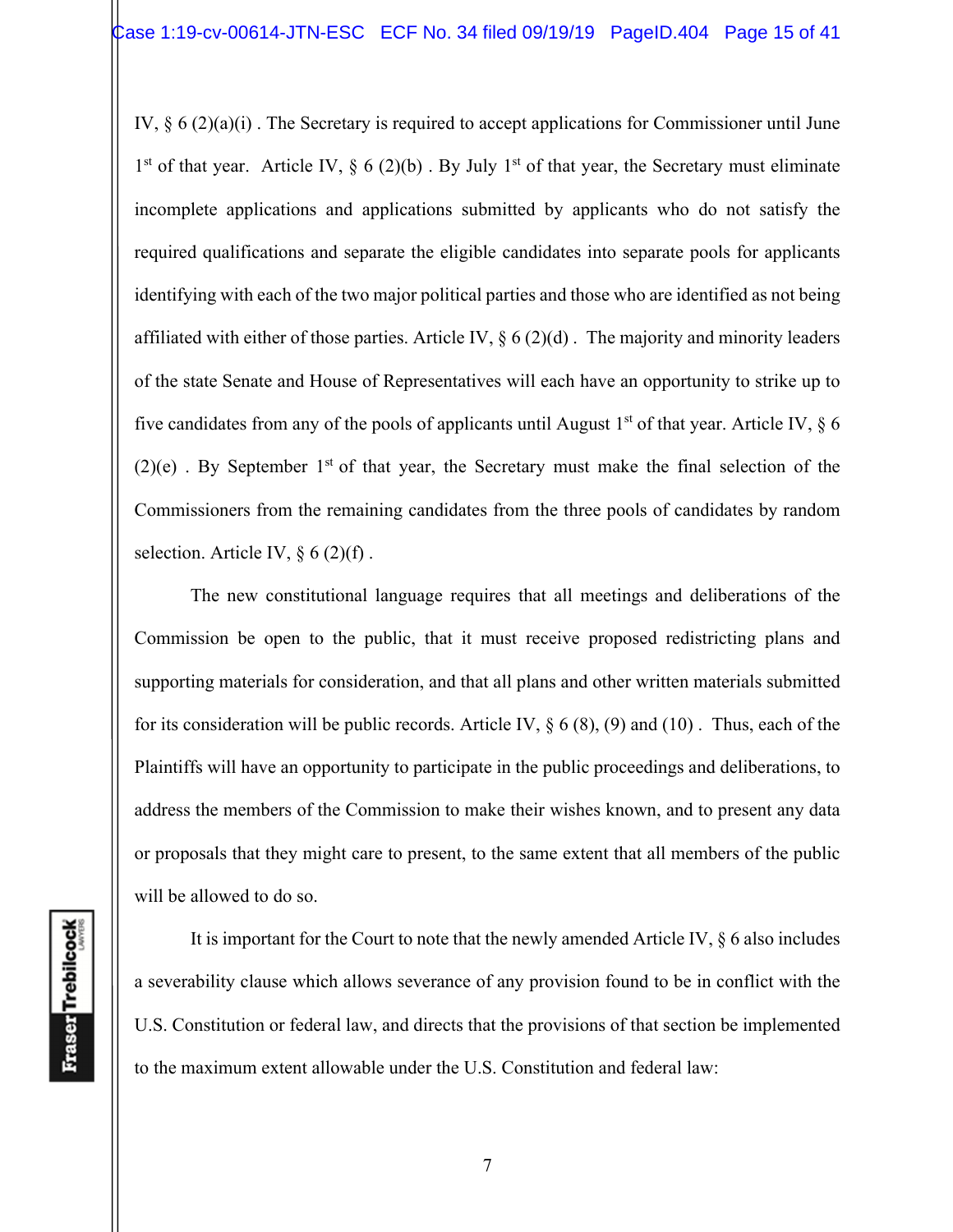IV, § 6 (2)(a)(i) . The Secretary is required to accept applications for Commissioner until June 1<sup>st</sup> of that year. Article IV,  $\S 6 (2)(b)$ . By July 1<sup>st</sup> of that year, the Secretary must eliminate incomplete applications and applications submitted by applicants who do not satisfy the required qualifications and separate the eligible candidates into separate pools for applicants identifying with each of the two major political parties and those who are identified as not being affiliated with either of those parties. Article IV,  $\S 6 (2)(d)$ . The majority and minority leaders of the state Senate and House of Representatives will each have an opportunity to strike up to five candidates from any of the pools of applicants until August  $1<sup>st</sup>$  of that year. Article IV,  $\S$  6  $(2)(e)$ . By September 1<sup>st</sup> of that year, the Secretary must make the final selection of the Commissioners from the remaining candidates from the three pools of candidates by random selection. Article IV,  $\S 6 (2)(f)$ .

 The new constitutional language requires that all meetings and deliberations of the Commission be open to the public, that it must receive proposed redistricting plans and supporting materials for consideration, and that all plans and other written materials submitted for its consideration will be public records. Article IV,  $\S 6 (8)$ , (9) and (10). Thus, each of the Plaintiffs will have an opportunity to participate in the public proceedings and deliberations, to address the members of the Commission to make their wishes known, and to present any data or proposals that they might care to present, to the same extent that all members of the public will be allowed to do so.

 It is important for the Court to note that the newly amended Article IV, § 6 also includes a severability clause which allows severance of any provision found to be in conflict with the U.S. Constitution or federal law, and directs that the provisions of that section be implemented to the maximum extent allowable under the U.S. Constitution and federal law: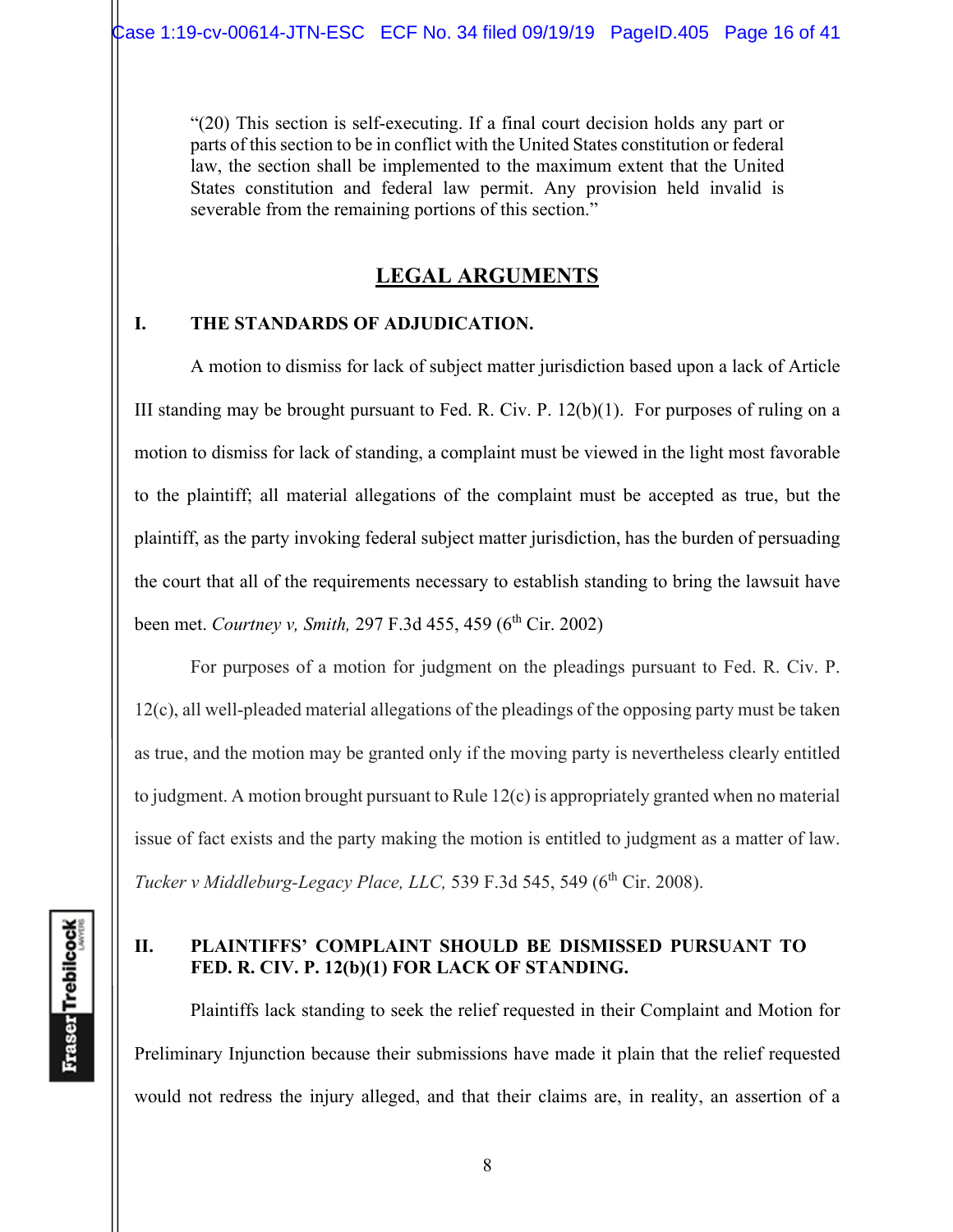"(20) This section is self-executing. If a final court decision holds any part or parts of this section to be in conflict with the United States constitution or federal law, the section shall be implemented to the maximum extent that the United States constitution and federal law permit. Any provision held invalid is severable from the remaining portions of this section."

# **LEGAL ARGUMENTS**

## **I. THE STANDARDS OF ADJUDICATION.**

A motion to dismiss for lack of subject matter jurisdiction based upon a lack of Article III standing may be brought pursuant to Fed. R. Civ. P.  $12(b)(1)$ . For purposes of ruling on a motion to dismiss for lack of standing, a complaint must be viewed in the light most favorable to the plaintiff; all material allegations of the complaint must be accepted as true, but the plaintiff, as the party invoking federal subject matter jurisdiction, has the burden of persuading the court that all of the requirements necessary to establish standing to bring the lawsuit have been met. *Courtney v, Smith,* 297 F.3d 455, 459 (6<sup>th</sup> Cir. 2002)

For purposes of a motion for judgment on the pleadings pursuant to Fed. R. Civ. P. 12(c), all well-pleaded material allegations of the pleadings of the opposing party must be taken as true, and the motion may be granted only if the moving party is nevertheless clearly entitled to judgment. A motion brought pursuant to Rule 12(c) is appropriately granted when no material issue of fact exists and the party making the motion is entitled to judgment as a matter of law. *Tucker v Middleburg-Legacy Place, LLC,* 539 F.3d 545, 549 (6<sup>th</sup> Cir. 2008).

# **II. PLAINTIFFS' COMPLAINT SHOULD BE DISMISSED PURSUANT TO FED. R. CIV. P. 12(b)(1) FOR LACK OF STANDING.**

Plaintiffs lack standing to seek the relief requested in their Complaint and Motion for Preliminary Injunction because their submissions have made it plain that the relief requested would not redress the injury alleged, and that their claims are, in reality, an assertion of a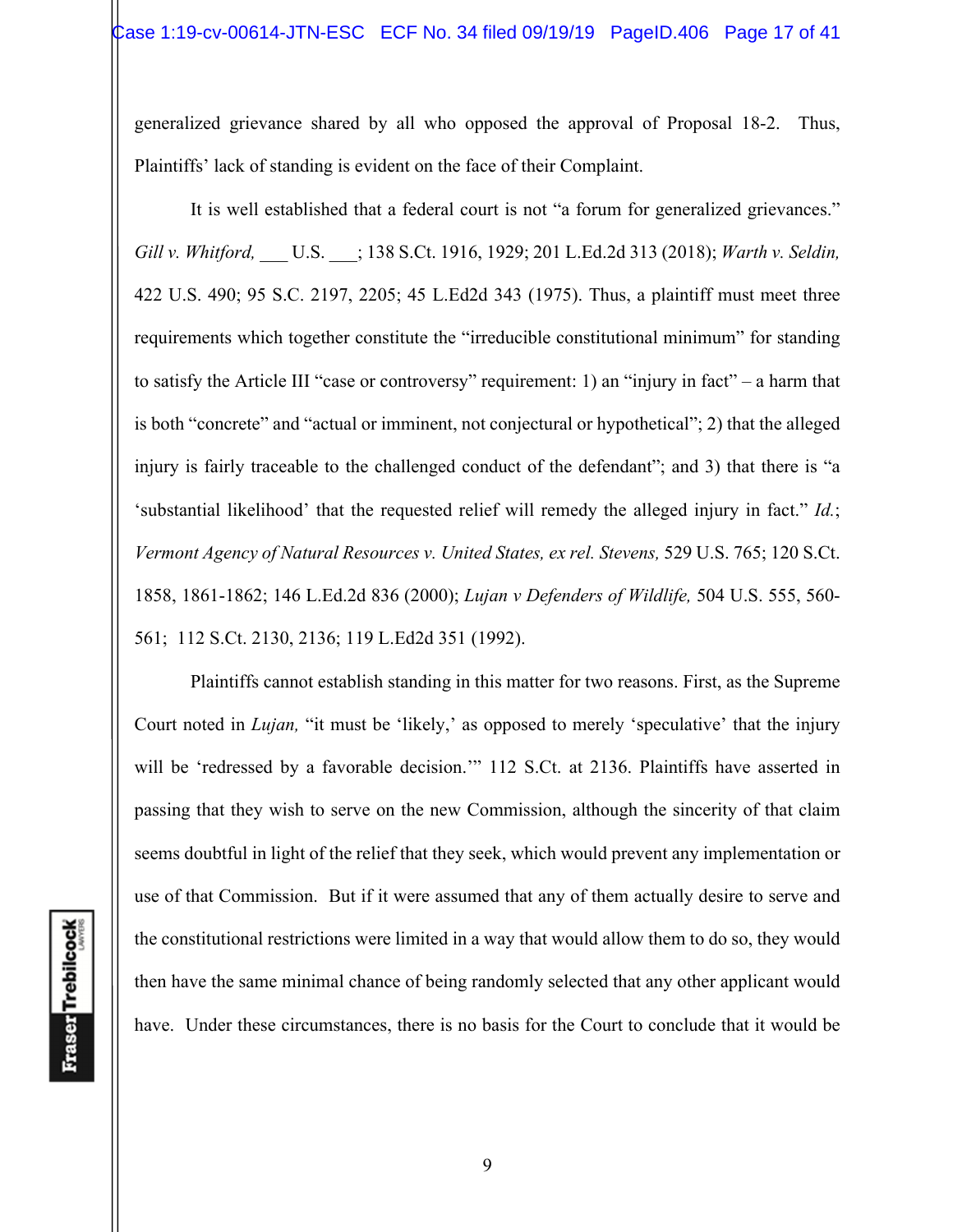generalized grievance shared by all who opposed the approval of Proposal 18-2. Thus, Plaintiffs' lack of standing is evident on the face of their Complaint.

It is well established that a federal court is not "a forum for generalized grievances." *Gill v. Whitford,* \_\_\_ U.S. \_\_\_; 138 S.Ct. 1916, 1929; 201 L.Ed.2d 313 (2018); *Warth v. Seldin,*  422 U.S. 490; 95 S.C. 2197, 2205; 45 L.Ed2d 343 (1975). Thus, a plaintiff must meet three requirements which together constitute the "irreducible constitutional minimum" for standing to satisfy the Article III "case or controversy" requirement: 1) an "injury in fact" – a harm that is both "concrete" and "actual or imminent, not conjectural or hypothetical"; 2) that the alleged injury is fairly traceable to the challenged conduct of the defendant"; and 3) that there is "a 'substantial likelihood' that the requested relief will remedy the alleged injury in fact." *Id.*; *Vermont Agency of Natural Resources v. United States, ex rel. Stevens,* 529 U.S. 765; 120 S.Ct. 1858, 1861-1862; 146 L.Ed.2d 836 (2000); *Lujan v Defenders of Wildlife,* 504 U.S. 555, 560- 561;112 S.Ct. 2130, 2136; 119 L.Ed2d 351 (1992).

Plaintiffs cannot establish standing in this matter for two reasons. First, as the Supreme Court noted in *Lujan*, "it must be 'likely,' as opposed to merely 'speculative' that the injury will be 'redressed by a favorable decision.'" 112 S.Ct. at 2136. Plaintiffs have asserted in passing that they wish to serve on the new Commission, although the sincerity of that claim seems doubtful in light of the relief that they seek, which would prevent any implementation or use of that Commission. But if it were assumed that any of them actually desire to serve and the constitutional restrictions were limited in a way that would allow them to do so, they would then have the same minimal chance of being randomly selected that any other applicant would have. Under these circumstances, there is no basis for the Court to conclude that it would be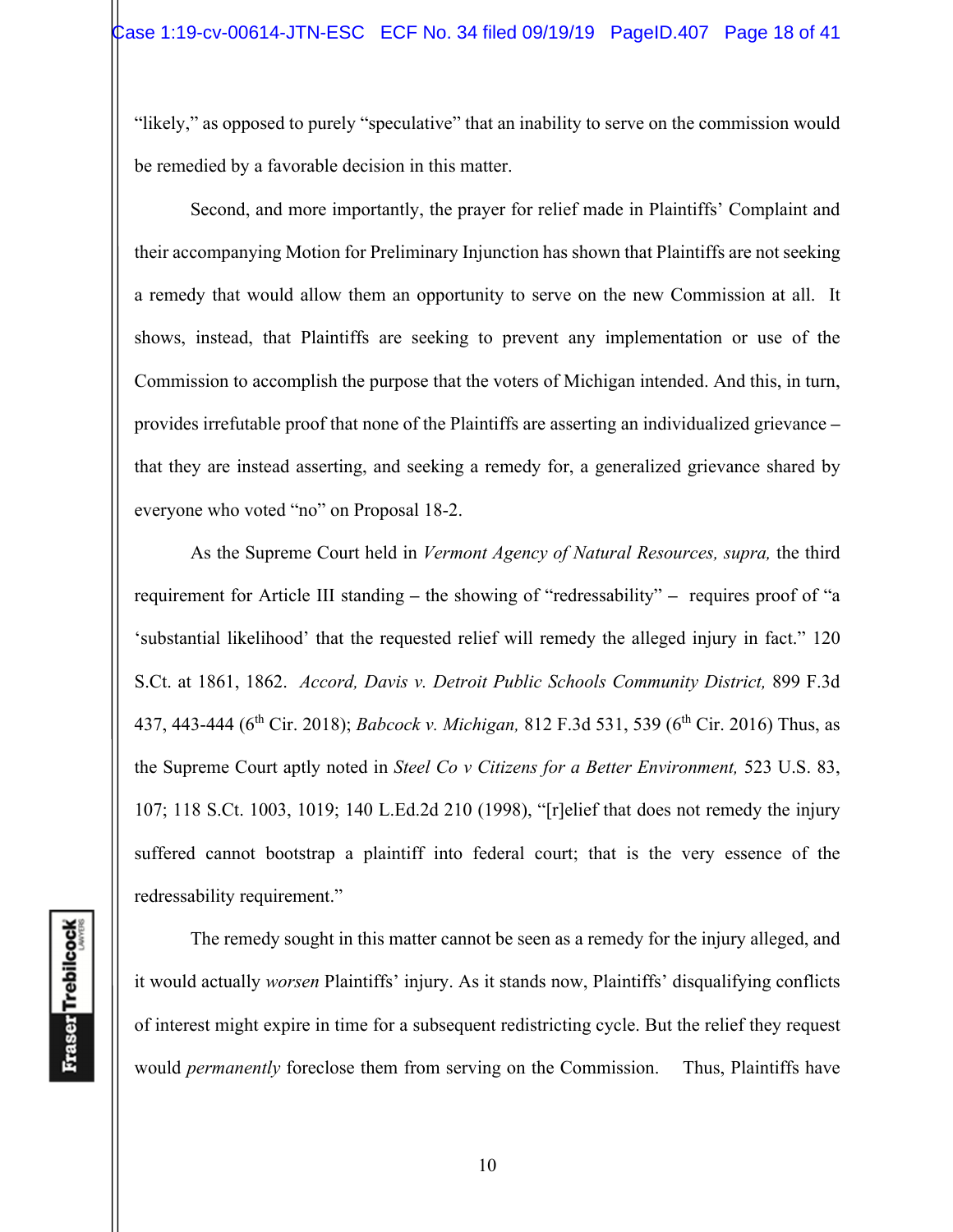"likely," as opposed to purely "speculative" that an inability to serve on the commission would be remedied by a favorable decision in this matter.

Second, and more importantly, the prayer for relief made in Plaintiffs' Complaint and their accompanying Motion for Preliminary Injunction has shown that Plaintiffs are not seeking a remedy that would allow them an opportunity to serve on the new Commission at all. It shows, instead, that Plaintiffs are seeking to prevent any implementation or use of the Commission to accomplish the purpose that the voters of Michigan intended. And this, in turn, provides irrefutable proof that none of the Plaintiffs are asserting an individualized grievance **–** that they are instead asserting, and seeking a remedy for, a generalized grievance shared by everyone who voted "no" on Proposal 18-2.

As the Supreme Court held in *Vermont Agency of Natural Resources, supra,* the third requirement for Article III standing **–** the showing of "redressability" **–** requires proof of "a 'substantial likelihood' that the requested relief will remedy the alleged injury in fact." 120 S.Ct. at 1861, 1862. *Accord, Davis v. Detroit Public Schools Community District,* 899 F.3d 437, 443-444 (6<sup>th</sup> Cir. 2018); *Babcock v. Michigan*, 812 F.3d 531, 539 (6<sup>th</sup> Cir. 2016) Thus, as the Supreme Court aptly noted in *Steel Co v Citizens for a Better Environment,* 523 U.S. 83, 107; 118 S.Ct. 1003, 1019; 140 L.Ed.2d 210 (1998), "[r]elief that does not remedy the injury suffered cannot bootstrap a plaintiff into federal court; that is the very essence of the redressability requirement."

The remedy sought in this matter cannot be seen as a remedy for the injury alleged, and it would actually *worsen* Plaintiffs' injury. As it stands now, Plaintiffs' disqualifying conflicts of interest might expire in time for a subsequent redistricting cycle. But the relief they request would *permanently* foreclose them from serving on the Commission. Thus, Plaintiffs have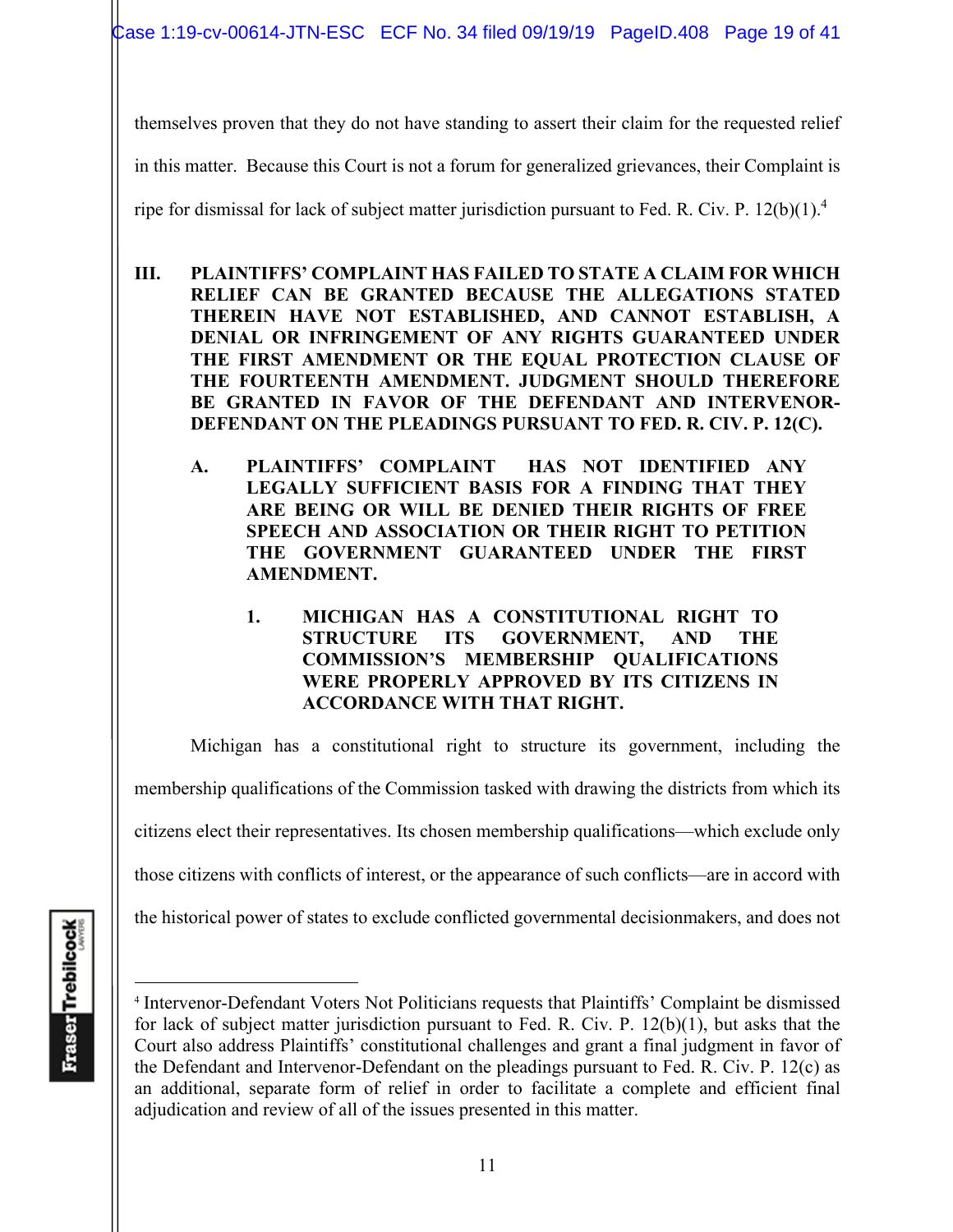Case 1:19-cv-00614-JTN-ESC ECF No. 34 filed 09/19/19 PageID.408 Page 19 of 41

themselves proven that they do not have standing to assert their claim for the requested relief

in this matter. Because this Court is not a forum for generalized grievances, their Complaint is

ripe for dismissal for lack of subject matter jurisdiction pursuant to Fed. R. Civ. P.  $12(b)(1).<sup>4</sup>$ 

- **III. PLAINTIFFS' COMPLAINT HAS FAILED TO STATE A CLAIM FOR WHICH RELIEF CAN BE GRANTED BECAUSE THE ALLEGATIONS STATED THEREIN HAVE NOT ESTABLISHED, AND CANNOT ESTABLISH, A DENIAL OR INFRINGEMENT OF ANY RIGHTS GUARANTEED UNDER THE FIRST AMENDMENT OR THE EQUAL PROTECTION CLAUSE OF THE FOURTEENTH AMENDMENT. JUDGMENT SHOULD THEREFORE BE GRANTED IN FAVOR OF THE DEFENDANT AND INTERVENOR-DEFENDANT ON THE PLEADINGS PURSUANT TO FED. R. CIV. P. 12(C).** 
	- **A. PLAINTIFFS' COMPLAINT HAS NOT IDENTIFIED ANY LEGALLY SUFFICIENT BASIS FOR A FINDING THAT THEY ARE BEING OR WILL BE DENIED THEIR RIGHTS OF FREE SPEECH AND ASSOCIATION OR THEIR RIGHT TO PETITION THE GOVERNMENT GUARANTEED UNDER THE FIRST AMENDMENT.** 
		- **1. MICHIGAN HAS A CONSTITUTIONAL RIGHT TO STRUCTURE ITS GOVERNMENT, AND THE COMMISSION'S MEMBERSHIP QUALIFICATIONS WERE PROPERLY APPROVED BY ITS CITIZENS IN ACCORDANCE WITH THAT RIGHT.**

Michigan has a constitutional right to structure its government, including the membership qualifications of the Commission tasked with drawing the districts from which its

citizens elect their representatives. Its chosen membership qualifications—which exclude only

those citizens with conflicts of interest, or the appearance of such conflicts—are in accord with

the historical power of states to exclude conflicted governmental decisionmakers, and does not

<sup>4</sup> Intervenor-Defendant Voters Not Politicians requests that Plaintiffs' Complaint be dismissed for lack of subject matter jurisdiction pursuant to Fed. R. Civ. P. 12(b)(1), but asks that the Court also address Plaintiffs' constitutional challenges and grant a final judgment in favor of the Defendant and Intervenor-Defendant on the pleadings pursuant to Fed. R. Civ. P. 12(c) as an additional, separate form of relief in order to facilitate a complete and efficient final adjudication and review of all of the issues presented in this matter.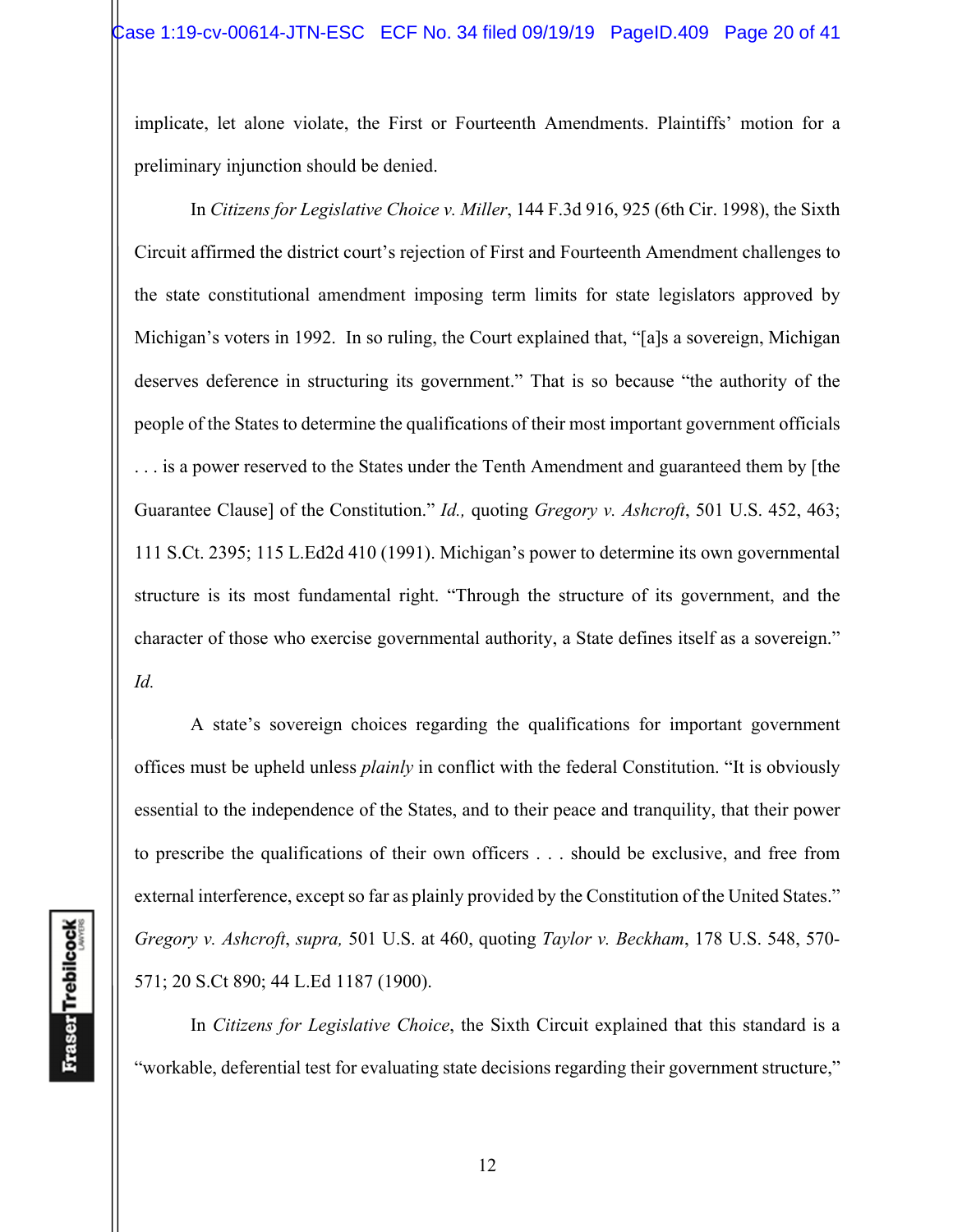implicate, let alone violate, the First or Fourteenth Amendments. Plaintiffs' motion for a preliminary injunction should be denied.

In *Citizens for Legislative Choice v. Miller*, 144 F.3d 916, 925 (6th Cir. 1998), the Sixth Circuit affirmed the district court's rejection of First and Fourteenth Amendment challenges to the state constitutional amendment imposing term limits for state legislators approved by Michigan's voters in 1992. In so ruling, the Court explained that, "[a]s a sovereign, Michigan deserves deference in structuring its government." That is so because "the authority of the people of the States to determine the qualifications of their most important government officials . . . is a power reserved to the States under the Tenth Amendment and guaranteed them by [the Guarantee Clause] of the Constitution." *Id.,* quoting *Gregory v. Ashcroft*, 501 U.S. 452, 463; 111 S.Ct. 2395; 115 L.Ed2d 410 (1991). Michigan's power to determine its own governmental structure is its most fundamental right. "Through the structure of its government, and the character of those who exercise governmental authority, a State defines itself as a sovereign." *Id.*

A state's sovereign choices regarding the qualifications for important government offices must be upheld unless *plainly* in conflict with the federal Constitution. "It is obviously essential to the independence of the States, and to their peace and tranquility, that their power to prescribe the qualifications of their own officers . . . should be exclusive, and free from external interference, except so far as plainly provided by the Constitution of the United States." *Gregory v. Ashcroft*, *supra,* 501 U.S. at 460, quoting *Taylor v. Beckham*, 178 U.S. 548, 570- 571; 20 S.Ct 890; 44 L.Ed 1187 (1900).

In *Citizens for Legislative Choice*, the Sixth Circuit explained that this standard is a "workable, deferential test for evaluating state decisions regarding their government structure,"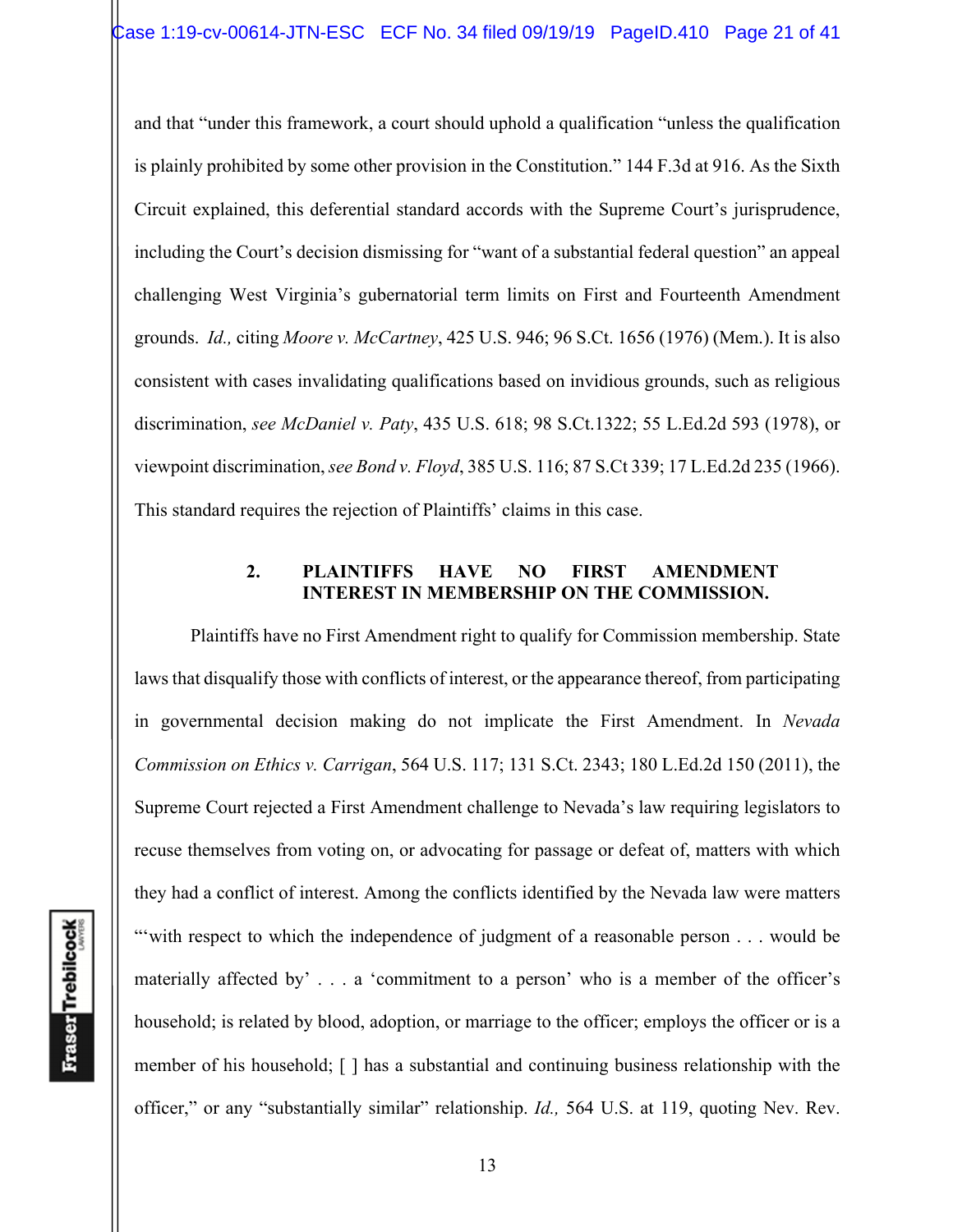and that "under this framework, a court should uphold a qualification "unless the qualification is plainly prohibited by some other provision in the Constitution." 144 F.3d at 916. As the Sixth Circuit explained, this deferential standard accords with the Supreme Court's jurisprudence, including the Court's decision dismissing for "want of a substantial federal question" an appeal challenging West Virginia's gubernatorial term limits on First and Fourteenth Amendment grounds. *Id.,* citing *Moore v. McCartney*, 425 U.S. 946; 96 S.Ct. 1656 (1976) (Mem.). It is also consistent with cases invalidating qualifications based on invidious grounds, such as religious discrimination, *see McDaniel v. Paty*, 435 U.S. 618; 98 S.Ct.1322; 55 L.Ed.2d 593 (1978), or viewpoint discrimination, *see Bond v. Floyd*, 385 U.S. 116; 87 S.Ct 339; 17 L.Ed.2d 235 (1966). This standard requires the rejection of Plaintiffs' claims in this case.

### **2. PLAINTIFFS HAVE NO FIRST AMENDMENT INTEREST IN MEMBERSHIP ON THE COMMISSION.**

Plaintiffs have no First Amendment right to qualify for Commission membership. State laws that disqualify those with conflicts of interest, or the appearance thereof, from participating in governmental decision making do not implicate the First Amendment. In *Nevada Commission on Ethics v. Carrigan*, 564 U.S. 117; 131 S.Ct. 2343; 180 L.Ed.2d 150 (2011), the Supreme Court rejected a First Amendment challenge to Nevada's law requiring legislators to recuse themselves from voting on, or advocating for passage or defeat of, matters with which they had a conflict of interest. Among the conflicts identified by the Nevada law were matters "with respect to which the independence of judgment of a reasonable person . . . would be materially affected by' . . . a 'commitment to a person' who is a member of the officer's household; is related by blood, adoption, or marriage to the officer; employs the officer or is a member of his household; [ ] has a substantial and continuing business relationship with the officer," or any "substantially similar" relationship. *Id.,* 564 U.S. at 119, quoting Nev. Rev.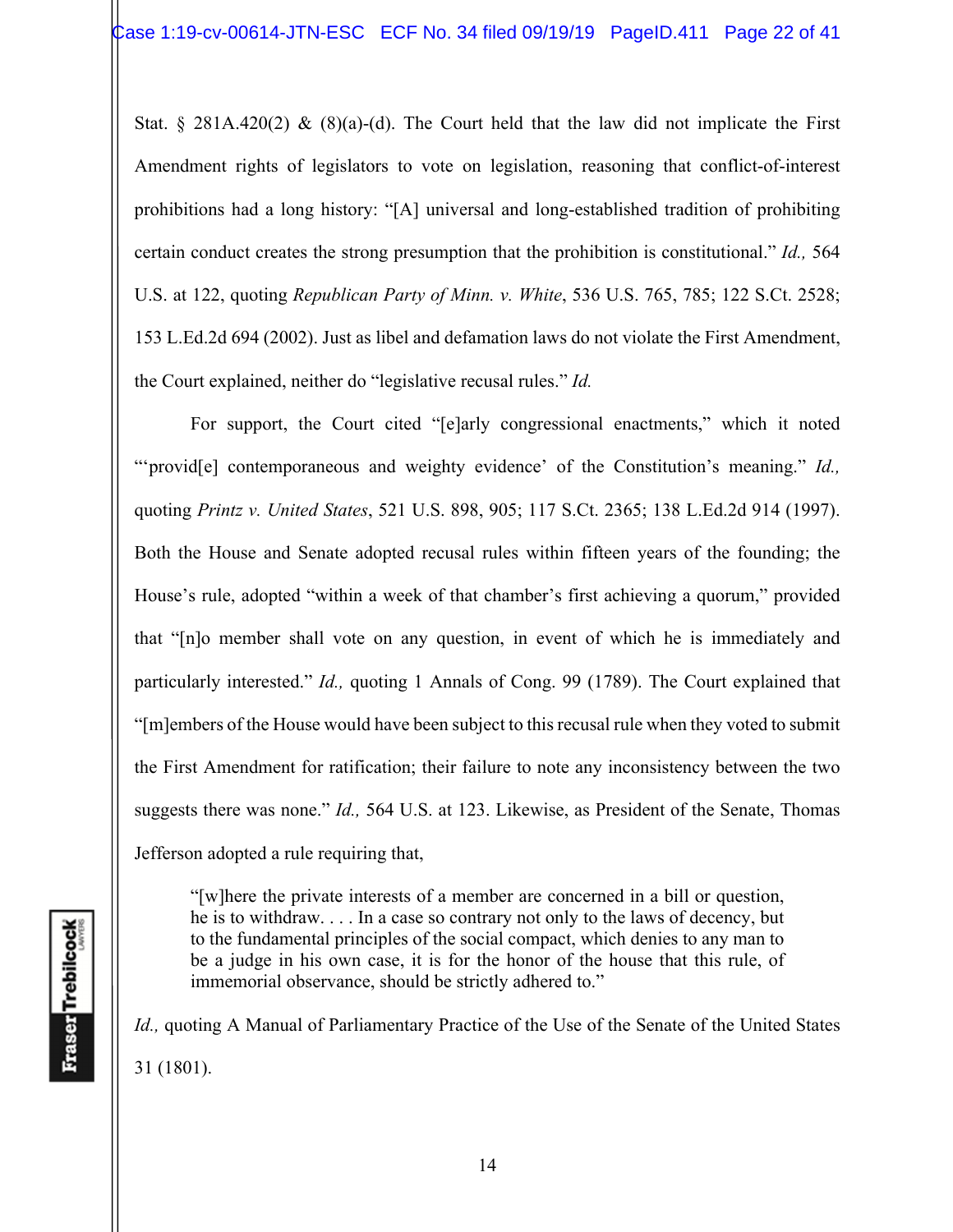Stat. § 281A.420(2) & (8)(a)-(d). The Court held that the law did not implicate the First Amendment rights of legislators to vote on legislation, reasoning that conflict-of-interest prohibitions had a long history: "[A] universal and long-established tradition of prohibiting certain conduct creates the strong presumption that the prohibition is constitutional." *Id.,* 564 U.S. at 122, quoting *Republican Party of Minn. v. White*, 536 U.S. 765, 785; 122 S.Ct. 2528; 153 L.Ed.2d 694 (2002). Just as libel and defamation laws do not violate the First Amendment, the Court explained, neither do "legislative recusal rules." *Id.*

 For support, the Court cited "[e]arly congressional enactments," which it noted "'provid<sup>[e]</sup> contemporaneous and weighty evidence' of the Constitution's meaning." *Id.*, quoting *Printz v. United States*, 521 U.S. 898, 905; 117 S.Ct. 2365; 138 L.Ed.2d 914 (1997). Both the House and Senate adopted recusal rules within fifteen years of the founding; the House's rule, adopted "within a week of that chamber's first achieving a quorum," provided that "[n]o member shall vote on any question, in event of which he is immediately and particularly interested." *Id.,* quoting 1 Annals of Cong. 99 (1789). The Court explained that "[m]embers of the House would have been subject to this recusal rule when they voted to submit the First Amendment for ratification; their failure to note any inconsistency between the two suggests there was none." *Id.,* 564 U.S. at 123. Likewise, as President of the Senate, Thomas Jefferson adopted a rule requiring that,

"[w]here the private interests of a member are concerned in a bill or question, he is to withdraw. . . . In a case so contrary not only to the laws of decency, but to the fundamental principles of the social compact, which denies to any man to be a judge in his own case, it is for the honor of the house that this rule, of immemorial observance, should be strictly adhered to."

*Id., quoting A Manual of Parliamentary Practice of the Use of the Senate of the United States* 31 (1801).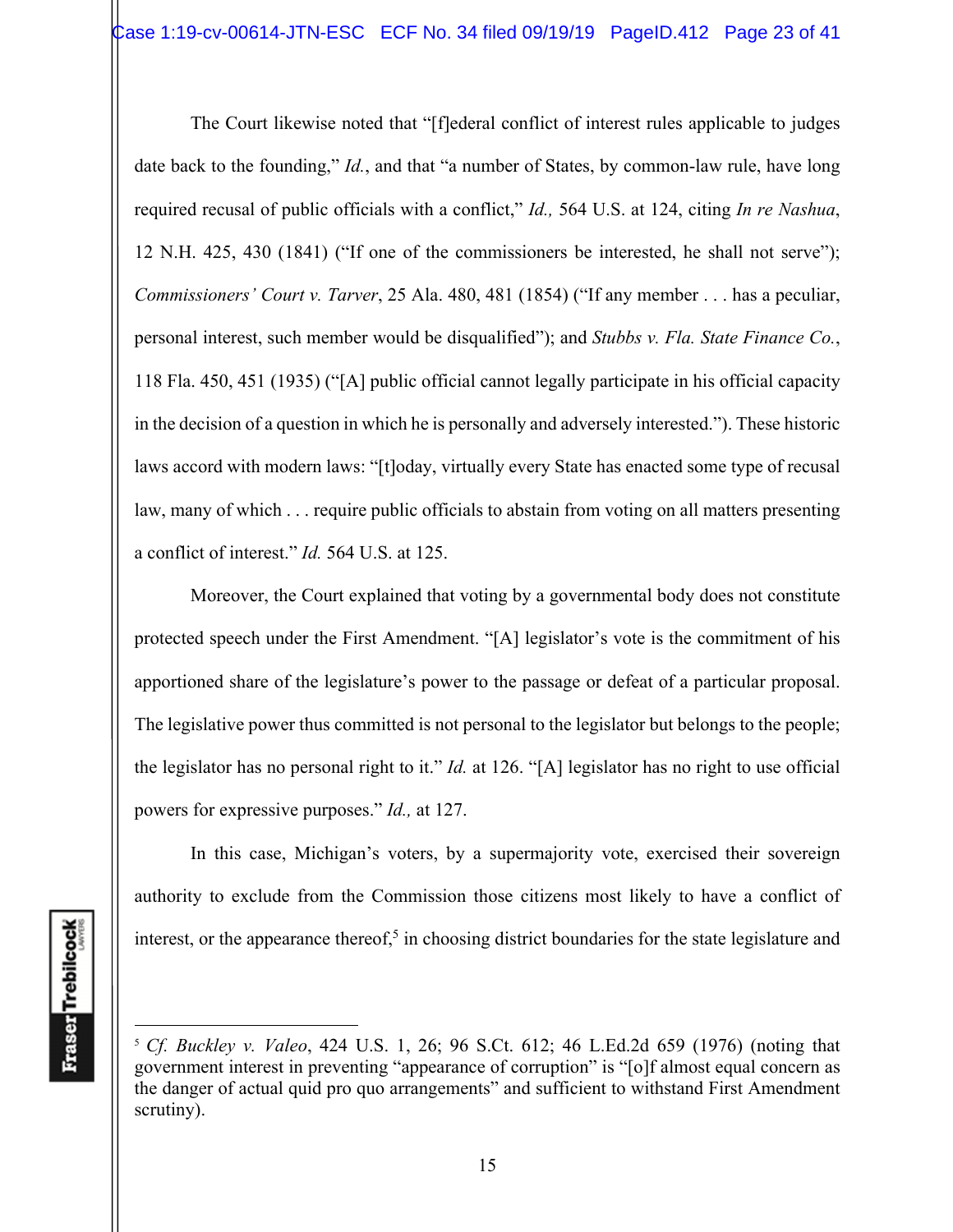The Court likewise noted that "[f]ederal conflict of interest rules applicable to judges date back to the founding," *Id.*, and that "a number of States, by common-law rule, have long required recusal of public officials with a conflict," *Id.,* 564 U.S. at 124, citing *In re Nashua*, 12 N.H. 425, 430 (1841) ("If one of the commissioners be interested, he shall not serve"); *Commissioners' Court v. Tarver*, 25 Ala. 480, 481 (1854) ("If any member . . . has a peculiar, personal interest, such member would be disqualified"); and *Stubbs v. Fla. State Finance Co.*, 118 Fla. 450, 451 (1935) ("[A] public official cannot legally participate in his official capacity in the decision of a question in which he is personally and adversely interested."). These historic laws accord with modern laws: "[t]oday, virtually every State has enacted some type of recusal law, many of which . . . require public officials to abstain from voting on all matters presenting a conflict of interest." *Id.* 564 U.S. at 125.

 Moreover, the Court explained that voting by a governmental body does not constitute protected speech under the First Amendment. "[A] legislator's vote is the commitment of his apportioned share of the legislature's power to the passage or defeat of a particular proposal. The legislative power thus committed is not personal to the legislator but belongs to the people; the legislator has no personal right to it." *Id.* at 126. "[A] legislator has no right to use official powers for expressive purposes." *Id.,* at 127.

 In this case, Michigan's voters, by a supermajority vote, exercised their sovereign authority to exclude from the Commission those citizens most likely to have a conflict of interest, or the appearance thereof,<sup>5</sup> in choosing district boundaries for the state legislature and

<sup>5</sup> *Cf. Buckley v. Valeo*, 424 U.S. 1, 26; 96 S.Ct. 612; 46 L.Ed.2d 659 (1976) (noting that government interest in preventing "appearance of corruption" is "[o]f almost equal concern as the danger of actual quid pro quo arrangements" and sufficient to withstand First Amendment scrutiny).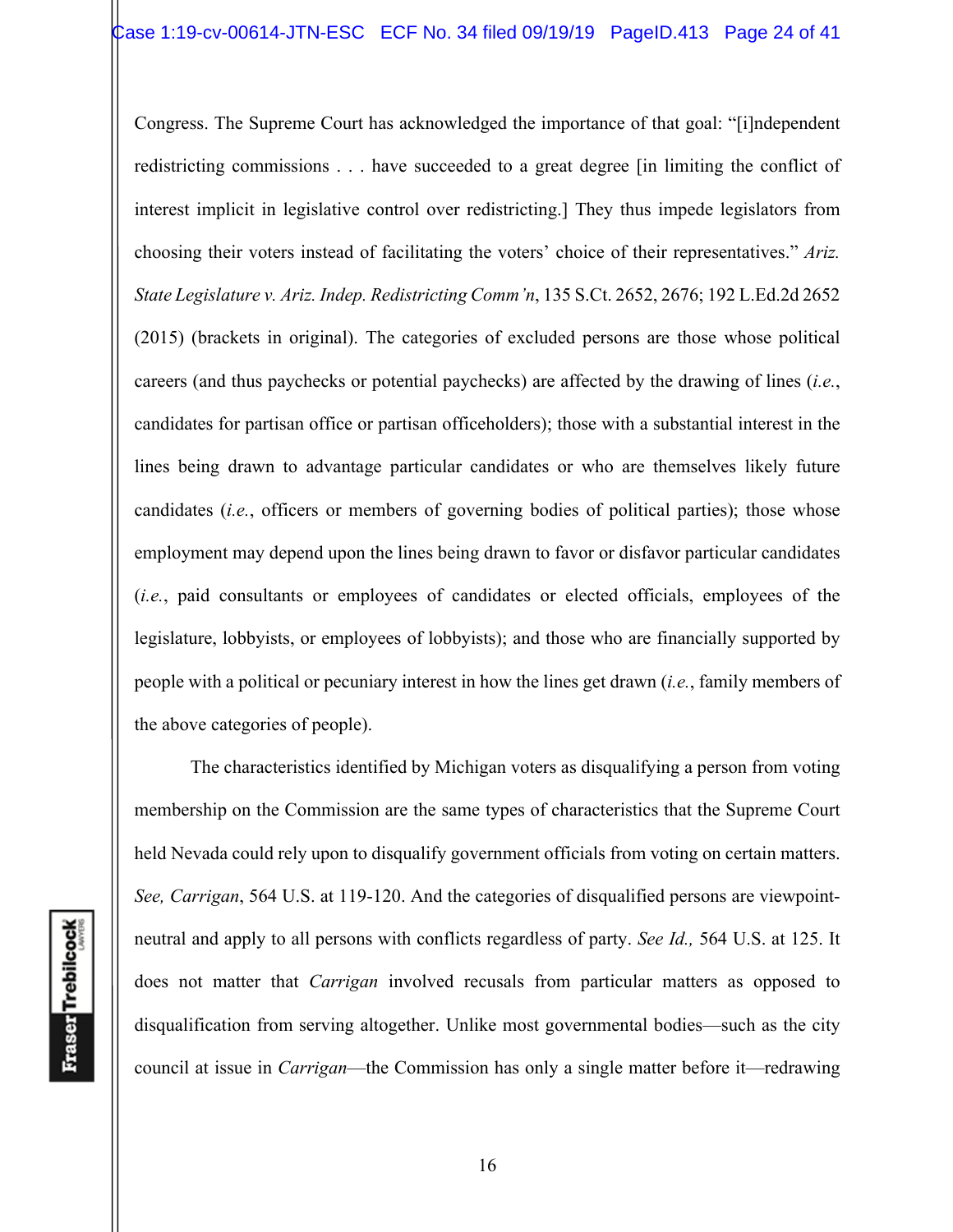Congress. The Supreme Court has acknowledged the importance of that goal: "[i]ndependent redistricting commissions . . . have succeeded to a great degree [in limiting the conflict of interest implicit in legislative control over redistricting.] They thus impede legislators from choosing their voters instead of facilitating the voters' choice of their representatives." *Ariz. State Legislature v. Ariz. Indep. Redistricting Comm'n*, 135 S.Ct. 2652, 2676; 192 L.Ed.2d 2652 (2015) (brackets in original). The categories of excluded persons are those whose political careers (and thus paychecks or potential paychecks) are affected by the drawing of lines (*i.e.*, candidates for partisan office or partisan officeholders); those with a substantial interest in the lines being drawn to advantage particular candidates or who are themselves likely future candidates (*i.e.*, officers or members of governing bodies of political parties); those whose employment may depend upon the lines being drawn to favor or disfavor particular candidates (*i.e.*, paid consultants or employees of candidates or elected officials, employees of the legislature, lobbyists, or employees of lobbyists); and those who are financially supported by people with a political or pecuniary interest in how the lines get drawn (*i.e.*, family members of the above categories of people).

The characteristics identified by Michigan voters as disqualifying a person from voting membership on the Commission are the same types of characteristics that the Supreme Court held Nevada could rely upon to disqualify government officials from voting on certain matters. *See, Carrigan*, 564 U.S. at 119-120. And the categories of disqualified persons are viewpointneutral and apply to all persons with conflicts regardless of party. *See Id.,* 564 U.S. at 125. It does not matter that *Carrigan* involved recusals from particular matters as opposed to disqualification from serving altogether. Unlike most governmental bodies—such as the city council at issue in *Carrigan*—the Commission has only a single matter before it—redrawing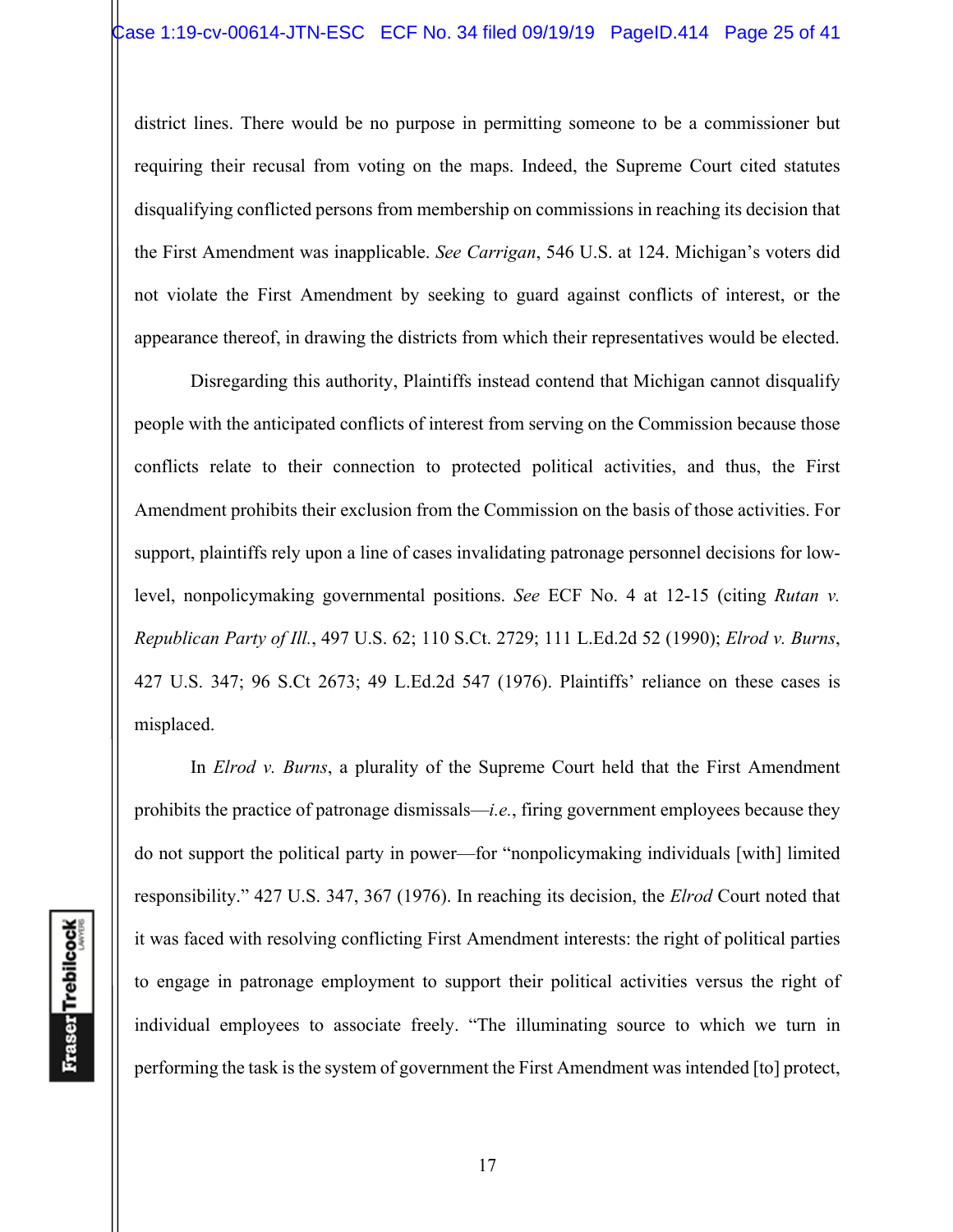district lines. There would be no purpose in permitting someone to be a commissioner but requiring their recusal from voting on the maps. Indeed, the Supreme Court cited statutes disqualifying conflicted persons from membership on commissions in reaching its decision that the First Amendment was inapplicable. *See Carrigan*, 546 U.S. at 124. Michigan's voters did not violate the First Amendment by seeking to guard against conflicts of interest, or the appearance thereof, in drawing the districts from which their representatives would be elected.

 Disregarding this authority, Plaintiffs instead contend that Michigan cannot disqualify people with the anticipated conflicts of interest from serving on the Commission because those conflicts relate to their connection to protected political activities, and thus, the First Amendment prohibits their exclusion from the Commission on the basis of those activities. For support, plaintiffs rely upon a line of cases invalidating patronage personnel decisions for lowlevel, nonpolicymaking governmental positions. *See* ECF No. 4 at 12-15 (citing *Rutan v. Republican Party of Ill.*, 497 U.S. 62; 110 S.Ct. 2729; 111 L.Ed.2d 52 (1990); *Elrod v. Burns*, 427 U.S. 347; 96 S.Ct 2673; 49 L.Ed.2d 547 (1976). Plaintiffs' reliance on these cases is misplaced.

 In *Elrod v. Burns*, a plurality of the Supreme Court held that the First Amendment prohibits the practice of patronage dismissals—*i.e.*, firing government employees because they do not support the political party in power—for "nonpolicymaking individuals [with] limited responsibility." 427 U.S. 347, 367 (1976). In reaching its decision, the *Elrod* Court noted that it was faced with resolving conflicting First Amendment interests: the right of political parties to engage in patronage employment to support their political activities versus the right of individual employees to associate freely. "The illuminating source to which we turn in performing the task is the system of government the First Amendment was intended [to] protect,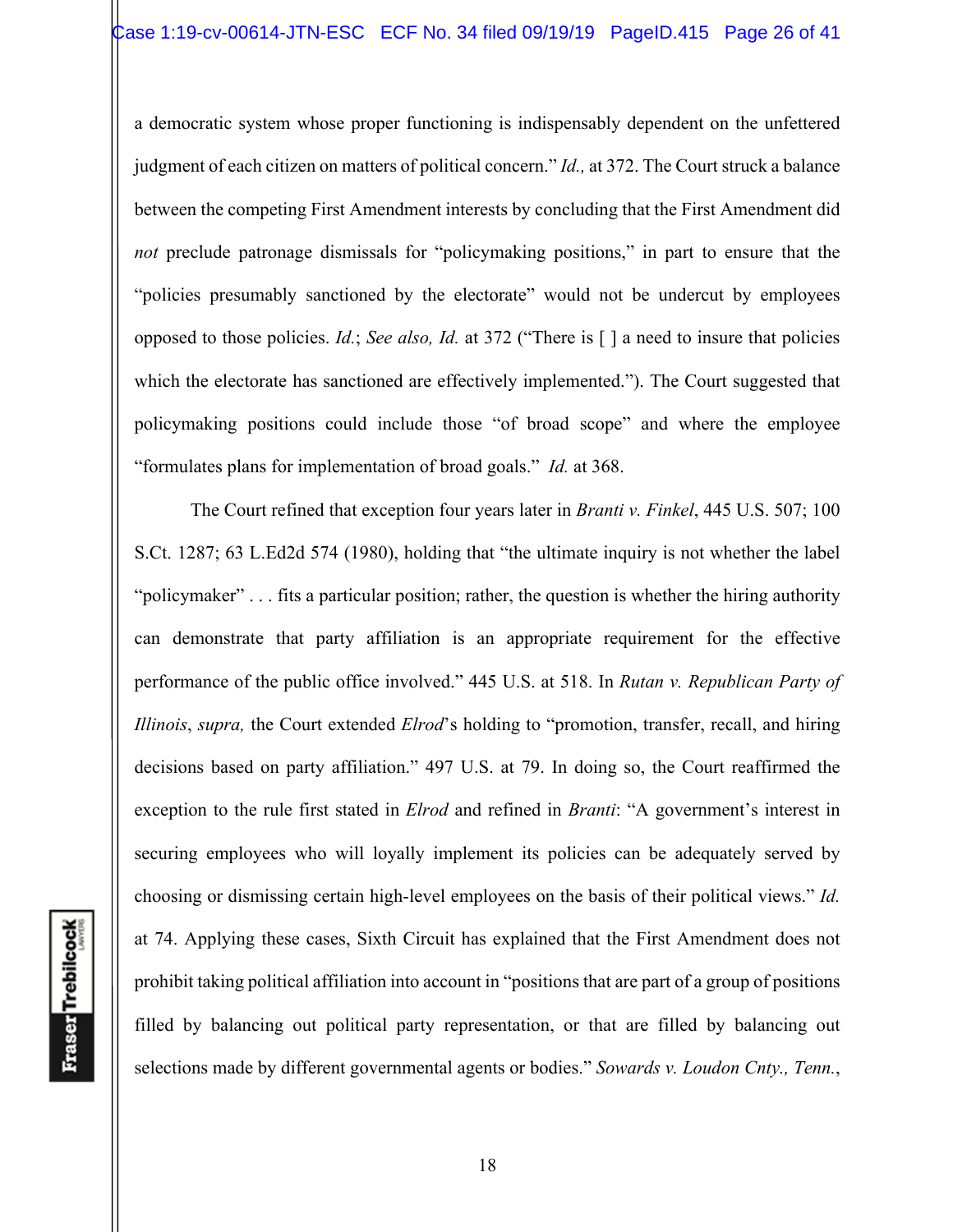a democratic system whose proper functioning is indispensably dependent on the unfettered judgment of each citizen on matters of political concern." *Id.,* at 372. The Court struck a balance between the competing First Amendment interests by concluding that the First Amendment did *not* preclude patronage dismissals for "policymaking positions," in part to ensure that the "policies presumably sanctioned by the electorate" would not be undercut by employees opposed to those policies. *Id.*; *See also, Id.* at 372 ("There is [ ] a need to insure that policies which the electorate has sanctioned are effectively implemented."). The Court suggested that policymaking positions could include those "of broad scope" and where the employee "formulates plans for implementation of broad goals." *Id.* at 368.

The Court refined that exception four years later in *Branti v. Finkel*, 445 U.S. 507; 100 S.Ct. 1287; 63 L.Ed2d 574 (1980), holding that "the ultimate inquiry is not whether the label "policymaker" . . . fits a particular position; rather, the question is whether the hiring authority can demonstrate that party affiliation is an appropriate requirement for the effective performance of the public office involved." 445 U.S. at 518. In *Rutan v. Republican Party of Illinois*, *supra,* the Court extended *Elrod*'s holding to "promotion, transfer, recall, and hiring decisions based on party affiliation." 497 U.S. at 79. In doing so, the Court reaffirmed the exception to the rule first stated in *Elrod* and refined in *Branti*: "A government's interest in securing employees who will loyally implement its policies can be adequately served by choosing or dismissing certain high-level employees on the basis of their political views." *Id.* at 74. Applying these cases, Sixth Circuit has explained that the First Amendment does not prohibit taking political affiliation into account in "positions that are part of a group of positions filled by balancing out political party representation, or that are filled by balancing out selections made by different governmental agents or bodies." *Sowards v. Loudon Cnty., Tenn.*,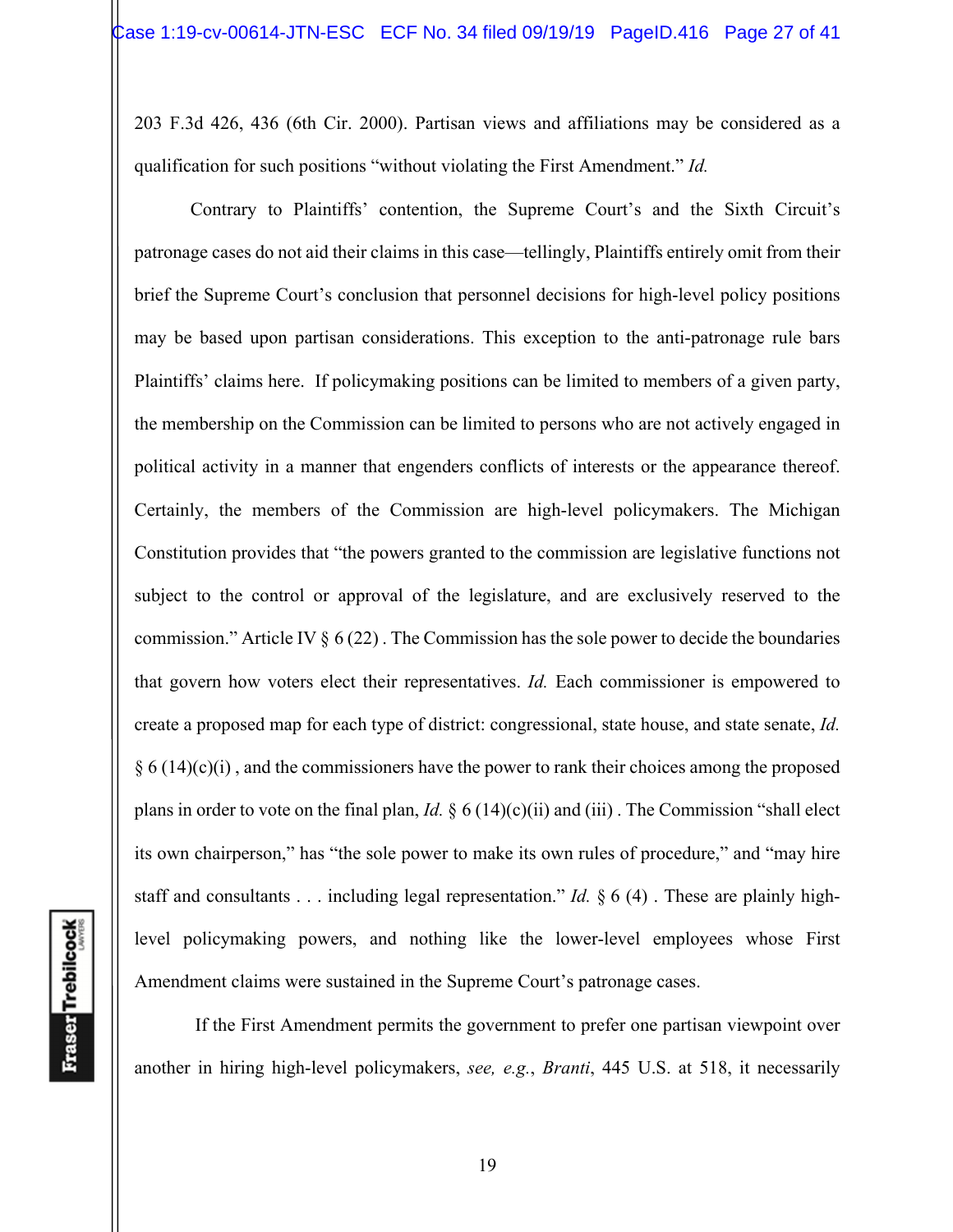203 F.3d 426, 436 (6th Cir. 2000). Partisan views and affiliations may be considered as a qualification for such positions "without violating the First Amendment." *Id.*

Contrary to Plaintiffs' contention, the Supreme Court's and the Sixth Circuit's patronage cases do not aid their claims in this case—tellingly, Plaintiffs entirely omit from their brief the Supreme Court's conclusion that personnel decisions for high-level policy positions may be based upon partisan considerations. This exception to the anti-patronage rule bars Plaintiffs' claims here. If policymaking positions can be limited to members of a given party, the membership on the Commission can be limited to persons who are not actively engaged in political activity in a manner that engenders conflicts of interests or the appearance thereof. Certainly, the members of the Commission are high-level policymakers. The Michigan Constitution provides that "the powers granted to the commission are legislative functions not subject to the control or approval of the legislature, and are exclusively reserved to the commission." Article IV  $\S 6 (22)$ . The Commission has the sole power to decide the boundaries that govern how voters elect their representatives. *Id.* Each commissioner is empowered to create a proposed map for each type of district: congressional, state house, and state senate, *Id.*  $§ 6 (14)(c)(i)$ , and the commissioners have the power to rank their choices among the proposed plans in order to vote on the final plan, *Id.* § 6 (14)(c)(ii) and (iii) . The Commission "shall elect its own chairperson," has "the sole power to make its own rules of procedure," and "may hire staff and consultants . . . including legal representation." *Id.* § 6 (4) . These are plainly highlevel policymaking powers, and nothing like the lower-level employees whose First Amendment claims were sustained in the Supreme Court's patronage cases.

 If the First Amendment permits the government to prefer one partisan viewpoint over another in hiring high-level policymakers, *see, e.g.*, *Branti*, 445 U.S. at 518, it necessarily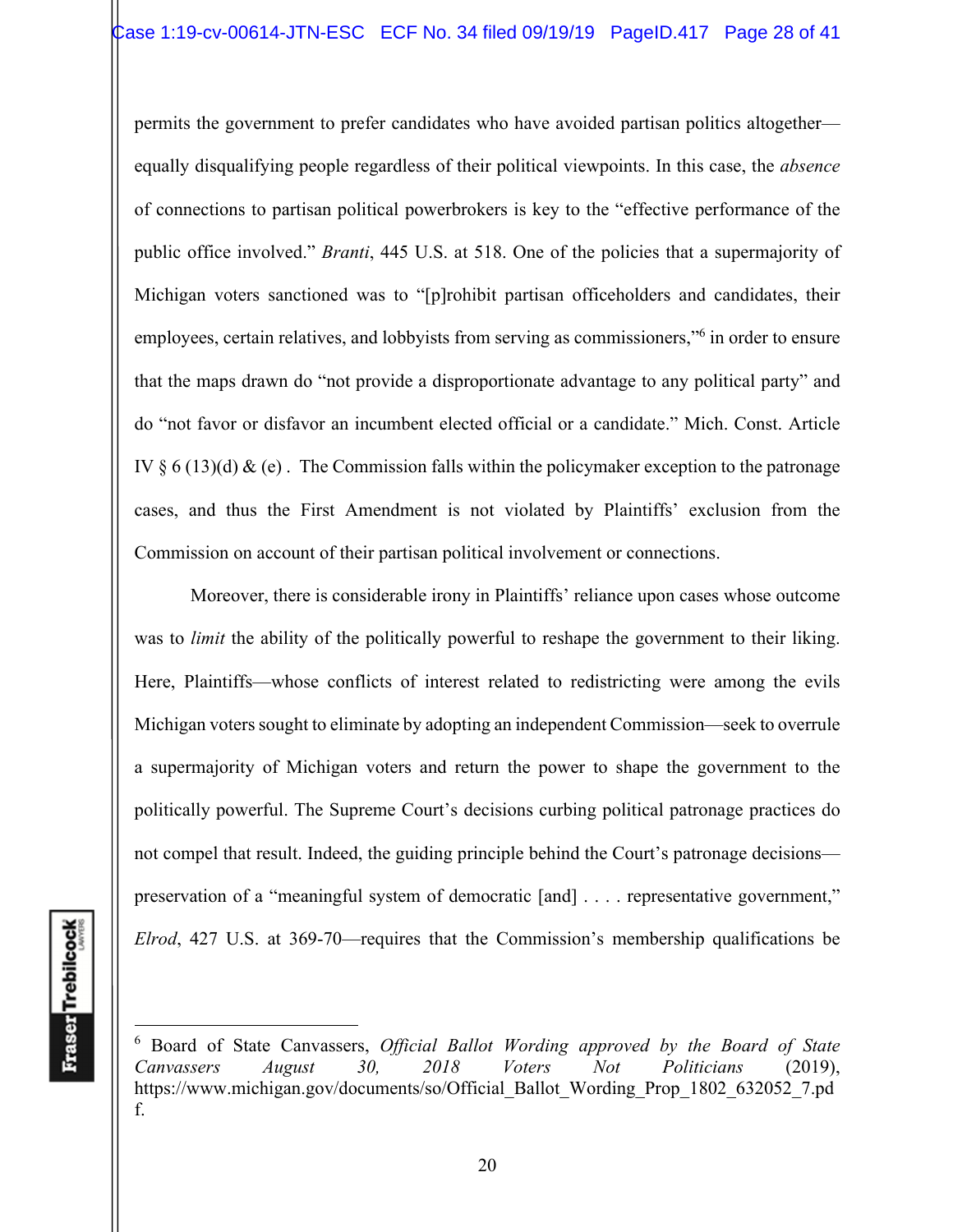permits the government to prefer candidates who have avoided partisan politics altogether equally disqualifying people regardless of their political viewpoints. In this case, the *absence*  of connections to partisan political powerbrokers is key to the "effective performance of the public office involved." *Branti*, 445 U.S. at 518. One of the policies that a supermajority of Michigan voters sanctioned was to "[p]rohibit partisan officeholders and candidates, their employees, certain relatives, and lobbyists from serving as commissioners," in order to ensure that the maps drawn do "not provide a disproportionate advantage to any political party" and do "not favor or disfavor an incumbent elected official or a candidate." Mich. Const. Article IV § 6 (13)(d) & (e). The Commission falls within the policymaker exception to the patronage cases, and thus the First Amendment is not violated by Plaintiffs' exclusion from the Commission on account of their partisan political involvement or connections.

Moreover, there is considerable irony in Plaintiffs' reliance upon cases whose outcome was to *limit* the ability of the politically powerful to reshape the government to their liking. Here, Plaintiffs—whose conflicts of interest related to redistricting were among the evils Michigan voters sought to eliminate by adopting an independent Commission—seek to overrule a supermajority of Michigan voters and return the power to shape the government to the politically powerful. The Supreme Court's decisions curbing political patronage practices do not compel that result. Indeed, the guiding principle behind the Court's patronage decisions preservation of a "meaningful system of democratic [and] . . . . representative government," *Elrod*, 427 U.S. at 369-70—requires that the Commission's membership qualifications be

<sup>6</sup> Board of State Canvassers, *Official Ballot Wording approved by the Board of State Canvassers August 30, 2018 Voters Not Politicians* (2019), https://www.michigan.gov/documents/so/Official\_Ballot\_Wording\_Prop\_1802\_632052\_7.pd f.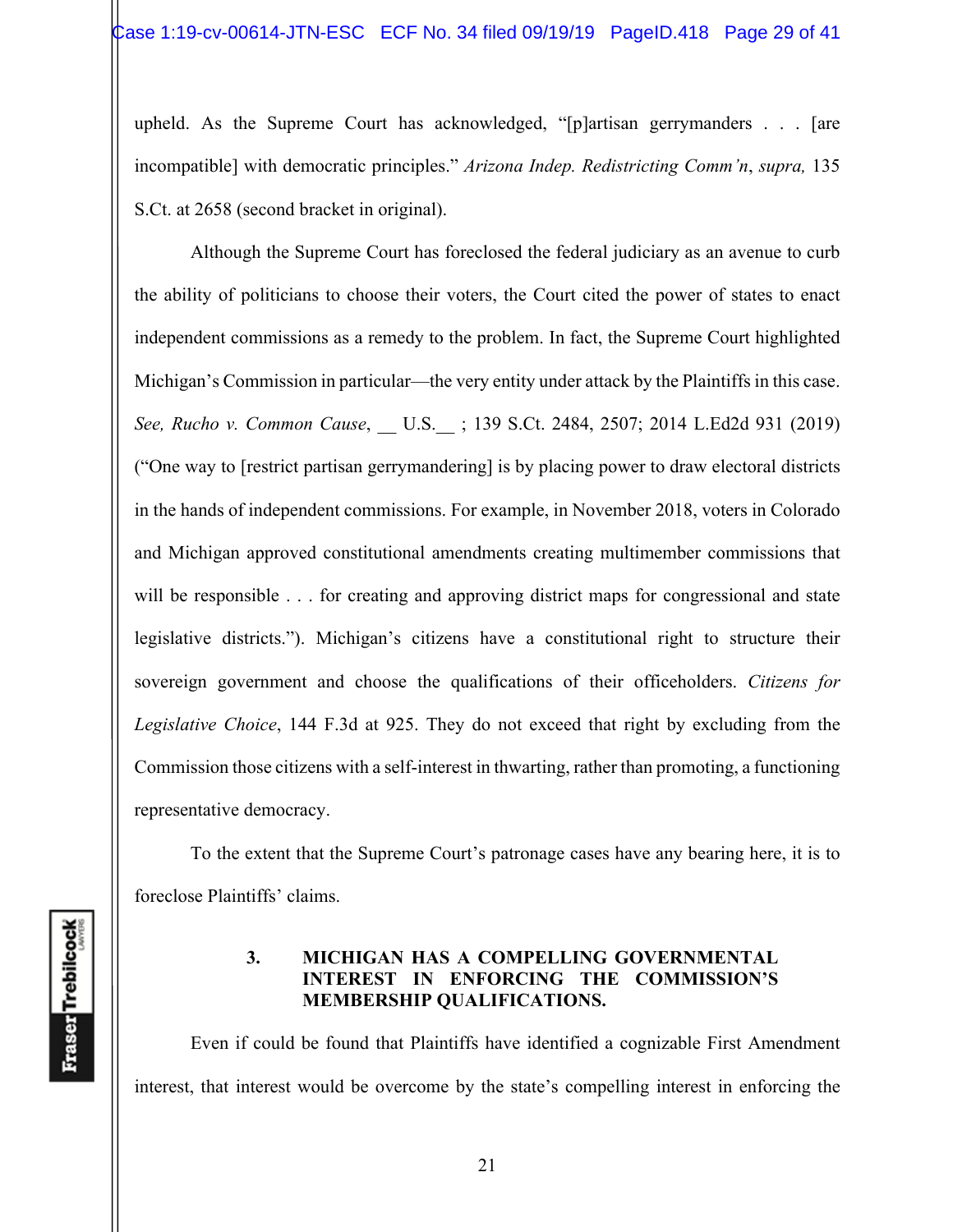upheld. As the Supreme Court has acknowledged, "[p]artisan gerrymanders . . . [are incompatible] with democratic principles." *Arizona Indep. Redistricting Comm'n*, *supra,* 135 S.Ct. at 2658 (second bracket in original).

Although the Supreme Court has foreclosed the federal judiciary as an avenue to curb the ability of politicians to choose their voters, the Court cited the power of states to enact independent commissions as a remedy to the problem. In fact, the Supreme Court highlighted Michigan's Commission in particular—the very entity under attack by the Plaintiffs in this case. *See, Rucho v. Common Cause*, \_\_ U.S.\_\_ ; 139 S.Ct. 2484, 2507; 2014 L.Ed2d 931 (2019) ("One way to [restrict partisan gerrymandering] is by placing power to draw electoral districts in the hands of independent commissions. For example, in November 2018, voters in Colorado and Michigan approved constitutional amendments creating multimember commissions that will be responsible . . . for creating and approving district maps for congressional and state legislative districts."). Michigan's citizens have a constitutional right to structure their sovereign government and choose the qualifications of their officeholders. *Citizens for Legislative Choice*, 144 F.3d at 925. They do not exceed that right by excluding from the Commission those citizens with a self-interest in thwarting, rather than promoting, a functioning representative democracy.

To the extent that the Supreme Court's patronage cases have any bearing here, it is to foreclose Plaintiffs' claims.

### **3. MICHIGAN HAS A COMPELLING GOVERNMENTAL INTEREST IN ENFORCING THE COMMISSION'S MEMBERSHIP QUALIFICATIONS.**

Even if could be found that Plaintiffs have identified a cognizable First Amendment interest, that interest would be overcome by the state's compelling interest in enforcing the

**Fraser** Trebilcock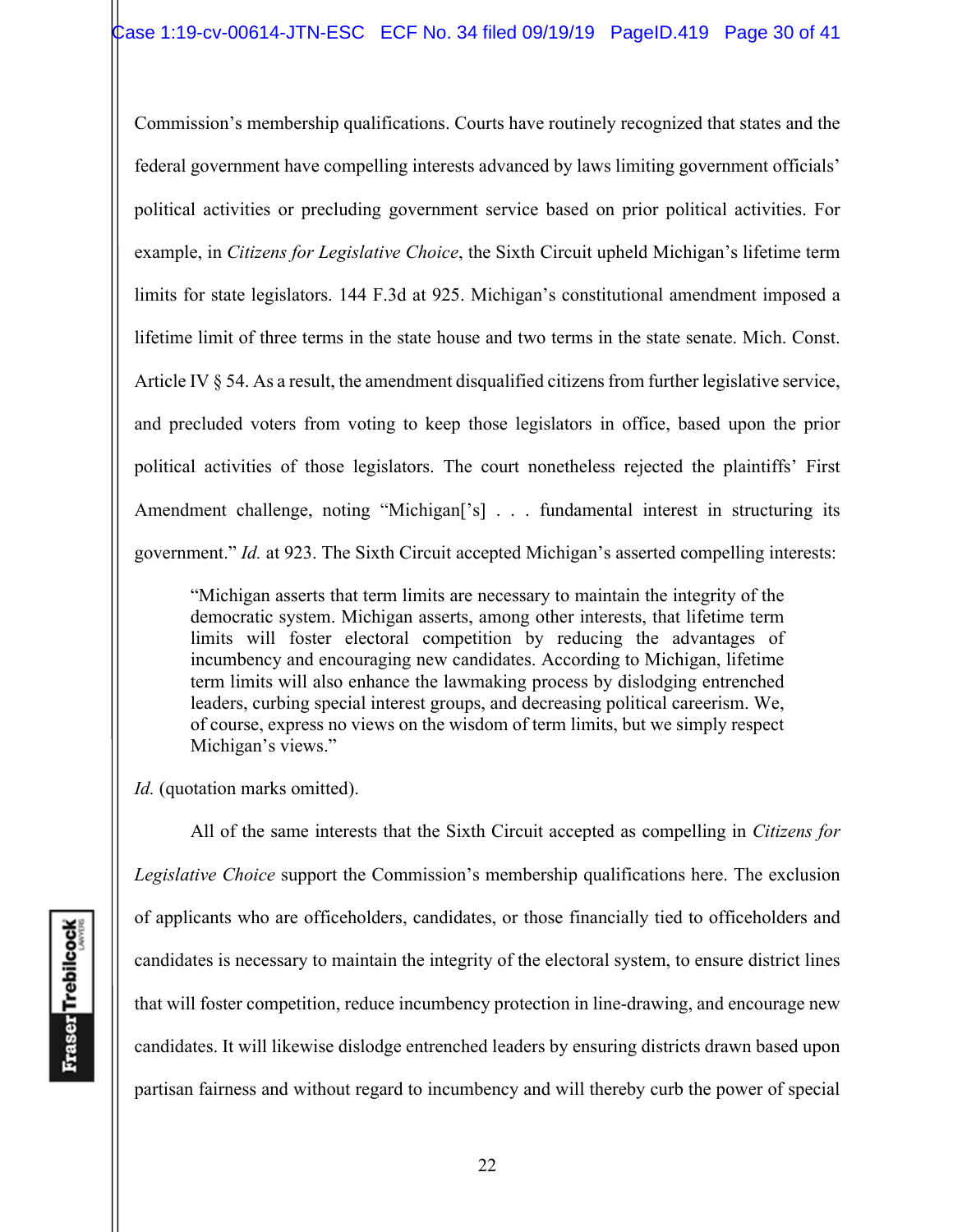Commission's membership qualifications. Courts have routinely recognized that states and the federal government have compelling interests advanced by laws limiting government officials' political activities or precluding government service based on prior political activities. For example, in *Citizens for Legislative Choice*, the Sixth Circuit upheld Michigan's lifetime term limits for state legislators. 144 F.3d at 925. Michigan's constitutional amendment imposed a lifetime limit of three terms in the state house and two terms in the state senate. Mich. Const. Article IV § 54. As a result, the amendment disqualified citizens from further legislative service, and precluded voters from voting to keep those legislators in office, based upon the prior political activities of those legislators. The court nonetheless rejected the plaintiffs' First Amendment challenge, noting "Michigan<sup>['s]</sup> . . . fundamental interest in structuring its government." *Id.* at 923. The Sixth Circuit accepted Michigan's asserted compelling interests:

"Michigan asserts that term limits are necessary to maintain the integrity of the democratic system. Michigan asserts, among other interests, that lifetime term limits will foster electoral competition by reducing the advantages of incumbency and encouraging new candidates. According to Michigan, lifetime term limits will also enhance the lawmaking process by dislodging entrenched leaders, curbing special interest groups, and decreasing political careerism. We, of course, express no views on the wisdom of term limits, but we simply respect Michigan's views."

*Id.* (quotation marks omitted).

All of the same interests that the Sixth Circuit accepted as compelling in *Citizens for Legislative Choice* support the Commission's membership qualifications here. The exclusion of applicants who are officeholders, candidates, or those financially tied to officeholders and candidates is necessary to maintain the integrity of the electoral system, to ensure district lines that will foster competition, reduce incumbency protection in line-drawing, and encourage new candidates. It will likewise dislodge entrenched leaders by ensuring districts drawn based upon partisan fairness and without regard to incumbency and will thereby curb the power of special

**Fraser** Trebilcock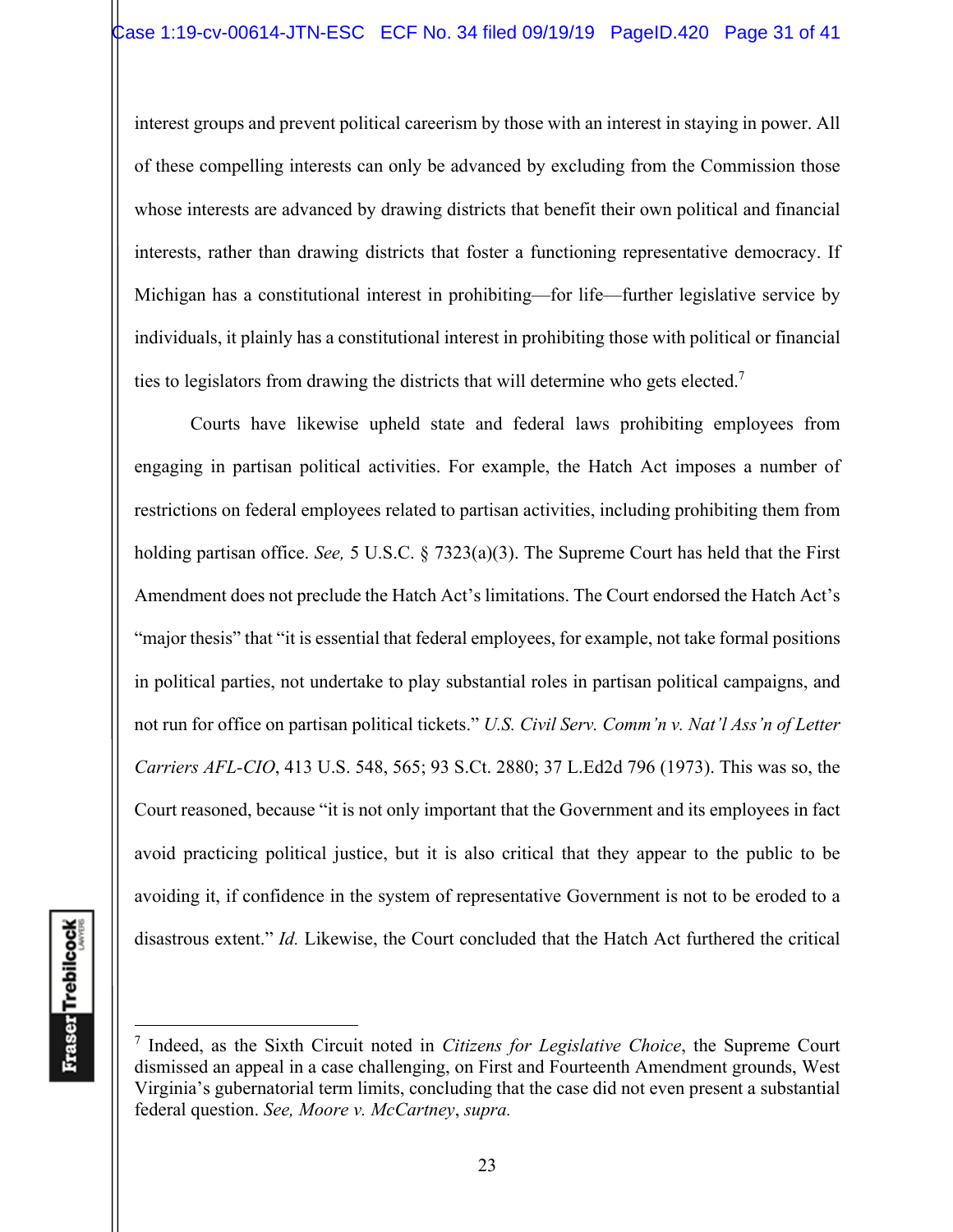interest groups and prevent political careerism by those with an interest in staying in power. All of these compelling interests can only be advanced by excluding from the Commission those whose interests are advanced by drawing districts that benefit their own political and financial interests, rather than drawing districts that foster a functioning representative democracy. If Michigan has a constitutional interest in prohibiting—for life—further legislative service by individuals, it plainly has a constitutional interest in prohibiting those with political or financial ties to legislators from drawing the districts that will determine who gets elected.7

Courts have likewise upheld state and federal laws prohibiting employees from engaging in partisan political activities. For example, the Hatch Act imposes a number of restrictions on federal employees related to partisan activities, including prohibiting them from holding partisan office. *See,* 5 U.S.C. § 7323(a)(3). The Supreme Court has held that the First Amendment does not preclude the Hatch Act's limitations. The Court endorsed the Hatch Act's "major thesis" that "it is essential that federal employees, for example, not take formal positions in political parties, not undertake to play substantial roles in partisan political campaigns, and not run for office on partisan political tickets." *U.S. Civil Serv. Comm'n v. Nat'l Ass'n of Letter Carriers AFL-CIO*, 413 U.S. 548, 565; 93 S.Ct. 2880; 37 L.Ed2d 796 (1973). This was so, the Court reasoned, because "it is not only important that the Government and its employees in fact avoid practicing political justice, but it is also critical that they appear to the public to be avoiding it, if confidence in the system of representative Government is not to be eroded to a disastrous extent." *Id.* Likewise, the Court concluded that the Hatch Act furthered the critical

<sup>7</sup> Indeed, as the Sixth Circuit noted in *Citizens for Legislative Choice*, the Supreme Court dismissed an appeal in a case challenging, on First and Fourteenth Amendment grounds, West Virginia's gubernatorial term limits, concluding that the case did not even present a substantial federal question. *See, Moore v. McCartney*, *supra.*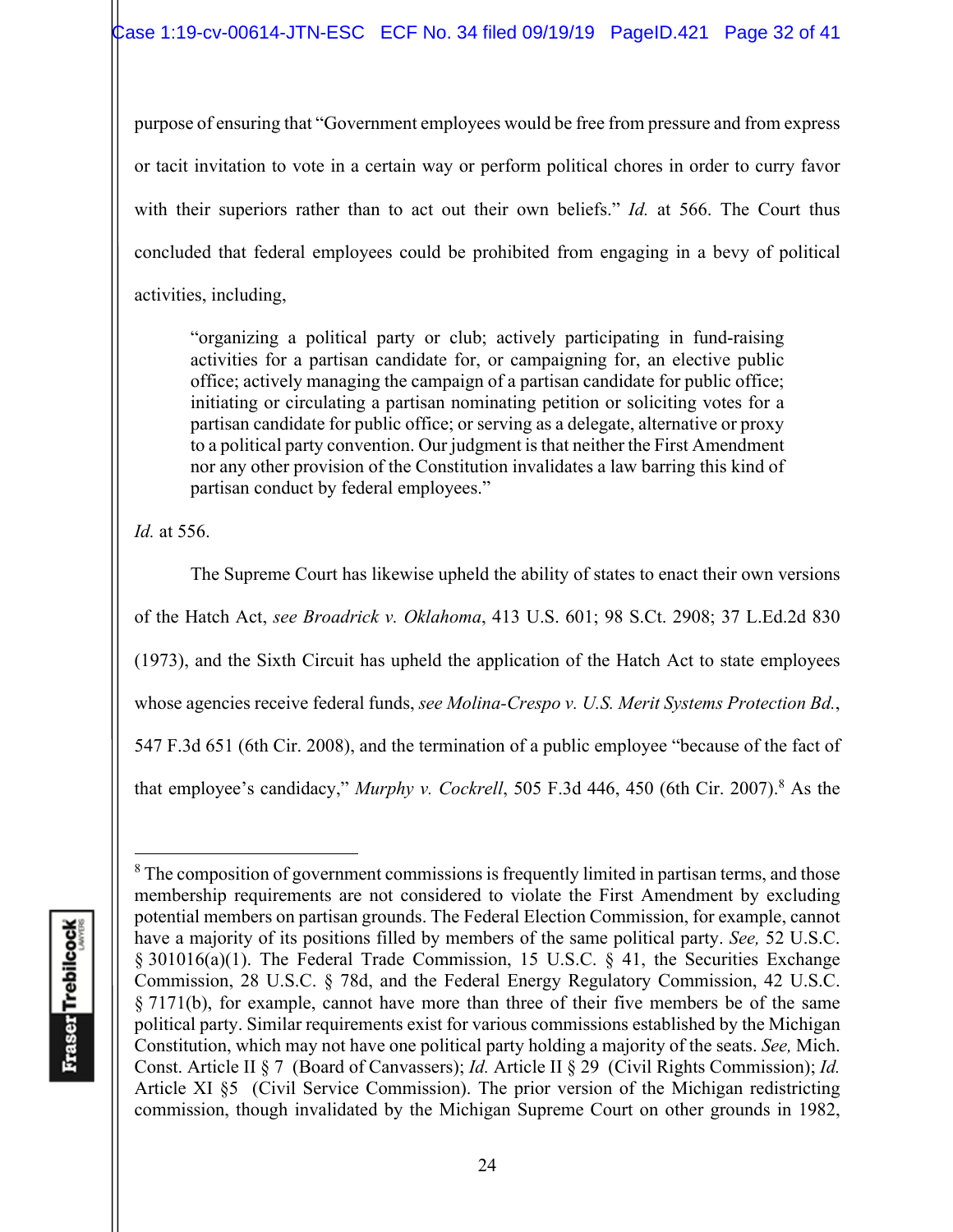purpose of ensuring that "Government employees would be free from pressure and from express or tacit invitation to vote in a certain way or perform political chores in order to curry favor with their superiors rather than to act out their own beliefs." *Id.* at 566. The Court thus concluded that federal employees could be prohibited from engaging in a bevy of political activities, including,

"organizing a political party or club; actively participating in fund-raising activities for a partisan candidate for, or campaigning for, an elective public office; actively managing the campaign of a partisan candidate for public office; initiating or circulating a partisan nominating petition or soliciting votes for a partisan candidate for public office; or serving as a delegate, alternative or proxy to a political party convention. Our judgment is that neither the First Amendment nor any other provision of the Constitution invalidates a law barring this kind of partisan conduct by federal employees."

*Id.* at 556.

The Supreme Court has likewise upheld the ability of states to enact their own versions of the Hatch Act, *see Broadrick v. Oklahoma*, 413 U.S. 601; 98 S.Ct. 2908; 37 L.Ed.2d 830 (1973), and the Sixth Circuit has upheld the application of the Hatch Act to state employees whose agencies receive federal funds, *see Molina-Crespo v. U.S. Merit Systems Protection Bd.*, 547 F.3d 651 (6th Cir. 2008), and the termination of a public employee "because of the fact of that employee's candidacy," *Murphy v. Cockrell*, 505 F.3d 446, 450 (6th Cir. 2007).<sup>8</sup> As the

 $8$  The composition of government commissions is frequently limited in partisan terms, and those membership requirements are not considered to violate the First Amendment by excluding potential members on partisan grounds. The Federal Election Commission, for example, cannot have a majority of its positions filled by members of the same political party. *See,* 52 U.S.C. § 301016(a)(1). The Federal Trade Commission, 15 U.S.C. § 41, the Securities Exchange Commission, 28 U.S.C. § 78d, and the Federal Energy Regulatory Commission, 42 U.S.C. § 7171(b), for example, cannot have more than three of their five members be of the same political party. Similar requirements exist for various commissions established by the Michigan Constitution, which may not have one political party holding a majority of the seats. *See,* Mich. Const. Article II § 7 (Board of Canvassers); *Id.* Article II § 29 (Civil Rights Commission); *Id.* Article XI §5 (Civil Service Commission). The prior version of the Michigan redistricting commission, though invalidated by the Michigan Supreme Court on other grounds in 1982,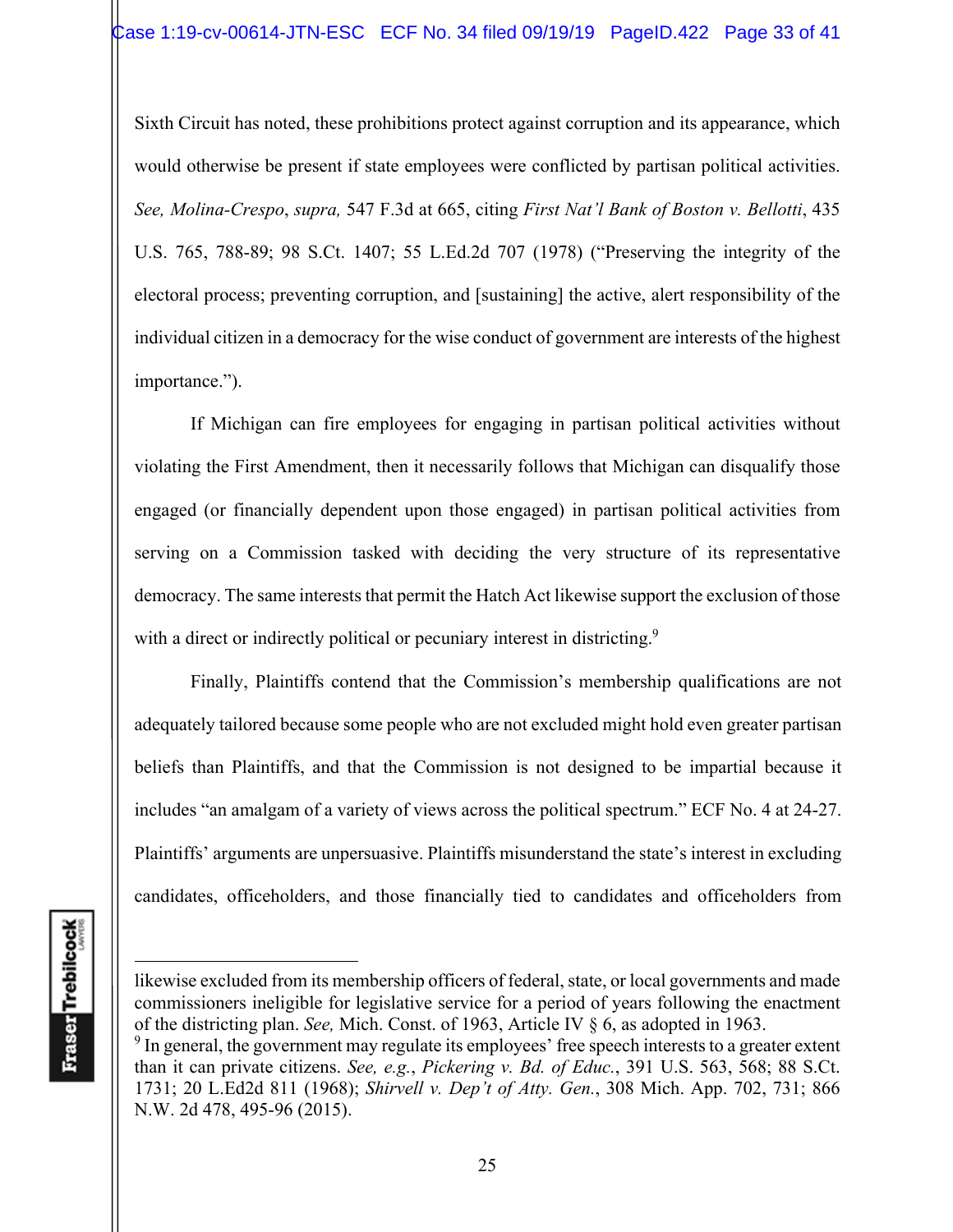Sixth Circuit has noted, these prohibitions protect against corruption and its appearance, which would otherwise be present if state employees were conflicted by partisan political activities. *See, Molina-Crespo*, *supra,* 547 F.3d at 665, citing *First Nat'l Bank of Boston v. Bellotti*, 435 U.S. 765, 788-89; 98 S.Ct. 1407; 55 L.Ed.2d 707 (1978) ("Preserving the integrity of the electoral process; preventing corruption, and [sustaining] the active, alert responsibility of the individual citizen in a democracy for the wise conduct of government are interests of the highest importance.").

If Michigan can fire employees for engaging in partisan political activities without violating the First Amendment, then it necessarily follows that Michigan can disqualify those engaged (or financially dependent upon those engaged) in partisan political activities from serving on a Commission tasked with deciding the very structure of its representative democracy. The same interests that permit the Hatch Act likewise support the exclusion of those with a direct or indirectly political or pecuniary interest in districting.<sup>9</sup>

Finally, Plaintiffs contend that the Commission's membership qualifications are not adequately tailored because some people who are not excluded might hold even greater partisan beliefs than Plaintiffs, and that the Commission is not designed to be impartial because it includes "an amalgam of a variety of views across the political spectrum." ECF No. 4 at 24-27. Plaintiffs' arguments are unpersuasive. Plaintiffs misunderstand the state's interest in excluding candidates, officeholders, and those financially tied to candidates and officeholders from

likewise excluded from its membership officers of federal, state, or local governments and made commissioners ineligible for legislative service for a period of years following the enactment of the districting plan. *See,* Mich. Const. of 1963, Article IV § 6, as adopted in 1963.

 $9$  In general, the government may regulate its employees' free speech interests to a greater extent than it can private citizens. *See, e.g.*, *Pickering v. Bd. of Educ.*, 391 U.S. 563, 568; 88 S.Ct. 1731; 20 L.Ed2d 811 (1968); *Shirvell v. Dep't of Atty. Gen.*, 308 Mich. App. 702, 731; 866 N.W. 2d 478, 495-96 (2015).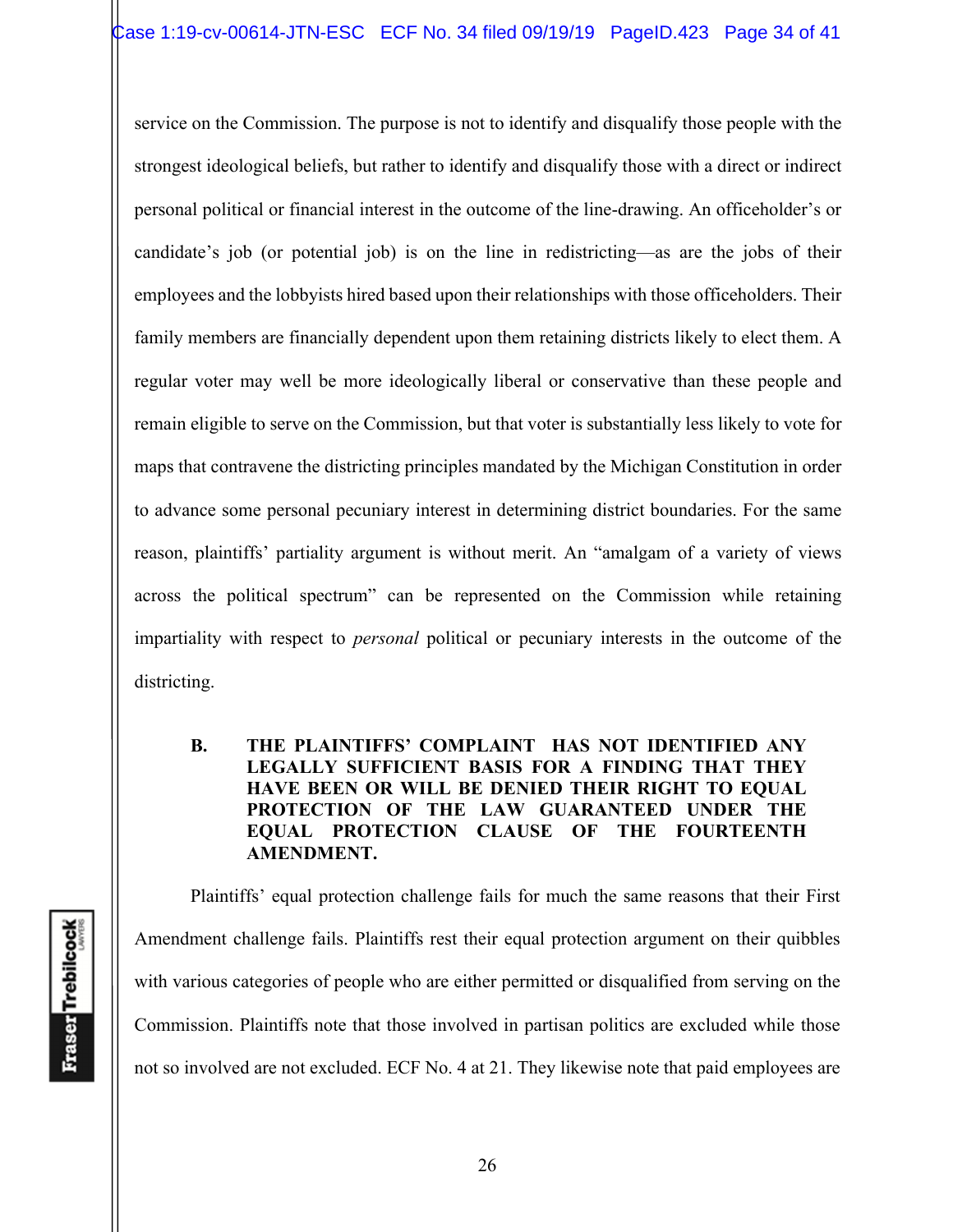service on the Commission. The purpose is not to identify and disqualify those people with the strongest ideological beliefs, but rather to identify and disqualify those with a direct or indirect personal political or financial interest in the outcome of the line-drawing. An officeholder's or candidate's job (or potential job) is on the line in redistricting—as are the jobs of their employees and the lobbyists hired based upon their relationships with those officeholders. Their family members are financially dependent upon them retaining districts likely to elect them. A regular voter may well be more ideologically liberal or conservative than these people and remain eligible to serve on the Commission, but that voter is substantially less likely to vote for maps that contravene the districting principles mandated by the Michigan Constitution in order to advance some personal pecuniary interest in determining district boundaries. For the same reason, plaintiffs' partiality argument is without merit. An "amalgam of a variety of views across the political spectrum" can be represented on the Commission while retaining impartiality with respect to *personal* political or pecuniary interests in the outcome of the districting.

## **B. THE PLAINTIFFS' COMPLAINT HAS NOT IDENTIFIED ANY LEGALLY SUFFICIENT BASIS FOR A FINDING THAT THEY HAVE BEEN OR WILL BE DENIED THEIR RIGHT TO EQUAL PROTECTION OF THE LAW GUARANTEED UNDER THE EQUAL PROTECTION CLAUSE OF THE FOURTEENTH AMENDMENT.**

Plaintiffs' equal protection challenge fails for much the same reasons that their First Amendment challenge fails. Plaintiffs rest their equal protection argument on their quibbles with various categories of people who are either permitted or disqualified from serving on the Commission. Plaintiffs note that those involved in partisan politics are excluded while those not so involved are not excluded. ECF No. 4 at 21. They likewise note that paid employees are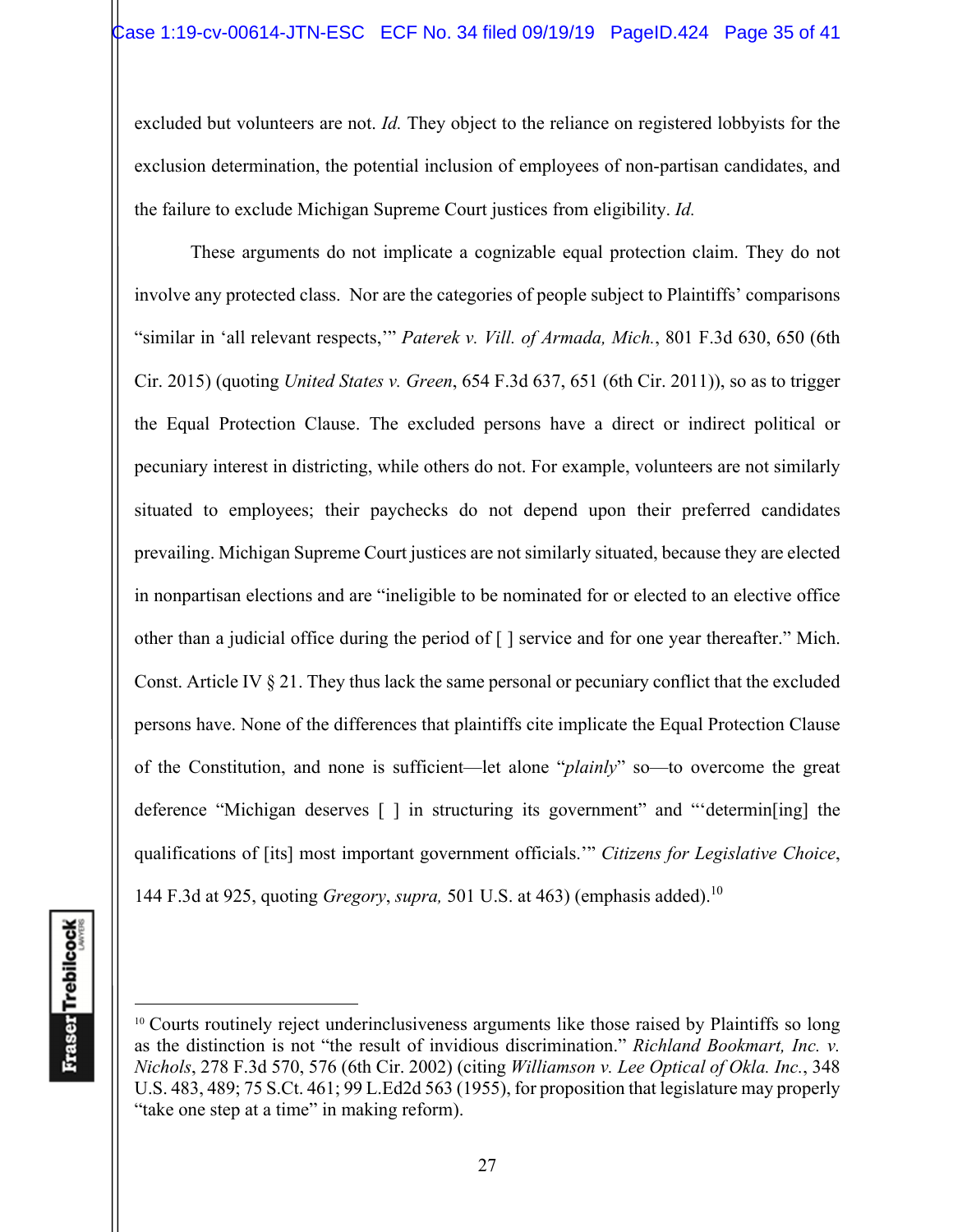excluded but volunteers are not. *Id.* They object to the reliance on registered lobbyists for the exclusion determination, the potential inclusion of employees of non-partisan candidates, and the failure to exclude Michigan Supreme Court justices from eligibility. *Id.*

These arguments do not implicate a cognizable equal protection claim. They do not involve any protected class. Nor are the categories of people subject to Plaintiffs' comparisons "similar in 'all relevant respects,'" *Paterek v. Vill. of Armada, Mich.*, 801 F.3d 630, 650 (6th Cir. 2015) (quoting *United States v. Green*, 654 F.3d 637, 651 (6th Cir. 2011)), so as to trigger the Equal Protection Clause. The excluded persons have a direct or indirect political or pecuniary interest in districting, while others do not. For example, volunteers are not similarly situated to employees; their paychecks do not depend upon their preferred candidates prevailing. Michigan Supreme Court justices are not similarly situated, because they are elected in nonpartisan elections and are "ineligible to be nominated for or elected to an elective office other than a judicial office during the period of [ ] service and for one year thereafter." Mich. Const. Article IV § 21. They thus lack the same personal or pecuniary conflict that the excluded persons have. None of the differences that plaintiffs cite implicate the Equal Protection Clause of the Constitution, and none is sufficient—let alone "*plainly*" so—to overcome the great deference "Michigan deserves [ ] in structuring its government" and "'determin[ing] the qualifications of [its] most important government officials.'" *Citizens for Legislative Choice*, 144 F.3d at 925, quoting *Gregory*, *supra,* 501 U.S. at 463) (emphasis added).10

<sup>&</sup>lt;sup>10</sup> Courts routinely reject underinclusiveness arguments like those raised by Plaintiffs so long as the distinction is not "the result of invidious discrimination." *Richland Bookmart, Inc. v. Nichols*, 278 F.3d 570, 576 (6th Cir. 2002) (citing *Williamson v. Lee Optical of Okla. Inc.*, 348 U.S. 483, 489; 75 S.Ct. 461; 99 L.Ed2d 563 (1955), for proposition that legislature may properly "take one step at a time" in making reform).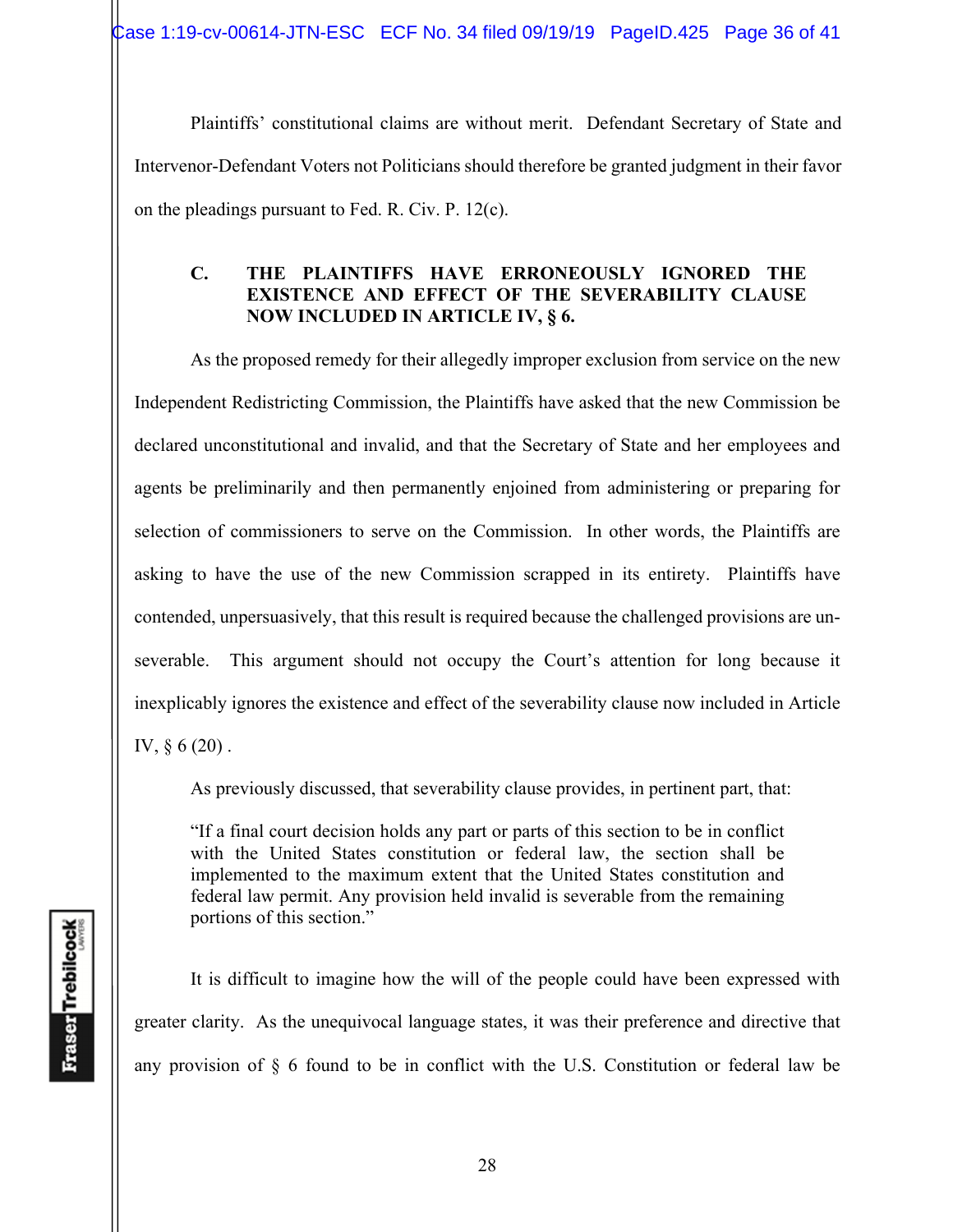Case 1:19-cv-00614-JTN-ESC ECF No. 34 filed 09/19/19 PageID.425 Page 36 of 41

Plaintiffs' constitutional claims are without merit. Defendant Secretary of State and Intervenor-Defendant Voters not Politicians should therefore be granted judgment in their favor on the pleadings pursuant to Fed. R. Civ. P. 12(c).

## **C. THE PLAINTIFFS HAVE ERRONEOUSLY IGNORED THE EXISTENCE AND EFFECT OF THE SEVERABILITY CLAUSE NOW INCLUDED IN ARTICLE IV, § 6.**

As the proposed remedy for their allegedly improper exclusion from service on the new Independent Redistricting Commission, the Plaintiffs have asked that the new Commission be declared unconstitutional and invalid, and that the Secretary of State and her employees and agents be preliminarily and then permanently enjoined from administering or preparing for selection of commissioners to serve on the Commission. In other words, the Plaintiffs are asking to have the use of the new Commission scrapped in its entirety. Plaintiffs have contended, unpersuasively, that this result is required because the challenged provisions are unseverable. This argument should not occupy the Court's attention for long because it inexplicably ignores the existence and effect of the severability clause now included in Article IV, § 6 (20) .

As previously discussed, that severability clause provides, in pertinent part, that:

"If a final court decision holds any part or parts of this section to be in conflict with the United States constitution or federal law, the section shall be implemented to the maximum extent that the United States constitution and federal law permit. Any provision held invalid is severable from the remaining portions of this section."

 It is difficult to imagine how the will of the people could have been expressed with greater clarity. As the unequivocal language states, it was their preference and directive that any provision of § 6 found to be in conflict with the U.S. Constitution or federal law be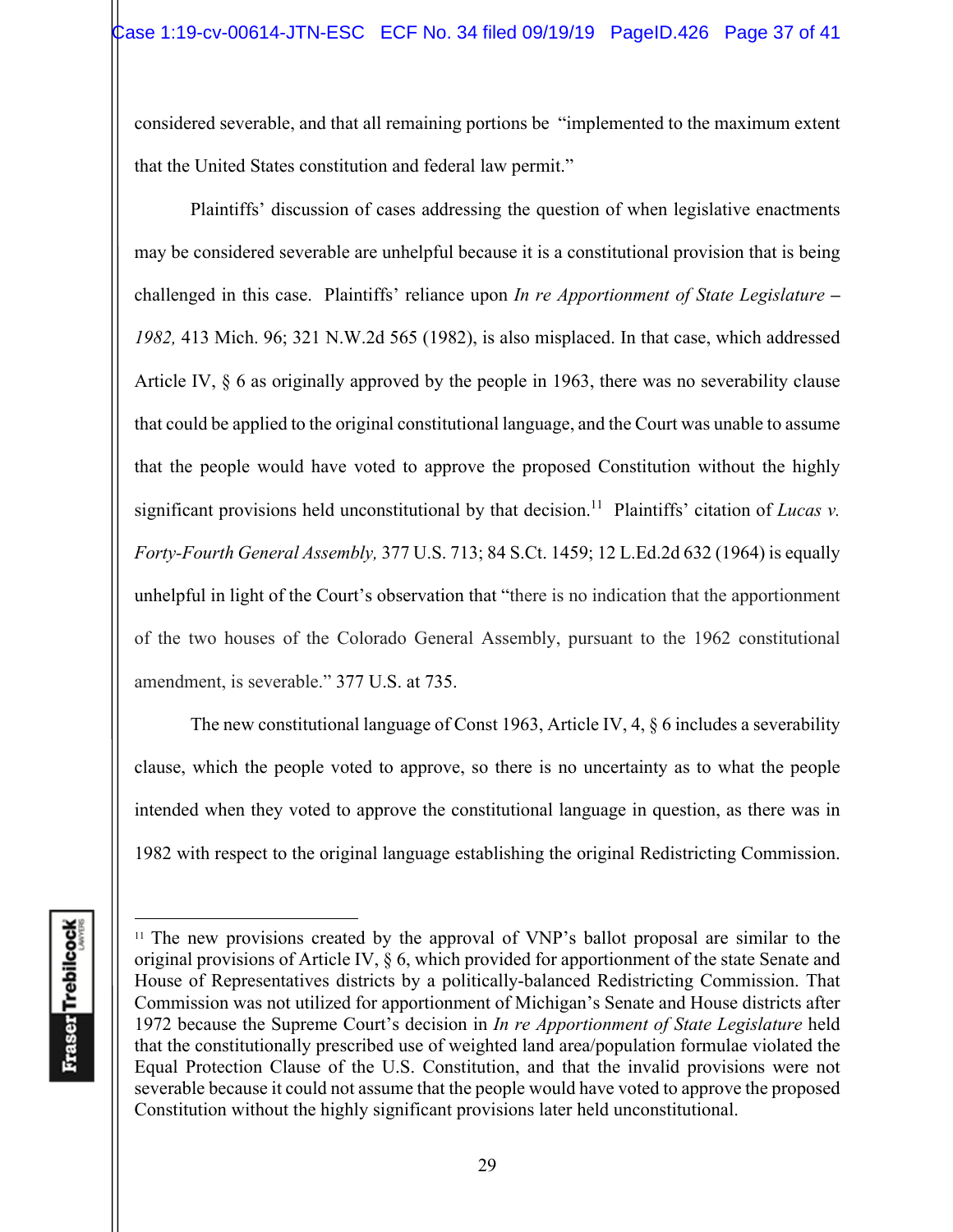considered severable, and that all remaining portions be "implemented to the maximum extent that the United States constitution and federal law permit."

 Plaintiffs' discussion of cases addressing the question of when legislative enactments may be considered severable are unhelpful because it is a constitutional provision that is being challenged in this case. Plaintiffs' reliance upon *In re Apportionment of State Legislature – 1982,* 413 Mich. 96; 321 N.W.2d 565 (1982), is also misplaced. In that case, which addressed Article IV, § 6 as originally approved by the people in 1963, there was no severability clause that could be applied to the original constitutional language, and the Court was unable to assume that the people would have voted to approve the proposed Constitution without the highly significant provisions held unconstitutional by that decision.<sup>11</sup> Plaintiffs' citation of *Lucas v*. *Forty-Fourth General Assembly,* 377 U.S. 713; 84 S.Ct. 1459; 12 L.Ed.2d 632 (1964) is equally unhelpful in light of the Court's observation that "there is no indication that the apportionment of the two houses of the Colorado General Assembly, pursuant to the 1962 constitutional amendment, is severable." 377 U.S. at 735.

The new constitutional language of Const 1963, Article IV, 4, § 6 includes a severability clause, which the people voted to approve, so there is no uncertainty as to what the people intended when they voted to approve the constitutional language in question, as there was in 1982 with respect to the original language establishing the original Redistricting Commission.

<sup>&</sup>lt;sup>11</sup> The new provisions created by the approval of VNP's ballot proposal are similar to the original provisions of Article IV, § 6, which provided for apportionment of the state Senate and House of Representatives districts by a politically-balanced Redistricting Commission. That Commission was not utilized for apportionment of Michigan's Senate and House districts after 1972 because the Supreme Court's decision in *In re Apportionment of State Legislature* held that the constitutionally prescribed use of weighted land area/population formulae violated the Equal Protection Clause of the U.S. Constitution, and that the invalid provisions were not severable because it could not assume that the people would have voted to approve the proposed Constitution without the highly significant provisions later held unconstitutional.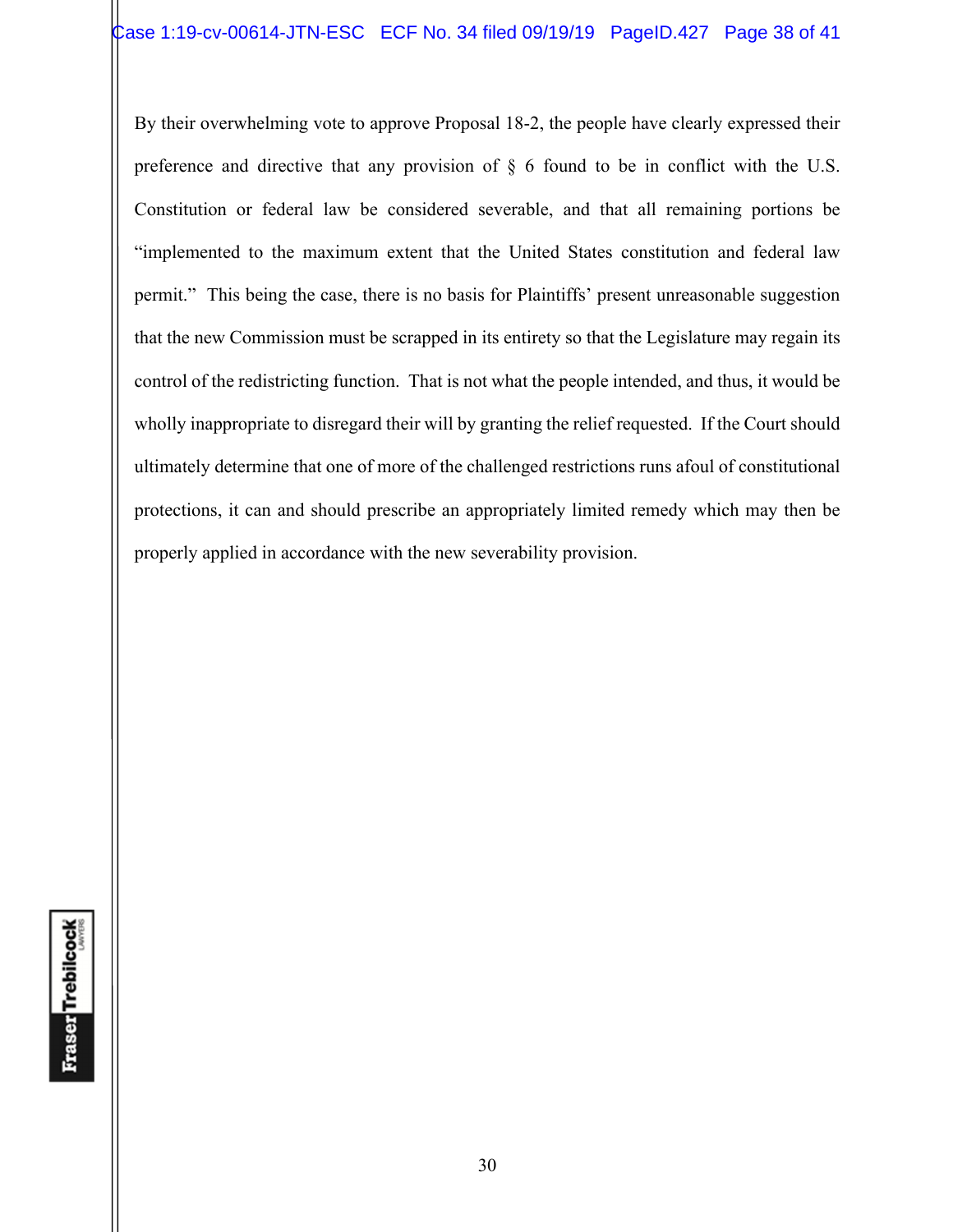By their overwhelming vote to approve Proposal 18-2, the people have clearly expressed their preference and directive that any provision of § 6 found to be in conflict with the U.S. Constitution or federal law be considered severable, and that all remaining portions be "implemented to the maximum extent that the United States constitution and federal law permit." This being the case, there is no basis for Plaintiffs' present unreasonable suggestion that the new Commission must be scrapped in its entirety so that the Legislature may regain its control of the redistricting function. That is not what the people intended, and thus, it would be wholly inappropriate to disregard their will by granting the relief requested. If the Court should ultimately determine that one of more of the challenged restrictions runs afoul of constitutional protections, it can and should prescribe an appropriately limited remedy which may then be properly applied in accordance with the new severability provision.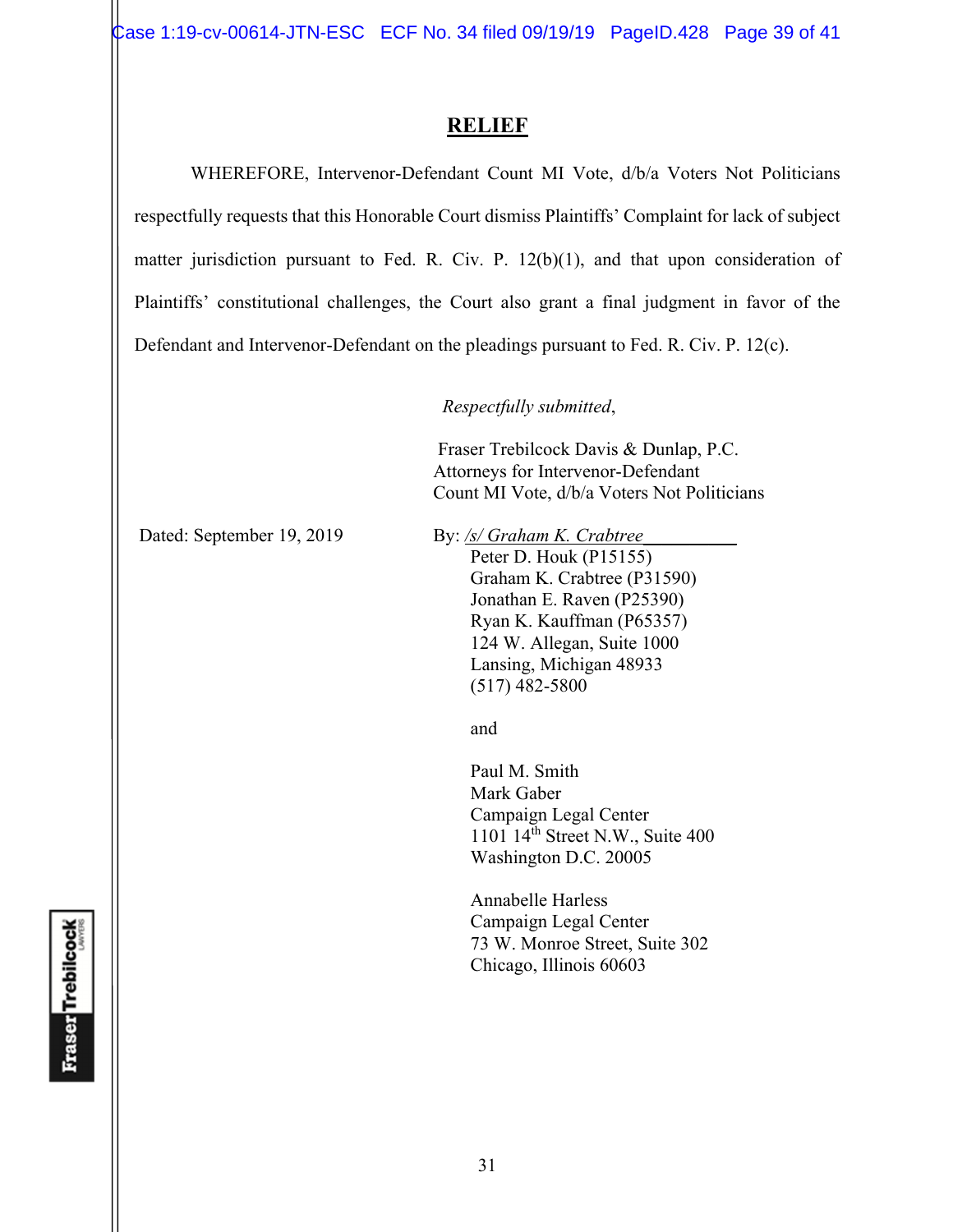Case 1:19-cv-00614-JTN-ESC ECF No. 34 filed 09/19/19 PageID.428 Page 39 of 41

# **RELIEF**

 WHEREFORE, Intervenor-Defendant Count MI Vote, d/b/a Voters Not Politicians respectfully requests that this Honorable Court dismiss Plaintiffs' Complaint for lack of subject matter jurisdiction pursuant to Fed. R. Civ. P. 12(b)(1), and that upon consideration of Plaintiffs' constitutional challenges, the Court also grant a final judgment in favor of the Defendant and Intervenor-Defendant on the pleadings pursuant to Fed. R. Civ. P. 12(c).

*Respectfully submitted*,

 Fraser Trebilcock Davis & Dunlap, P.C. Attorneys for Intervenor-Defendant Count MI Vote, d/b/a Voters Not Politicians

Dated: September 19, 2019 By: /s/ Graham K. Crabtree

Peter D. Houk (P15155) Graham K. Crabtree (P31590) Jonathan E. Raven (P25390) Ryan K. Kauffman (P65357) 124 W. Allegan, Suite 1000 Lansing, Michigan 48933 (517) 482-5800

and and state of the state of the state of the state of the state of the state of the state of the state of the state of the state of the state of the state of the state of the state of the state of the state of the state

 Paul M. Smith Mark Gaber Campaign Legal Center 1101 14th Street N.W., Suite 400 Washington D.C. 20005

Annabelle Harless Campaign Legal Center 73 W. Monroe Street, Suite 302 Chicago, Illinois 60603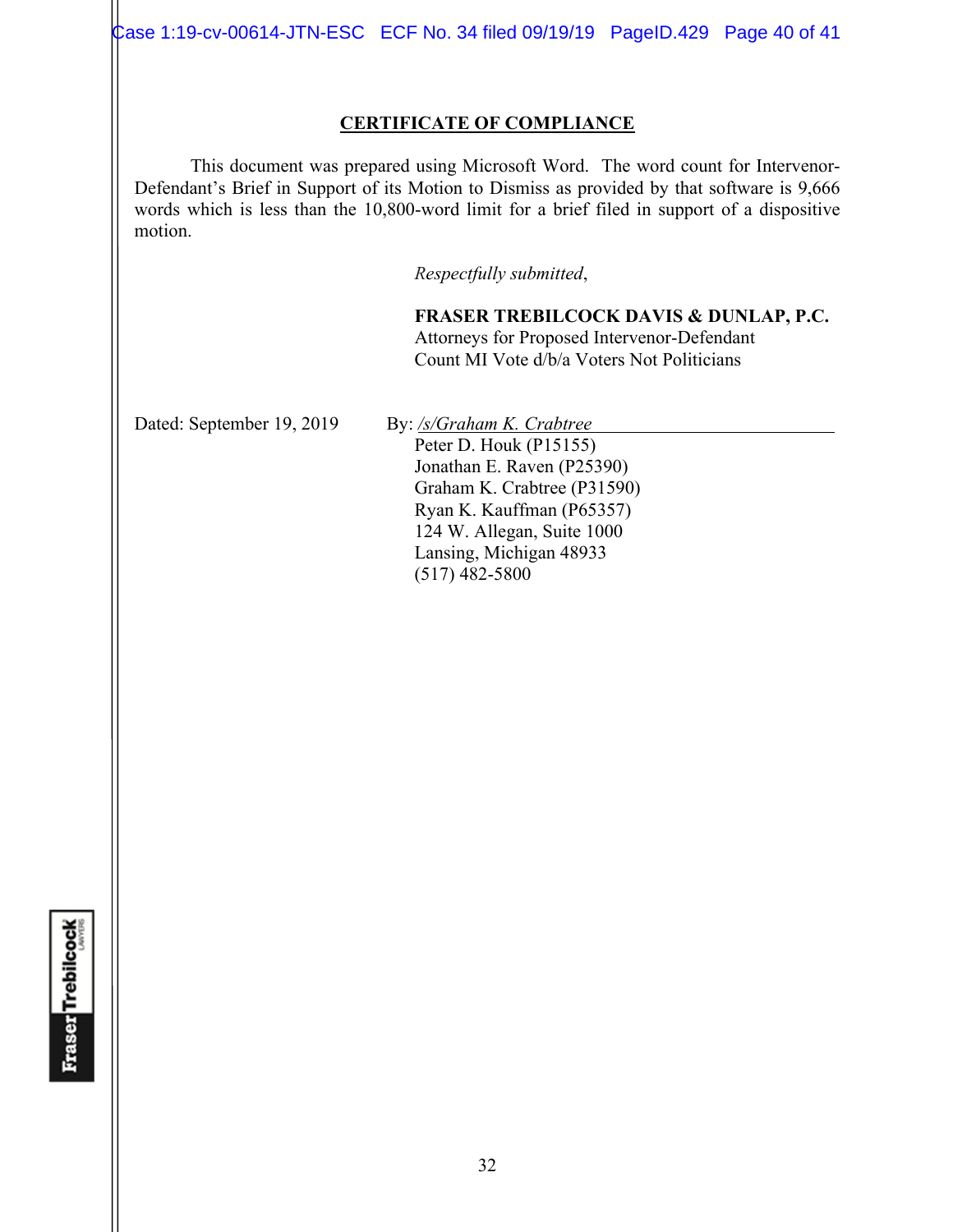Case 1:19-cv-00614-JTN-ESC ECF No. 34 filed 09/19/19 PageID.429 Page 40 of 41

### **CERTIFICATE OF COMPLIANCE**

 This document was prepared using Microsoft Word. The word count for Intervenor-Defendant's Brief in Support of its Motion to Dismiss as provided by that software is 9,666 words which is less than the 10,800-word limit for a brief filed in support of a dispositive motion.

*Respectfully submitted*,

**FRASER TREBILCOCK DAVIS & DUNLAP, P.C.** Attorneys for Proposed Intervenor-Defendant Count MI Vote d/b/a Voters Not Politicians

Dated: September 19, 2019 By: /s/Graham K. Crabtree Peter D. Houk (P15155)

Jonathan E. Raven (P25390) Graham K. Crabtree (P31590) Ryan K. Kauffman (P65357) 124 W. Allegan, Suite 1000 Lansing, Michigan 48933 (517) 482-5800

**Fraser Trebilcock**